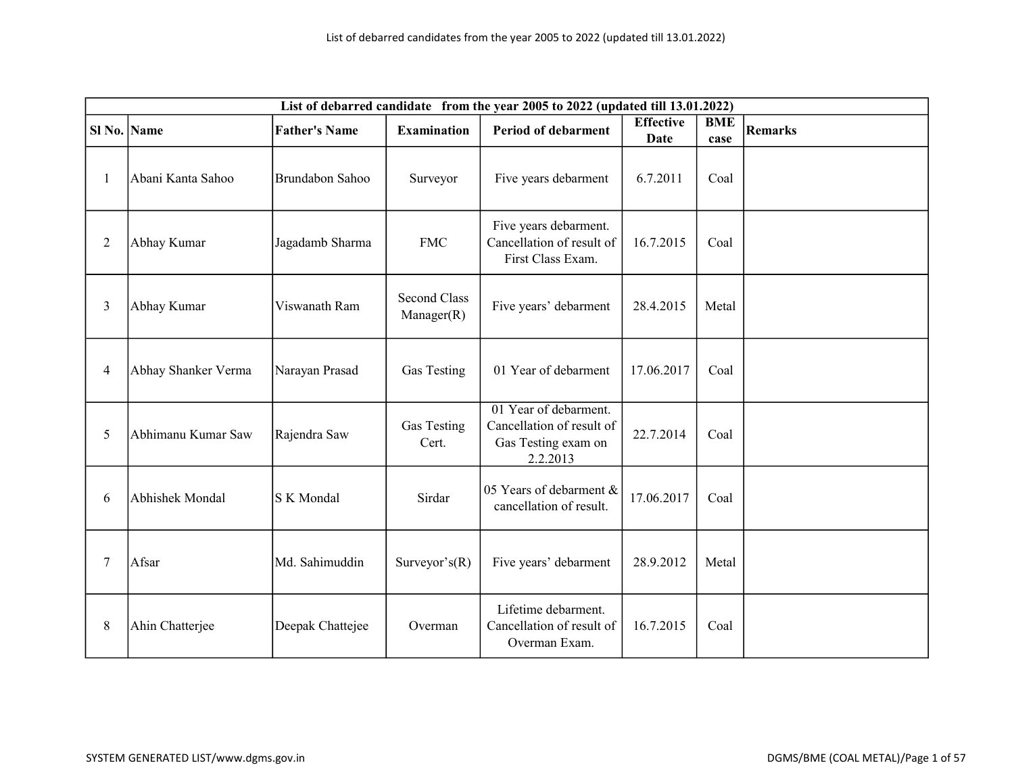|                | List of debarred candidate from the year 2005 to 2022 (updated till 13.01.2022) |                      |                                   |                                                                                       |                          |                    |                |  |  |  |
|----------------|---------------------------------------------------------------------------------|----------------------|-----------------------------------|---------------------------------------------------------------------------------------|--------------------------|--------------------|----------------|--|--|--|
| Sl No. Name    |                                                                                 | <b>Father's Name</b> | <b>Examination</b>                | <b>Period of debarment</b>                                                            | <b>Effective</b><br>Date | <b>BME</b><br>case | <b>Remarks</b> |  |  |  |
| $\mathbf{1}$   | Abani Kanta Sahoo                                                               | Brundabon Sahoo      | Surveyor                          | Five years debarment                                                                  | 6.7.2011                 | Coal               |                |  |  |  |
| $\overline{2}$ | Abhay Kumar                                                                     | Jagadamb Sharma      | <b>FMC</b>                        | Five years debarment.<br>Cancellation of result of<br>First Class Exam.               | 16.7.2015                | Coal               |                |  |  |  |
| 3              | Abhay Kumar                                                                     | Viswanath Ram        | <b>Second Class</b><br>Manager(R) | Five years' debarment                                                                 | 28.4.2015                | Metal              |                |  |  |  |
| $\overline{4}$ | Abhay Shanker Verma                                                             | Narayan Prasad       | Gas Testing                       | 01 Year of debarment                                                                  | 17.06.2017               | Coal               |                |  |  |  |
| 5              | Abhimanu Kumar Saw                                                              | Rajendra Saw         | Gas Testing<br>Cert.              | 01 Year of debarment.<br>Cancellation of result of<br>Gas Testing exam on<br>2.2.2013 | 22.7.2014                | Coal               |                |  |  |  |
| 6              | Abhishek Mondal                                                                 | S K Mondal           | Sirdar                            | 05 Years of debarment &<br>cancellation of result.                                    | 17.06.2017               | Coal               |                |  |  |  |
| $\tau$         | Afsar                                                                           | Md. Sahimuddin       | Surveyor's $(R)$                  | Five years' debarment                                                                 | 28.9.2012                | Metal              |                |  |  |  |
| 8              | Ahin Chatterjee                                                                 | Deepak Chattejee     | Overman                           | Lifetime debarment.<br>Cancellation of result of<br>Overman Exam.                     | 16.7.2015                | Coal               |                |  |  |  |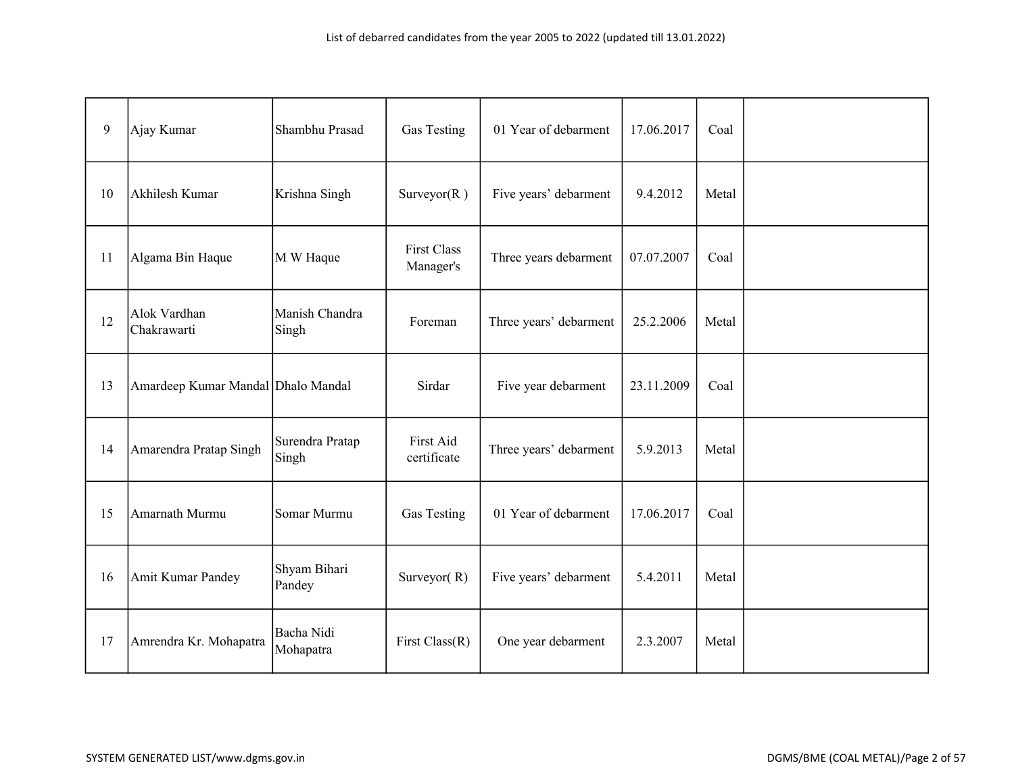| 9  | Ajay Kumar                         | Shambhu Prasad           | Gas Testing                     | 01 Year of debarment   | 17.06.2017 | Coal  |  |
|----|------------------------------------|--------------------------|---------------------------------|------------------------|------------|-------|--|
| 10 | Akhilesh Kumar                     | Krishna Singh            | Surveyor $(R)$                  | Five years' debarment  | 9.4.2012   | Metal |  |
| 11 | Algama Bin Haque                   | M W Haque                | <b>First Class</b><br>Manager's | Three years debarment  | 07.07.2007 | Coal  |  |
| 12 | Alok Vardhan<br>Chakrawarti        | Manish Chandra<br>Singh  | Foreman                         | Three years' debarment | 25.2.2006  | Metal |  |
| 13 | Amardeep Kumar Mandal Dhalo Mandal |                          | Sirdar                          | Five year debarment    | 23.11.2009 | Coal  |  |
| 14 | Amarendra Pratap Singh             | Surendra Pratap<br>Singh | First Aid<br>certificate        | Three years' debarment | 5.9.2013   | Metal |  |
| 15 | Amarnath Murmu                     | Somar Murmu              | Gas Testing                     | 01 Year of debarment   | 17.06.2017 | Coal  |  |
| 16 | Amit Kumar Pandey                  | Shyam Bihari<br>Pandey   | Surveyor(R)                     | Five years' debarment  | 5.4.2011   | Metal |  |
| 17 | Amrendra Kr. Mohapatra             | Bacha Nidi<br>Mohapatra  | First $Class(R)$                | One year debarment     | 2.3.2007   | Metal |  |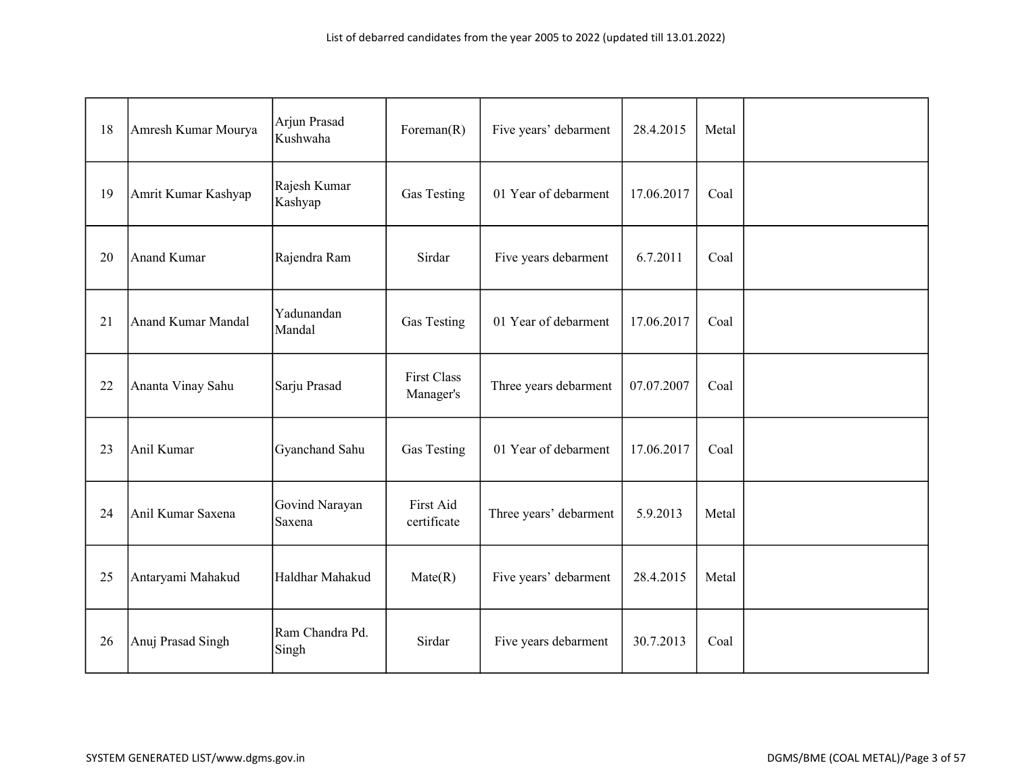| 18 | Amresh Kumar Mourya       | Arjun Prasad<br>Kushwaha | Foreman $(R)$                   | Five years' debarment  | 28.4.2015  | Metal |  |
|----|---------------------------|--------------------------|---------------------------------|------------------------|------------|-------|--|
| 19 | Amrit Kumar Kashyap       | Rajesh Kumar<br>Kashyap  | Gas Testing                     | 01 Year of debarment   | 17.06.2017 | Coal  |  |
| 20 | Anand Kumar               | Rajendra Ram             | Sirdar                          | Five years debarment   | 6.7.2011   | Coal  |  |
| 21 | <b>Anand Kumar Mandal</b> | Yadunandan<br>Mandal     | Gas Testing                     | 01 Year of debarment   | 17.06.2017 | Coal  |  |
| 22 | Ananta Vinay Sahu         | Sarju Prasad             | <b>First Class</b><br>Manager's | Three years debarment  | 07.07.2007 | Coal  |  |
| 23 | Anil Kumar                | Gyanchand Sahu           | Gas Testing                     | 01 Year of debarment   | 17.06.2017 | Coal  |  |
| 24 | Anil Kumar Saxena         | Govind Narayan<br>Saxena | First Aid<br>certificate        | Three years' debarment | 5.9.2013   | Metal |  |
| 25 | Antaryami Mahakud         | Haldhar Mahakud          | Mate(R)                         | Five years' debarment  | 28.4.2015  | Metal |  |
| 26 | Anuj Prasad Singh         | Ram Chandra Pd.<br>Singh | Sirdar                          | Five years debarment   | 30.7.2013  | Coal  |  |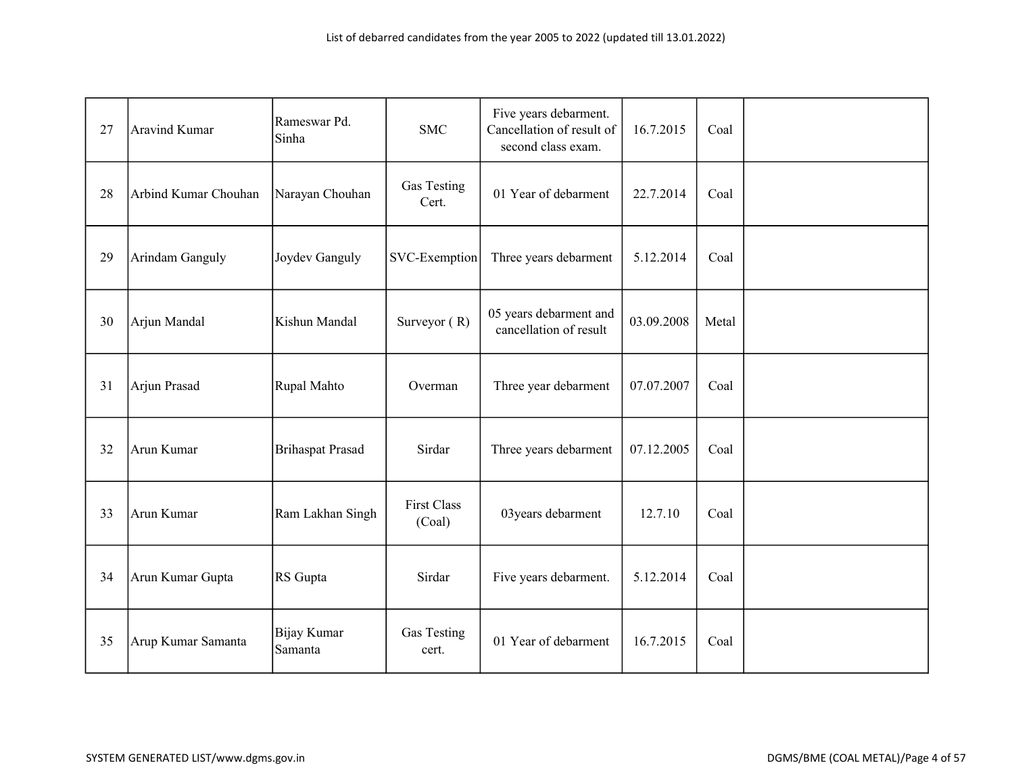| 27 | <b>Aravind Kumar</b> | Rameswar Pd.<br>Sinha   | <b>SMC</b>                   | Five years debarment.<br>Cancellation of result of<br>second class exam. | 16.7.2015  | Coal  |  |
|----|----------------------|-------------------------|------------------------------|--------------------------------------------------------------------------|------------|-------|--|
| 28 | Arbind Kumar Chouhan | Narayan Chouhan         | Gas Testing<br>Cert.         | 01 Year of debarment                                                     | 22.7.2014  | Coal  |  |
| 29 | Arindam Ganguly      | Joydev Ganguly          | SVC-Exemption                | Three years debarment                                                    | 5.12.2014  | Coal  |  |
| 30 | Arjun Mandal         | Kishun Mandal           | Surveyor $(R)$               | 05 years debarment and<br>cancellation of result                         | 03.09.2008 | Metal |  |
| 31 | Arjun Prasad         | Rupal Mahto             | Overman                      | Three year debarment                                                     | 07.07.2007 | Coal  |  |
| 32 | Arun Kumar           | <b>Brihaspat Prasad</b> | Sirdar                       | Three years debarment                                                    | 07.12.2005 | Coal  |  |
| 33 | Arun Kumar           | Ram Lakhan Singh        | <b>First Class</b><br>(Coal) | 03 years debarment                                                       | 12.7.10    | Coal  |  |
| 34 | Arun Kumar Gupta     | RS Gupta                | Sirdar                       | Five years debarment.                                                    | 5.12.2014  | Coal  |  |
| 35 | Arup Kumar Samanta   | Bijay Kumar<br>Samanta  | Gas Testing<br>cert.         | 01 Year of debarment                                                     | 16.7.2015  | Coal  |  |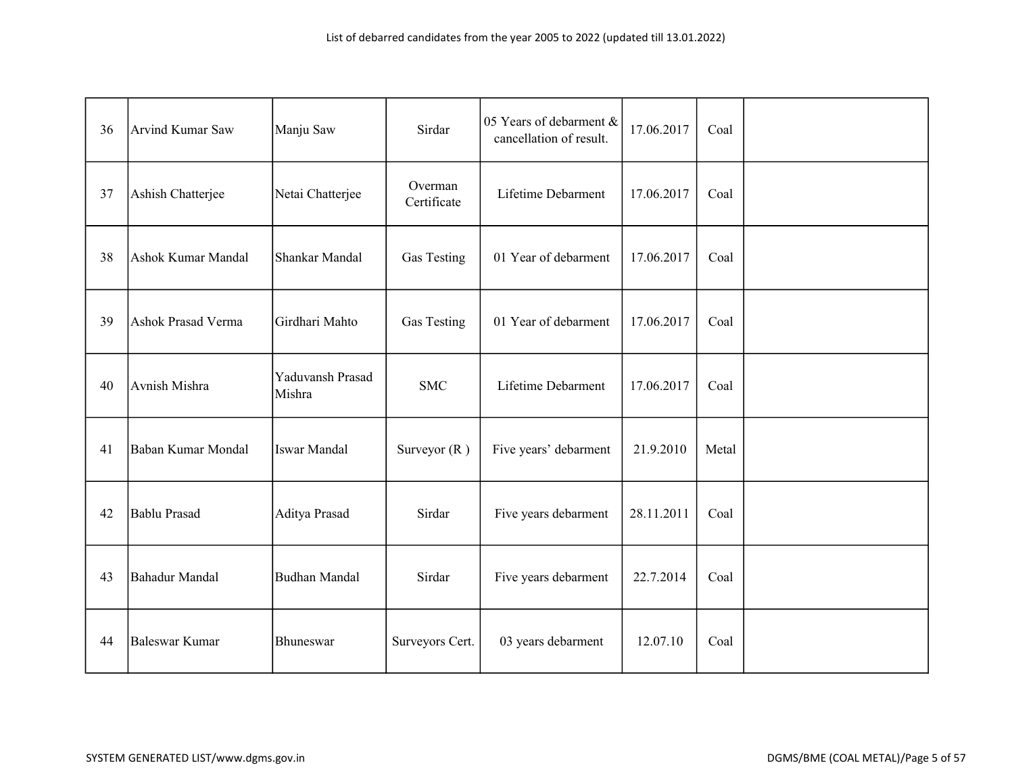| 36 | Arvind Kumar Saw      | Manju Saw                  | Sirdar                 | 05 Years of debarment &<br>cancellation of result. | 17.06.2017 | Coal  |  |
|----|-----------------------|----------------------------|------------------------|----------------------------------------------------|------------|-------|--|
| 37 | Ashish Chatterjee     | Netai Chatterjee           | Overman<br>Certificate | Lifetime Debarment                                 | 17.06.2017 | Coal  |  |
| 38 | Ashok Kumar Mandal    | Shankar Mandal             | <b>Gas Testing</b>     | 01 Year of debarment                               | 17.06.2017 | Coal  |  |
| 39 | Ashok Prasad Verma    | Girdhari Mahto             | Gas Testing            | 01 Year of debarment                               | 17.06.2017 | Coal  |  |
| 40 | Avnish Mishra         | Yaduvansh Prasad<br>Mishra | <b>SMC</b>             | Lifetime Debarment                                 | 17.06.2017 | Coal  |  |
| 41 | Baban Kumar Mondal    | Iswar Mandal               | Surveyor $(R)$         | Five years' debarment                              | 21.9.2010  | Metal |  |
| 42 | <b>Bablu Prasad</b>   | Aditya Prasad              | Sirdar                 | Five years debarment                               | 28.11.2011 | Coal  |  |
| 43 | <b>Bahadur Mandal</b> | <b>Budhan Mandal</b>       | Sirdar                 | Five years debarment                               | 22.7.2014  | Coal  |  |
| 44 | <b>Baleswar Kumar</b> | Bhuneswar                  | Surveyors Cert.        | 03 years debarment                                 | 12.07.10   | Coal  |  |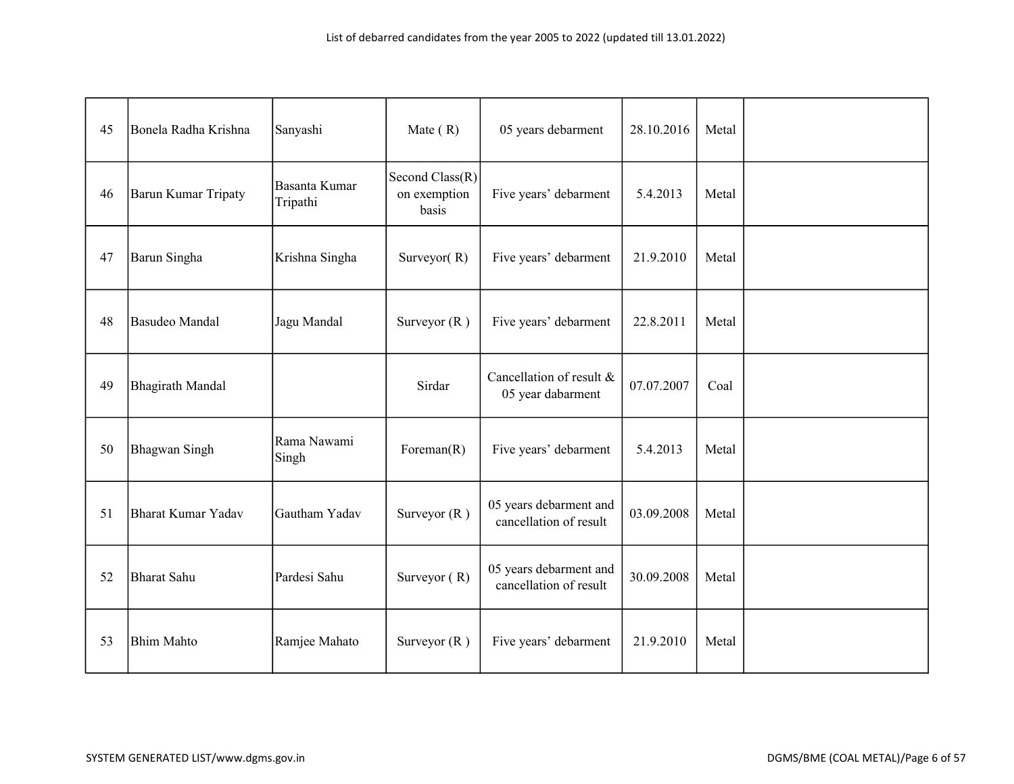| 45 | Bonela Radha Krishna | Sanyashi                  | Mate $(R)$                               | 05 years debarment                               | 28.10.2016 | Metal |  |
|----|----------------------|---------------------------|------------------------------------------|--------------------------------------------------|------------|-------|--|
| 46 | Barun Kumar Tripaty  | Basanta Kumar<br>Tripathi | Second Class(R)<br>on exemption<br>basis | Five years' debarment                            | 5.4.2013   | Metal |  |
| 47 | Barun Singha         | Krishna Singha            | Surveyor $(R)$                           | Five years' debarment                            | 21.9.2010  | Metal |  |
| 48 | Basudeo Mandal       | Jagu Mandal               | Surveyor $(R)$                           | Five years' debarment                            | 22.8.2011  | Metal |  |
| 49 | Bhagirath Mandal     |                           | Sirdar                                   | Cancellation of result &<br>05 year dabarment    | 07.07.2007 | Coal  |  |
| 50 | <b>Bhagwan Singh</b> | Rama Nawami<br>Singh      | Foreman $(R)$                            | Five years' debarment                            | 5.4.2013   | Metal |  |
| 51 | Bharat Kumar Yadav   | Gautham Yadav             | Surveyor $(R)$                           | 05 years debarment and<br>cancellation of result | 03.09.2008 | Metal |  |
| 52 | Bharat Sahu          | Pardesi Sahu              | Surveyor $(R)$                           | 05 years debarment and<br>cancellation of result | 30.09.2008 | Metal |  |
| 53 | <b>Bhim Mahto</b>    | Ramjee Mahato             | Surveyor $(R)$                           | Five years' debarment                            | 21.9.2010  | Metal |  |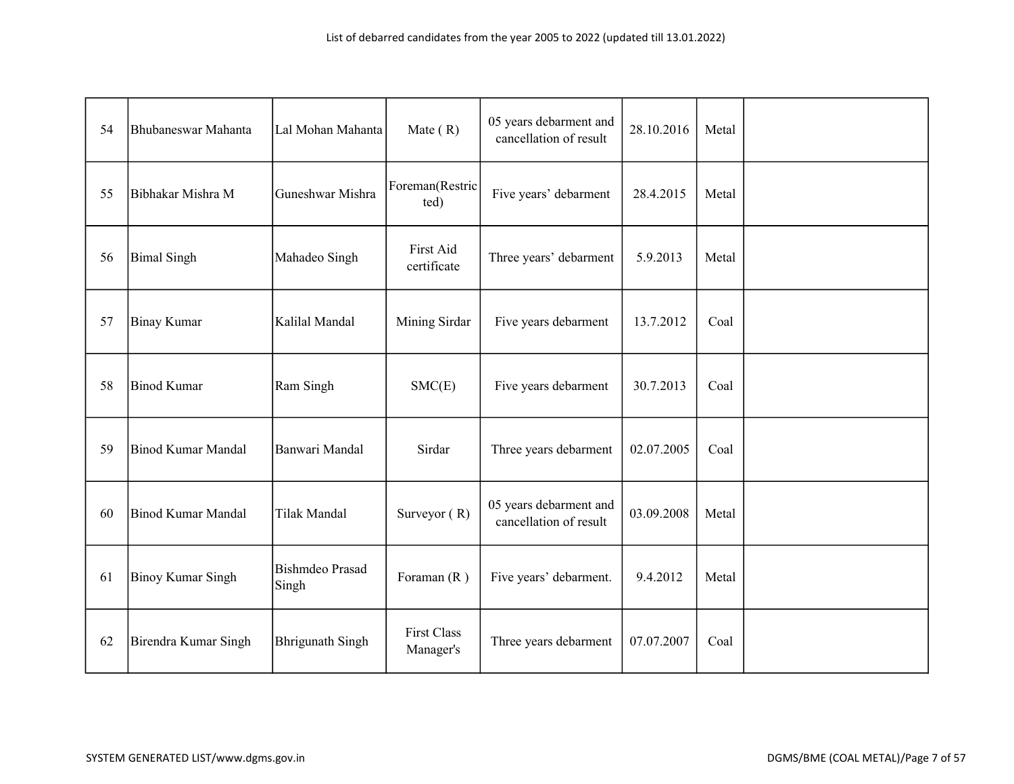| 54 | Bhubaneswar Mahanta      | Lal Mohan Mahanta               | Mate $(R)$                      | 05 years debarment and<br>cancellation of result | 28.10.2016 | Metal |  |
|----|--------------------------|---------------------------------|---------------------------------|--------------------------------------------------|------------|-------|--|
| 55 | Bibhakar Mishra M        | Guneshwar Mishra                | Foreman(Restric<br>ted)         | Five years' debarment                            | 28.4.2015  | Metal |  |
| 56 | <b>Bimal Singh</b>       | Mahadeo Singh                   | First Aid<br>certificate        | Three years' debarment                           | 5.9.2013   | Metal |  |
| 57 | Binay Kumar              | Kalilal Mandal                  | Mining Sirdar                   | Five years debarment                             | 13.7.2012  | Coal  |  |
| 58 | Binod Kumar              | Ram Singh                       | SMC(E)                          | Five years debarment                             | 30.7.2013  | Coal  |  |
| 59 | Binod Kumar Mandal       | Banwari Mandal                  | Sirdar                          | Three years debarment                            | 02.07.2005 | Coal  |  |
| 60 | Binod Kumar Mandal       | Tilak Mandal                    | Surveyor $(R)$                  | 05 years debarment and<br>cancellation of result | 03.09.2008 | Metal |  |
| 61 | <b>Binoy Kumar Singh</b> | <b>Bishmdeo Prasad</b><br>Singh | Foraman $(R)$                   | Five years' debarment.                           | 9.4.2012   | Metal |  |
| 62 | Birendra Kumar Singh     | <b>Bhrigunath Singh</b>         | <b>First Class</b><br>Manager's | Three years debarment                            | 07.07.2007 | Coal  |  |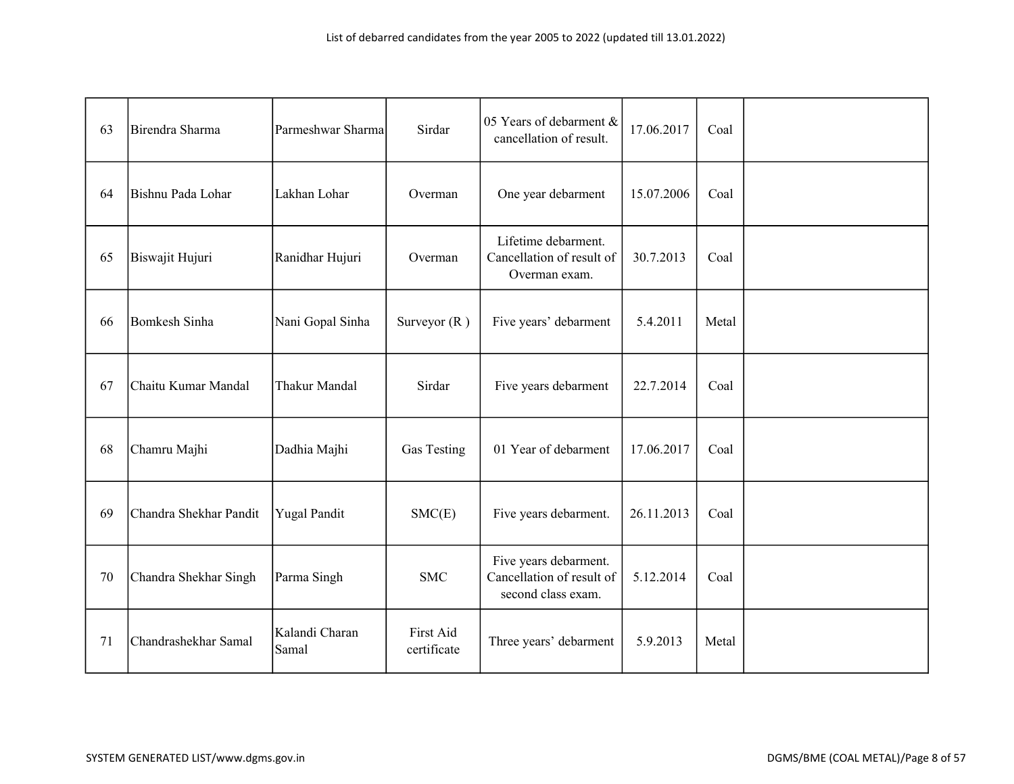| 63 | Birendra Sharma        | Parmeshwar Sharma       | Sirdar                   | 05 Years of debarment &<br>cancellation of result.                       | 17.06.2017 | Coal  |  |
|----|------------------------|-------------------------|--------------------------|--------------------------------------------------------------------------|------------|-------|--|
| 64 | Bishnu Pada Lohar      | Lakhan Lohar            | Overman                  | One year debarment                                                       | 15.07.2006 | Coal  |  |
| 65 | Biswajit Hujuri        | Ranidhar Hujuri         | Overman                  | Lifetime debarment.<br>Cancellation of result of<br>Overman exam.        | 30.7.2013  | Coal  |  |
| 66 | Bomkesh Sinha          | Nani Gopal Sinha        | Surveyor $(R)$           | Five years' debarment                                                    | 5.4.2011   | Metal |  |
| 67 | Chaitu Kumar Mandal    | Thakur Mandal           | Sirdar                   | Five years debarment                                                     | 22.7.2014  | Coal  |  |
| 68 | Chamru Majhi           | Dadhia Majhi            | Gas Testing              | 01 Year of debarment                                                     | 17.06.2017 | Coal  |  |
| 69 | Chandra Shekhar Pandit | <b>Yugal Pandit</b>     | SMC(E)                   | Five years debarment.                                                    | 26.11.2013 | Coal  |  |
| 70 | Chandra Shekhar Singh  | Parma Singh             | <b>SMC</b>               | Five years debarment.<br>Cancellation of result of<br>second class exam. | 5.12.2014  | Coal  |  |
| 71 | Chandrashekhar Samal   | Kalandi Charan<br>Samal | First Aid<br>certificate | Three years' debarment                                                   | 5.9.2013   | Metal |  |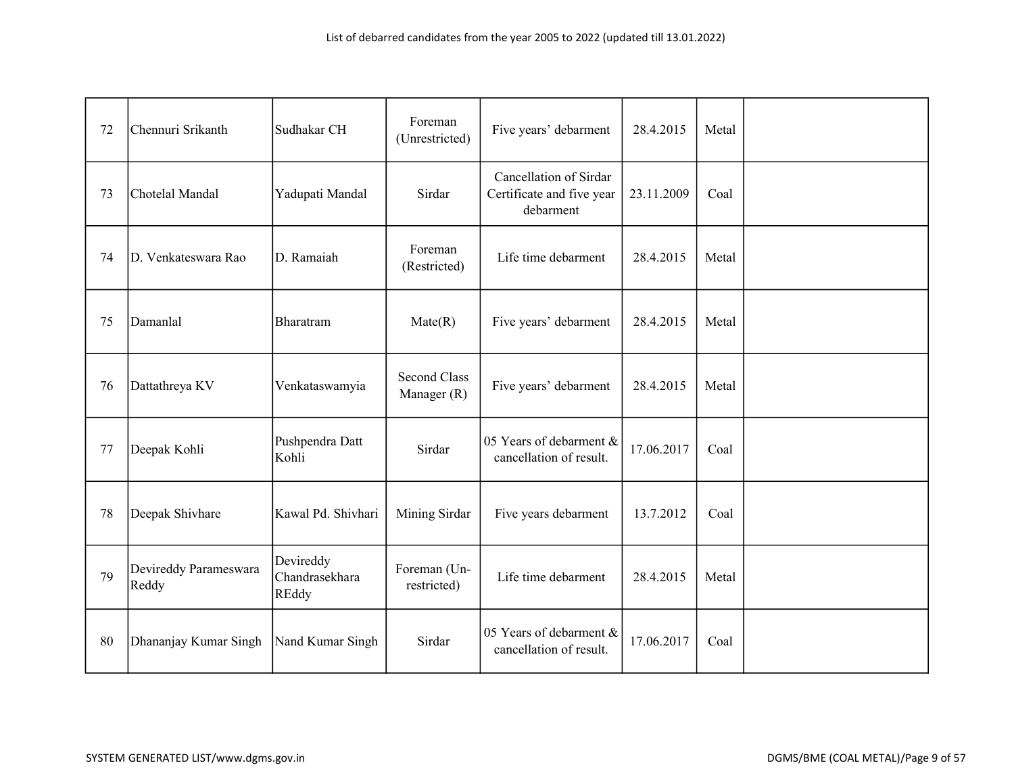| 72 | Chennuri Srikanth              | Sudhakar CH                                 | Foreman<br>(Unrestricted)          | Five years' debarment                                            | 28.4.2015  | Metal |  |
|----|--------------------------------|---------------------------------------------|------------------------------------|------------------------------------------------------------------|------------|-------|--|
| 73 | Chotelal Mandal                | Yadupati Mandal                             | Sirdar                             | Cancellation of Sirdar<br>Certificate and five year<br>debarment | 23.11.2009 | Coal  |  |
| 74 | D. Venkateswara Rao            | D. Ramaiah                                  | Foreman<br>(Restricted)            | Life time debarment                                              | 28.4.2015  | Metal |  |
| 75 | Damanlal                       | Bharatram                                   | Mate(R)                            | Five years' debarment                                            | 28.4.2015  | Metal |  |
| 76 | Dattathreya KV                 | Venkataswamyia                              | <b>Second Class</b><br>Manager (R) | Five years' debarment                                            | 28.4.2015  | Metal |  |
| 77 | Deepak Kohli                   | Pushpendra Datt<br>Kohli                    | Sirdar                             | 05 Years of debarment &<br>cancellation of result.               | 17.06.2017 | Coal  |  |
| 78 | Deepak Shivhare                | Kawal Pd. Shivhari                          | Mining Sirdar                      | Five years debarment                                             | 13.7.2012  | Coal  |  |
| 79 | Devireddy Parameswara<br>Reddy | Devireddy<br>Chandrasekhara<br><b>REddy</b> | Foreman (Un-<br>restricted)        | Life time debarment                                              | 28.4.2015  | Metal |  |
| 80 | Dhananjay Kumar Singh          | Nand Kumar Singh                            | Sirdar                             | 05 Years of debarment &<br>cancellation of result.               | 17.06.2017 | Coal  |  |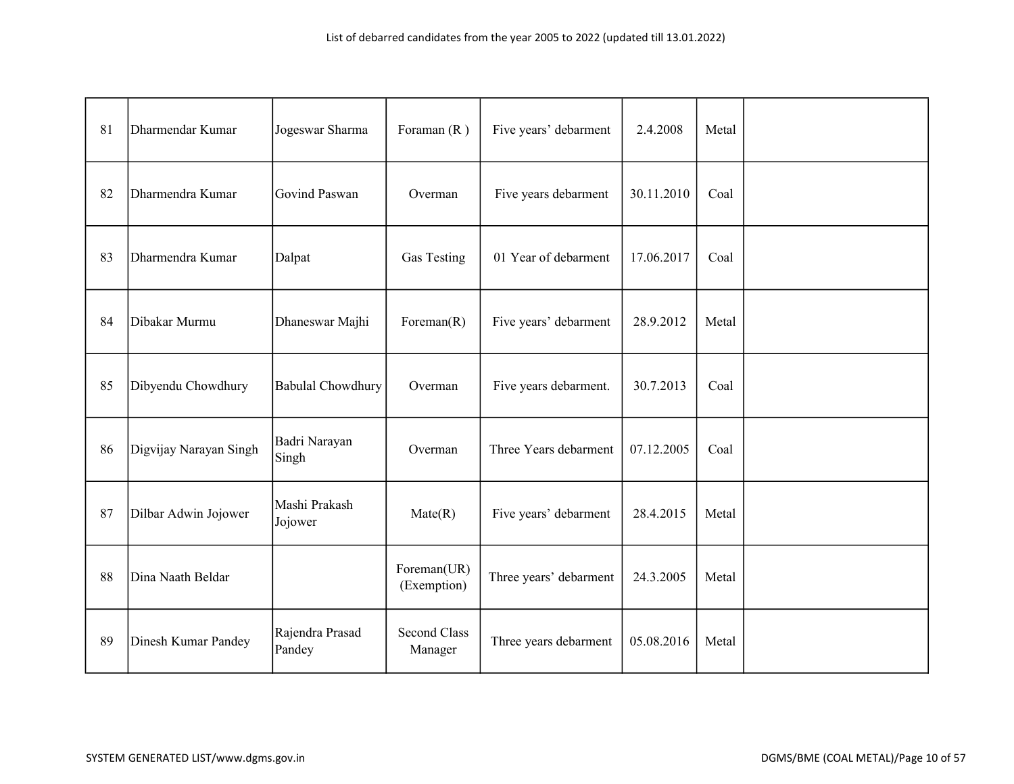| 81 | Dharmendar Kumar       | Jogeswar Sharma           | Foraman $(R)$                  | Five years' debarment  | 2.4.2008   | Metal |  |
|----|------------------------|---------------------------|--------------------------------|------------------------|------------|-------|--|
| 82 | Dharmendra Kumar       | Govind Paswan             | Overman                        | Five years debarment   | 30.11.2010 | Coal  |  |
| 83 | Dharmendra Kumar       | Dalpat                    | Gas Testing                    | 01 Year of debarment   | 17.06.2017 | Coal  |  |
| 84 | Dibakar Murmu          | Dhaneswar Majhi           | Foreman $(R)$                  | Five years' debarment  | 28.9.2012  | Metal |  |
| 85 | Dibyendu Chowdhury     | <b>Babulal Chowdhury</b>  | Overman                        | Five years debarment.  | 30.7.2013  | Coal  |  |
| 86 | Digvijay Narayan Singh | Badri Narayan<br>Singh    | Overman                        | Three Years debarment  | 07.12.2005 | Coal  |  |
| 87 | Dilbar Adwin Jojower   | Mashi Prakash<br>Jojower  | $\text{Mate}(R)$               | Five years' debarment  | 28.4.2015  | Metal |  |
| 88 | Dina Naath Beldar      |                           | Foreman(UR)<br>(Exemption)     | Three years' debarment | 24.3.2005  | Metal |  |
| 89 | Dinesh Kumar Pandey    | Rajendra Prasad<br>Pandey | <b>Second Class</b><br>Manager | Three years debarment  | 05.08.2016 | Metal |  |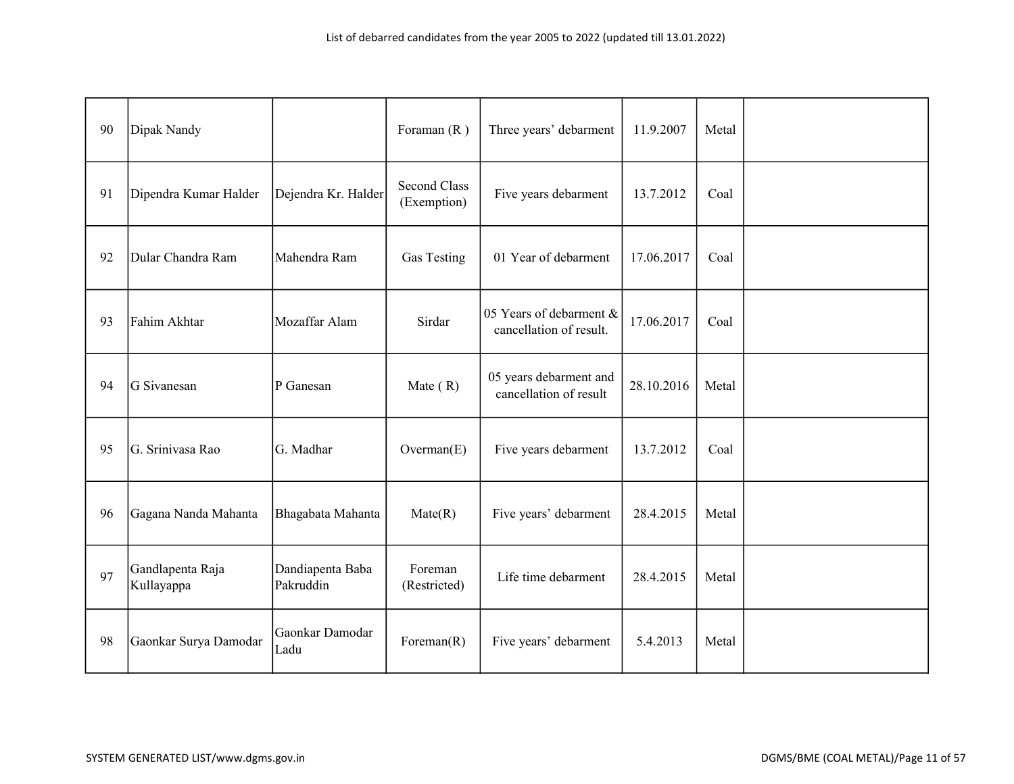| 90 | Dipak Nandy                    |                               | Foraman $(R)$                      | Three years' debarment                             | 11.9.2007  | Metal |  |
|----|--------------------------------|-------------------------------|------------------------------------|----------------------------------------------------|------------|-------|--|
| 91 | Dipendra Kumar Halder          | Dejendra Kr. Halder           | <b>Second Class</b><br>(Exemption) | Five years debarment                               | 13.7.2012  | Coal  |  |
| 92 | Dular Chandra Ram              | Mahendra Ram                  | Gas Testing                        | 01 Year of debarment                               | 17.06.2017 | Coal  |  |
| 93 | Fahim Akhtar                   | Mozaffar Alam                 | Sirdar                             | 05 Years of debarment &<br>cancellation of result. | 17.06.2017 | Coal  |  |
| 94 | G Sivanesan                    | P Ganesan                     | Mate $(R)$                         | 05 years debarment and<br>cancellation of result   | 28.10.2016 | Metal |  |
| 95 | G. Srinivasa Rao               | G. Madhar                     | Overnan(E)                         | Five years debarment                               | 13.7.2012  | Coal  |  |
| 96 | Gagana Nanda Mahanta           | Bhagabata Mahanta             | $\text{Mate}(R)$                   | Five years' debarment                              | 28.4.2015  | Metal |  |
| 97 | Gandlapenta Raja<br>Kullayappa | Dandiapenta Baba<br>Pakruddin | Foreman<br>(Restricted)            | Life time debarment                                | 28.4.2015  | Metal |  |
| 98 | Gaonkar Surya Damodar          | Gaonkar Damodar<br>Ladu       | Foreman $(R)$                      | Five years' debarment                              | 5.4.2013   | Metal |  |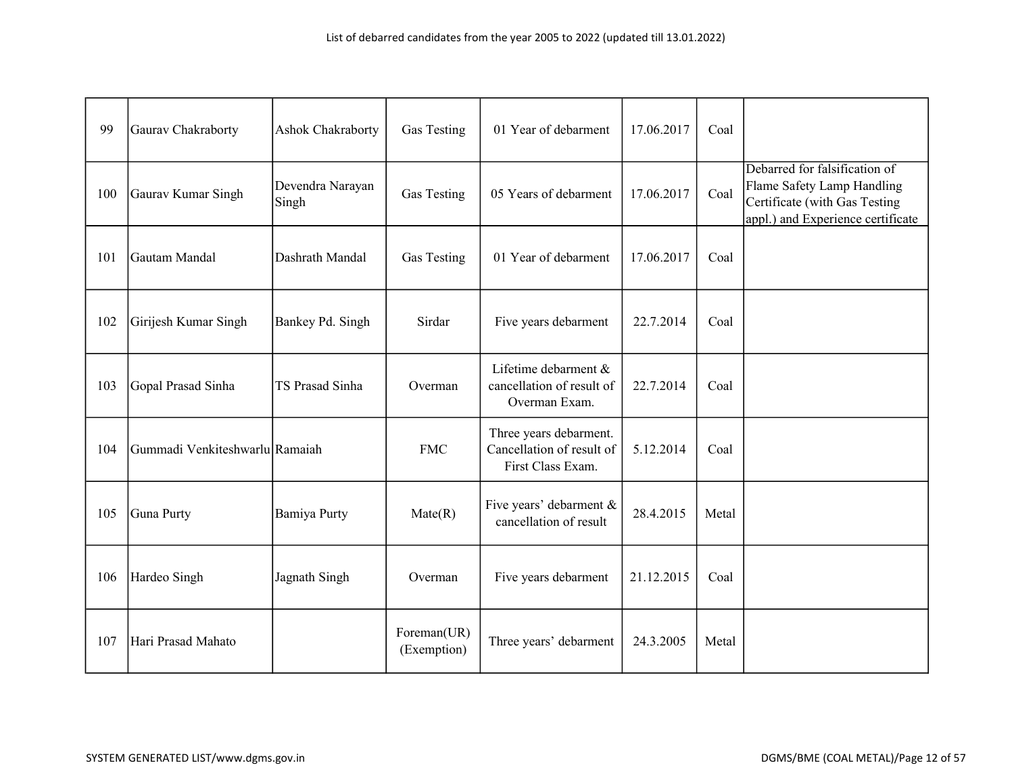| 99  | Gaurav Chakraborty             | Ashok Chakraborty         | Gas Testing                | 01 Year of debarment                                                     | 17.06.2017 | Coal  |                                                                                                                                   |
|-----|--------------------------------|---------------------------|----------------------------|--------------------------------------------------------------------------|------------|-------|-----------------------------------------------------------------------------------------------------------------------------------|
| 100 | Gaurav Kumar Singh             | Devendra Narayan<br>Singh | Gas Testing                | 05 Years of debarment                                                    | 17.06.2017 | Coal  | Debarred for falsification of<br>Flame Safety Lamp Handling<br>Certificate (with Gas Testing<br>appl.) and Experience certificate |
| 101 | Gautam Mandal                  | Dashrath Mandal           | Gas Testing                | 01 Year of debarment                                                     | 17.06.2017 | Coal  |                                                                                                                                   |
| 102 | Girijesh Kumar Singh           | Bankey Pd. Singh          | Sirdar                     | Five years debarment                                                     | 22.7.2014  | Coal  |                                                                                                                                   |
| 103 | Gopal Prasad Sinha             | TS Prasad Sinha           | Overman                    | Lifetime debarment &<br>cancellation of result of<br>Overman Exam.       | 22.7.2014  | Coal  |                                                                                                                                   |
| 104 | Gummadi Venkiteshwarlu Ramaiah |                           | <b>FMC</b>                 | Three years debarment.<br>Cancellation of result of<br>First Class Exam. | 5.12.2014  | Coal  |                                                                                                                                   |
| 105 | Guna Purty                     | Bamiya Purty              | Mate(R)                    | Five years' debarment &<br>cancellation of result                        | 28.4.2015  | Metal |                                                                                                                                   |
| 106 | Hardeo Singh                   | Jagnath Singh             | Overman                    | Five years debarment                                                     | 21.12.2015 | Coal  |                                                                                                                                   |
| 107 | Hari Prasad Mahato             |                           | Foreman(UR)<br>(Exemption) | Three years' debarment                                                   | 24.3.2005  | Metal |                                                                                                                                   |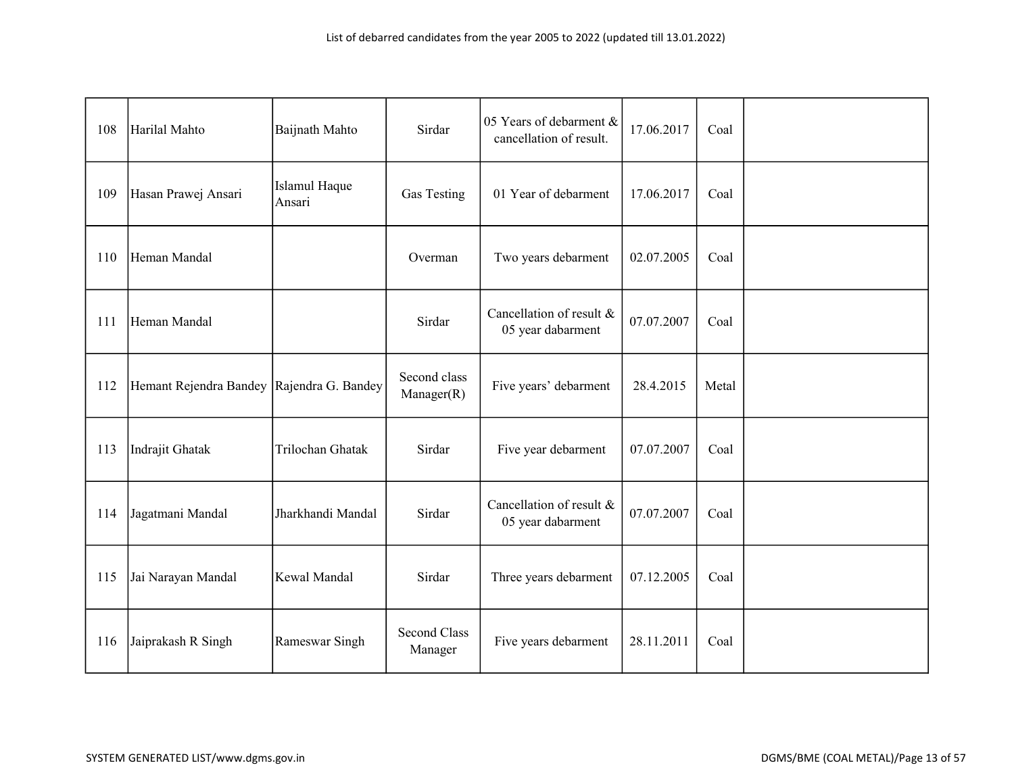| 108 | Harilal Mahto                               | Baijnath Mahto          | Sirdar                         | 05 Years of debarment &<br>cancellation of result. | 17.06.2017 | Coal  |  |
|-----|---------------------------------------------|-------------------------|--------------------------------|----------------------------------------------------|------------|-------|--|
| 109 | Hasan Prawej Ansari                         | Islamul Haque<br>Ansari | Gas Testing                    | 01 Year of debarment                               | 17.06.2017 | Coal  |  |
| 110 | Heman Mandal                                |                         | Overman                        | Two years debarment                                | 02.07.2005 | Coal  |  |
| 111 | Heman Mandal                                |                         | Sirdar                         | Cancellation of result &<br>05 year dabarment      | 07.07.2007 | Coal  |  |
| 112 | Hemant Rejendra Bandey   Rajendra G. Bandey |                         | Second class<br>Manager(R)     | Five years' debarment                              | 28.4.2015  | Metal |  |
| 113 | Indrajit Ghatak                             | Trilochan Ghatak        | Sirdar                         | Five year debarment                                | 07.07.2007 | Coal  |  |
| 114 | Jagatmani Mandal                            | Jharkhandi Mandal       | Sirdar                         | Cancellation of result &<br>05 year dabarment      | 07.07.2007 | Coal  |  |
| 115 | Jai Narayan Mandal                          | Kewal Mandal            | Sirdar                         | Three years debarment                              | 07.12.2005 | Coal  |  |
| 116 | Jaiprakash R Singh                          | Rameswar Singh          | <b>Second Class</b><br>Manager | Five years debarment                               | 28.11.2011 | Coal  |  |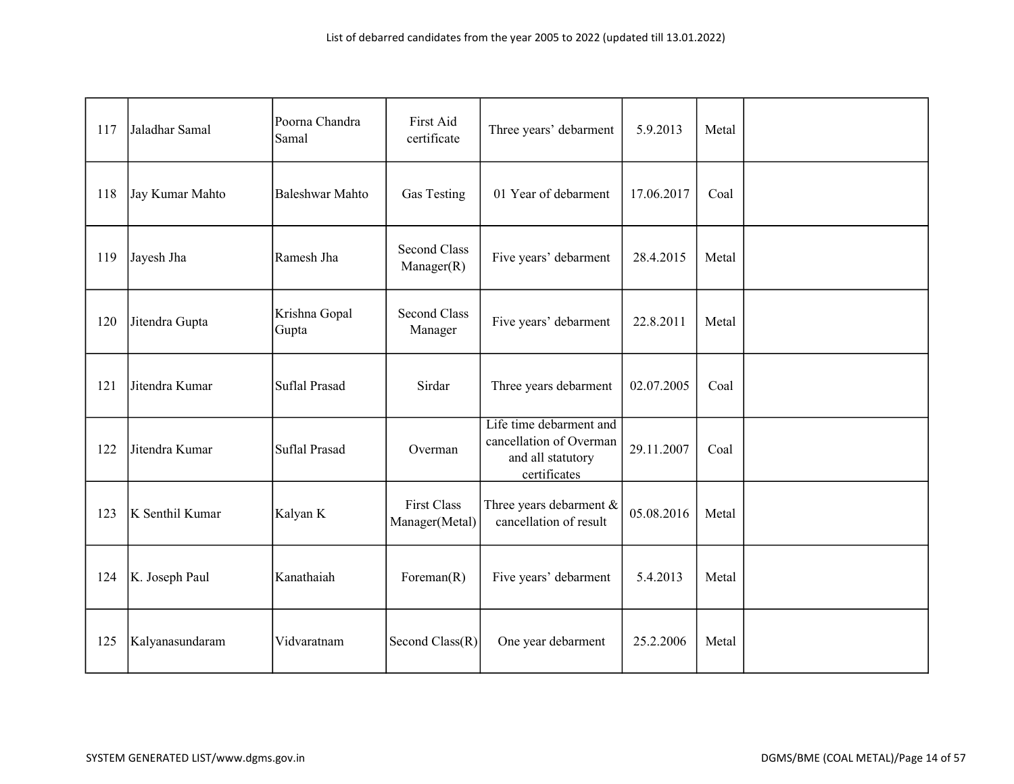| 117 | Jaladhar Samal  | Poorna Chandra<br>Samal | First Aid<br>certificate             | Three years' debarment                                                                  | 5.9.2013   | Metal |  |
|-----|-----------------|-------------------------|--------------------------------------|-----------------------------------------------------------------------------------------|------------|-------|--|
| 118 | Jay Kumar Mahto | <b>Baleshwar Mahto</b>  | Gas Testing                          | 01 Year of debarment                                                                    | 17.06.2017 | Coal  |  |
| 119 | Jayesh Jha      | Ramesh Jha              | <b>Second Class</b><br>Manager(R)    | Five years' debarment                                                                   | 28.4.2015  | Metal |  |
| 120 | Jitendra Gupta  | Krishna Gopal<br>Gupta  | <b>Second Class</b><br>Manager       | Five years' debarment                                                                   | 22.8.2011  | Metal |  |
| 121 | Jitendra Kumar  | Suflal Prasad           | Sirdar                               | Three years debarment                                                                   | 02.07.2005 | Coal  |  |
| 122 | Jitendra Kumar  | Suflal Prasad           | Overman                              | Life time debarment and<br>cancellation of Overman<br>and all statutory<br>certificates | 29.11.2007 | Coal  |  |
| 123 | K Senthil Kumar | Kalyan K                | <b>First Class</b><br>Manager(Metal) | Three years debarment &<br>cancellation of result                                       | 05.08.2016 | Metal |  |
| 124 | K. Joseph Paul  | Kanathaiah              | Foreman $(R)$                        | Five years' debarment                                                                   | 5.4.2013   | Metal |  |
| 125 | Kalyanasundaram | Vidvaratnam             | Second Class(R)                      | One year debarment                                                                      | 25.2.2006  | Metal |  |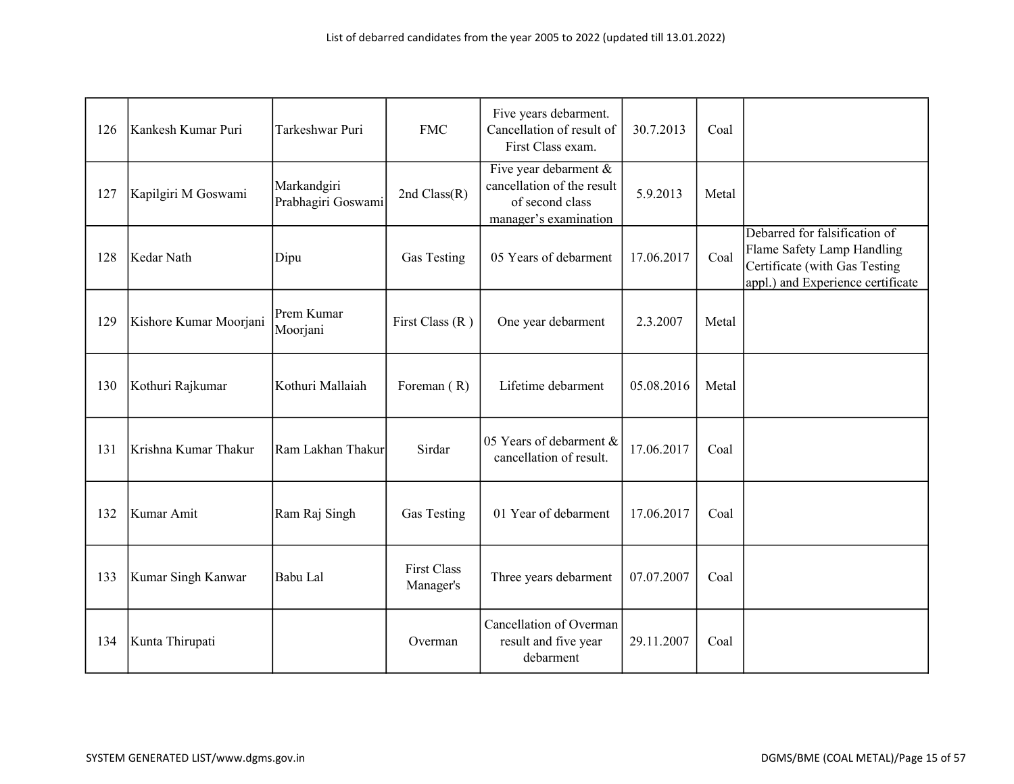| 126 | Kankesh Kumar Puri     | Tarkeshwar Puri                   | <b>FMC</b>                      | Five years debarment.<br>Cancellation of result of<br>First Class exam.                            | 30.7.2013  | Coal  |                                                                                                                                   |
|-----|------------------------|-----------------------------------|---------------------------------|----------------------------------------------------------------------------------------------------|------------|-------|-----------------------------------------------------------------------------------------------------------------------------------|
| 127 | Kapilgiri M Goswami    | Markandgiri<br>Prabhagiri Goswami | 2nd $Class(R)$                  | Five year debarment $\&$<br>cancellation of the result<br>of second class<br>manager's examination | 5.9.2013   | Metal |                                                                                                                                   |
| 128 | Kedar Nath             | Dipu                              | Gas Testing                     | 05 Years of debarment                                                                              | 17.06.2017 | Coal  | Debarred for falsification of<br>Flame Safety Lamp Handling<br>Certificate (with Gas Testing<br>appl.) and Experience certificate |
| 129 | Kishore Kumar Moorjani | Prem Kumar<br>Moorjani            | First Class $(R)$               | One year debarment                                                                                 | 2.3.2007   | Metal |                                                                                                                                   |
| 130 | Kothuri Rajkumar       | Kothuri Mallaiah                  | Foreman (R)                     | Lifetime debarment                                                                                 | 05.08.2016 | Metal |                                                                                                                                   |
| 131 | Krishna Kumar Thakur   | Ram Lakhan Thakur                 | Sirdar                          | 05 Years of debarment &<br>cancellation of result.                                                 | 17.06.2017 | Coal  |                                                                                                                                   |
| 132 | Kumar Amit             | Ram Raj Singh                     | Gas Testing                     | 01 Year of debarment                                                                               | 17.06.2017 | Coal  |                                                                                                                                   |
| 133 | Kumar Singh Kanwar     | Babu Lal                          | <b>First Class</b><br>Manager's | Three years debarment                                                                              | 07.07.2007 | Coal  |                                                                                                                                   |
| 134 | Kunta Thirupati        |                                   | Overman                         | Cancellation of Overman<br>result and five year<br>debarment                                       | 29.11.2007 | Coal  |                                                                                                                                   |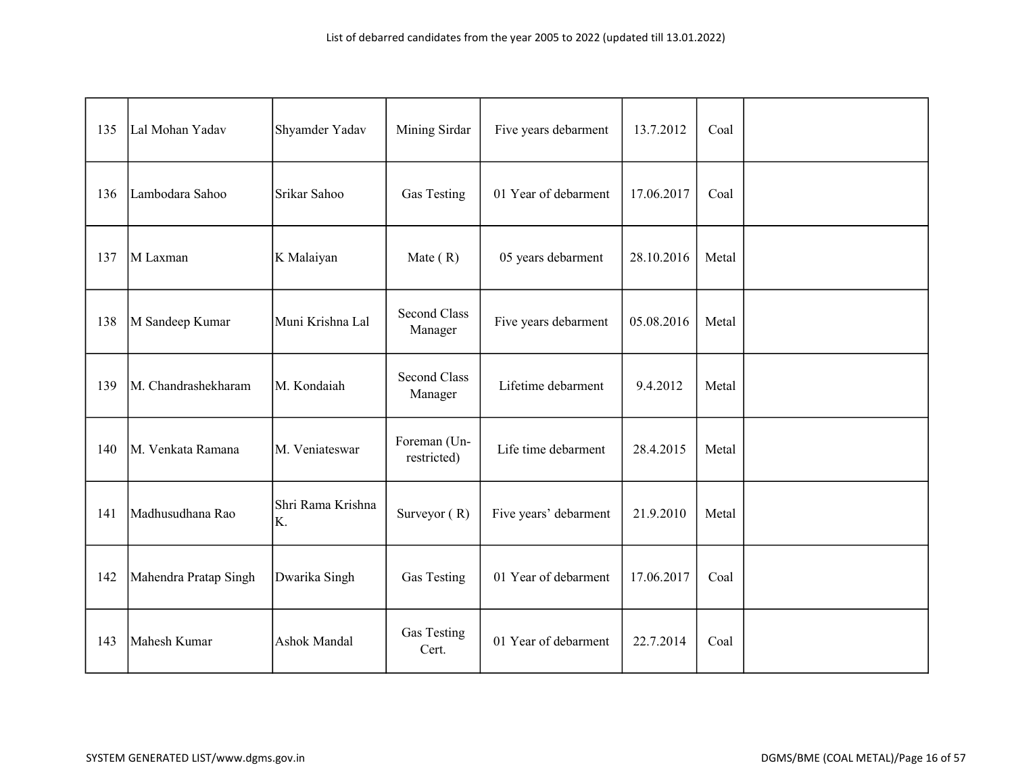| 135 | Lal Mohan Yadav       | Shyamder Yadav          | Mining Sirdar                  | Five years debarment  | 13.7.2012  | Coal  |  |
|-----|-----------------------|-------------------------|--------------------------------|-----------------------|------------|-------|--|
| 136 | Lambodara Sahoo       | Srikar Sahoo            | Gas Testing                    | 01 Year of debarment  | 17.06.2017 | Coal  |  |
| 137 | M Laxman              | K Malaiyan              | Mate $(R)$                     | 05 years debarment    | 28.10.2016 | Metal |  |
| 138 | M Sandeep Kumar       | Muni Krishna Lal        | <b>Second Class</b><br>Manager | Five years debarment  | 05.08.2016 | Metal |  |
| 139 | M. Chandrashekharam   | M. Kondaiah             | <b>Second Class</b><br>Manager | Lifetime debarment    | 9.4.2012   | Metal |  |
| 140 | M. Venkata Ramana     | M. Veniateswar          | Foreman (Un-<br>restricted)    | Life time debarment   | 28.4.2015  | Metal |  |
| 141 | Madhusudhana Rao      | Shri Rama Krishna<br>K. | Surveyor $(R)$                 | Five years' debarment | 21.9.2010  | Metal |  |
| 142 | Mahendra Pratap Singh | Dwarika Singh           | Gas Testing                    | 01 Year of debarment  | 17.06.2017 | Coal  |  |
| 143 | Mahesh Kumar          | Ashok Mandal            | Gas Testing<br>Cert.           | 01 Year of debarment  | 22.7.2014  | Coal  |  |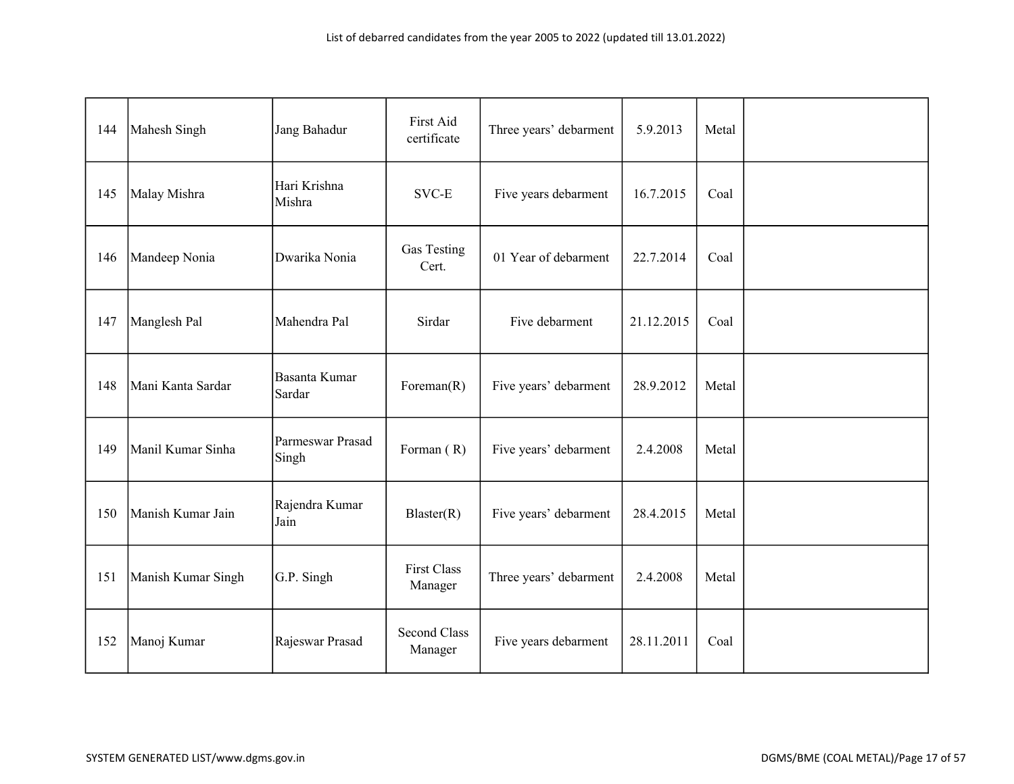| 144 | Mahesh Singh       | Jang Bahadur              | First Aid<br>certificate       | Three years' debarment | 5.9.2013   | Metal |  |
|-----|--------------------|---------------------------|--------------------------------|------------------------|------------|-------|--|
| 145 | Malay Mishra       | Hari Krishna<br>Mishra    | SVC-E                          | Five years debarment   | 16.7.2015  | Coal  |  |
| 146 | Mandeep Nonia      | Dwarika Nonia             | Gas Testing<br>Cert.           | 01 Year of debarment   | 22.7.2014  | Coal  |  |
| 147 | Manglesh Pal       | Mahendra Pal              | Sirdar                         | Five debarment         | 21.12.2015 | Coal  |  |
| 148 | Mani Kanta Sardar  | Basanta Kumar<br>Sardar   | Foreman $(R)$                  | Five years' debarment  | 28.9.2012  | Metal |  |
| 149 | Manil Kumar Sinha  | Parmeswar Prasad<br>Singh | Forman (R)                     | Five years' debarment  | 2.4.2008   | Metal |  |
| 150 | Manish Kumar Jain  | Rajendra Kumar<br>Jain    | Blaster(R)                     | Five years' debarment  | 28.4.2015  | Metal |  |
| 151 | Manish Kumar Singh | G.P. Singh                | <b>First Class</b><br>Manager  | Three years' debarment | 2.4.2008   | Metal |  |
| 152 | Manoj Kumar        | Rajeswar Prasad           | <b>Second Class</b><br>Manager | Five years debarment   | 28.11.2011 | Coal  |  |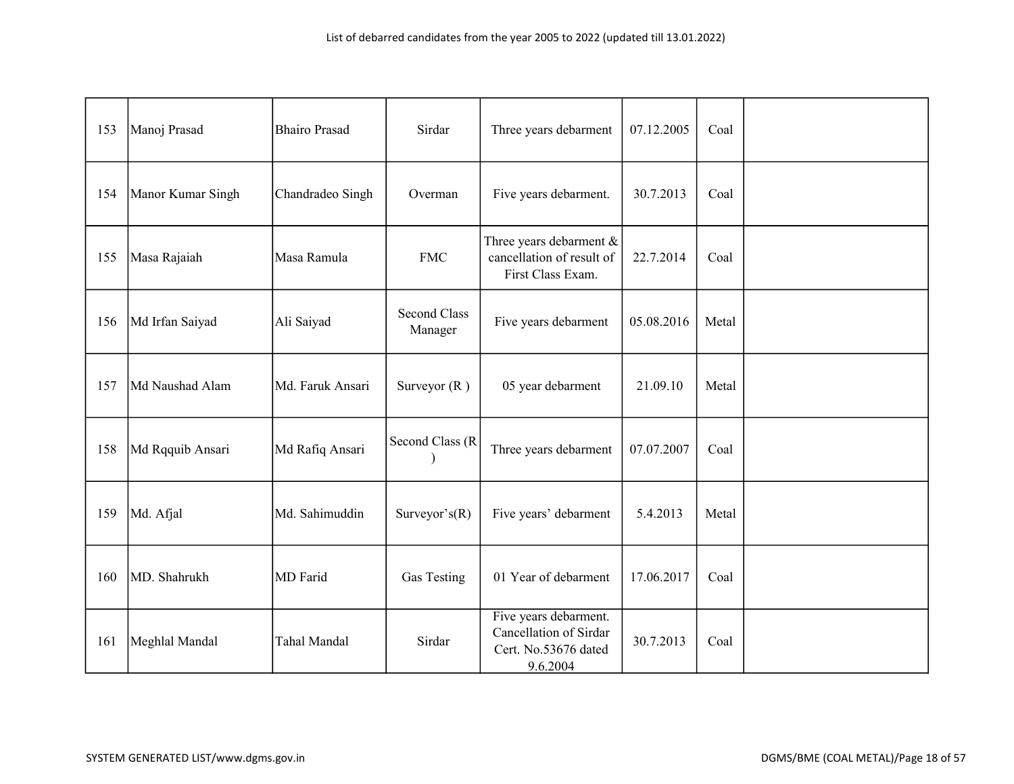| 153 | Manoj Prasad      | <b>Bhairo Prasad</b> | Sirdar                         | Three years debarment                                                               | 07.12.2005 | Coal  |  |
|-----|-------------------|----------------------|--------------------------------|-------------------------------------------------------------------------------------|------------|-------|--|
| 154 | Manor Kumar Singh | Chandradeo Singh     | Overman                        | Five years debarment.                                                               | 30.7.2013  | Coal  |  |
| 155 | Masa Rajaiah      | Masa Ramula          | <b>FMC</b>                     | Three years debarment $\&$<br>cancellation of result of<br>First Class Exam.        | 22.7.2014  | Coal  |  |
| 156 | Md Irfan Saiyad   | Ali Saiyad           | <b>Second Class</b><br>Manager | Five years debarment                                                                | 05.08.2016 | Metal |  |
| 157 | Md Naushad Alam   | Md. Faruk Ansari     | Surveyor $(R)$                 | 05 year debarment                                                                   | 21.09.10   | Metal |  |
| 158 | Md Rqquib Ansari  | Md Rafiq Ansari      | Second Class (R                | Three years debarment                                                               | 07.07.2007 | Coal  |  |
| 159 | Md. Afjal         | Md. Sahimuddin       | Surveyor's $(R)$               | Five years' debarment                                                               | 5.4.2013   | Metal |  |
| 160 | MD. Shahrukh      | MD Farid             | Gas Testing                    | 01 Year of debarment                                                                | 17.06.2017 | Coal  |  |
| 161 | Meghlal Mandal    | Tahal Mandal         | Sirdar                         | Five years debarment.<br>Cancellation of Sirdar<br>Cert. No.53676 dated<br>9.6.2004 | 30.7.2013  | Coal  |  |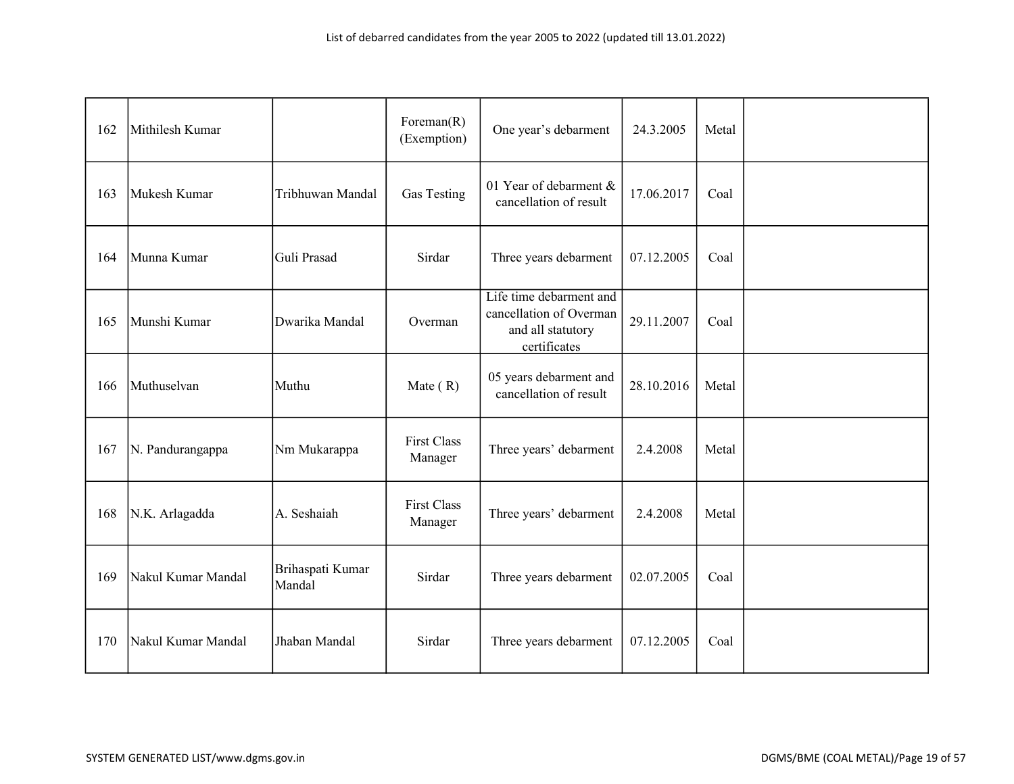| 162 | Mithilesh Kumar    |                            | Foreman $(R)$<br>(Exemption)  | One year's debarment                                                                    | 24.3.2005  | Metal |  |
|-----|--------------------|----------------------------|-------------------------------|-----------------------------------------------------------------------------------------|------------|-------|--|
| 163 | Mukesh Kumar       | Tribhuwan Mandal           | Gas Testing                   | 01 Year of debarment &<br>cancellation of result                                        | 17.06.2017 | Coal  |  |
| 164 | Munna Kumar        | Guli Prasad                | Sirdar                        | Three years debarment                                                                   | 07.12.2005 | Coal  |  |
| 165 | Munshi Kumar       | Dwarika Mandal             | Overman                       | Life time debarment and<br>cancellation of Overman<br>and all statutory<br>certificates | 29.11.2007 | Coal  |  |
| 166 | Muthuselvan        | Muthu                      | Mate $(R)$                    | 05 years debarment and<br>cancellation of result                                        | 28.10.2016 | Metal |  |
| 167 | N. Pandurangappa   | Nm Mukarappa               | <b>First Class</b><br>Manager | Three years' debarment                                                                  | 2.4.2008   | Metal |  |
| 168 | N.K. Arlagadda     | A. Seshaiah                | <b>First Class</b><br>Manager | Three years' debarment                                                                  | 2.4.2008   | Metal |  |
| 169 | Nakul Kumar Mandal | Brihaspati Kumar<br>Mandal | Sirdar                        | Three years debarment                                                                   | 02.07.2005 | Coal  |  |
| 170 | Nakul Kumar Mandal | Jhaban Mandal              | Sirdar                        | Three years debarment                                                                   | 07.12.2005 | Coal  |  |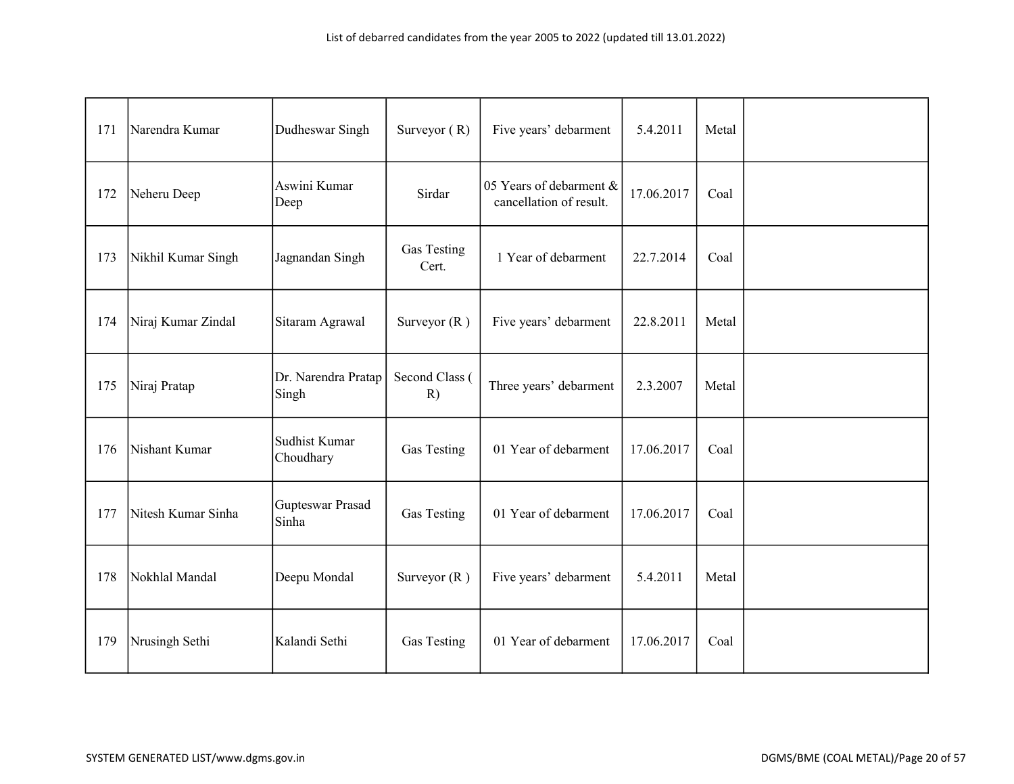| 171 | Narendra Kumar     | Dudheswar Singh              | Surveyor $(R)$       | Five years' debarment                              | 5.4.2011   | Metal |  |
|-----|--------------------|------------------------------|----------------------|----------------------------------------------------|------------|-------|--|
| 172 | Neheru Deep        | Aswini Kumar<br>Deep         | Sirdar               | 05 Years of debarment &<br>cancellation of result. | 17.06.2017 | Coal  |  |
| 173 | Nikhil Kumar Singh | Jagnandan Singh              | Gas Testing<br>Cert. | 1 Year of debarment                                | 22.7.2014  | Coal  |  |
| 174 | Niraj Kumar Zindal | Sitaram Agrawal              | Surveyor $(R)$       | Five years' debarment                              | 22.8.2011  | Metal |  |
| 175 | Niraj Pratap       | Dr. Narendra Pratap<br>Singh | Second Class (<br>R) | Three years' debarment                             | 2.3.2007   | Metal |  |
| 176 | Nishant Kumar      | Sudhist Kumar<br>Choudhary   | Gas Testing          | 01 Year of debarment                               | 17.06.2017 | Coal  |  |
| 177 | Nitesh Kumar Sinha | Gupteswar Prasad<br>Sinha    | Gas Testing          | 01 Year of debarment                               | 17.06.2017 | Coal  |  |
| 178 | Nokhlal Mandal     | Deepu Mondal                 | Surveyor $(R)$       | Five years' debarment                              | 5.4.2011   | Metal |  |
| 179 | Nrusingh Sethi     | Kalandi Sethi                | Gas Testing          | 01 Year of debarment                               | 17.06.2017 | Coal  |  |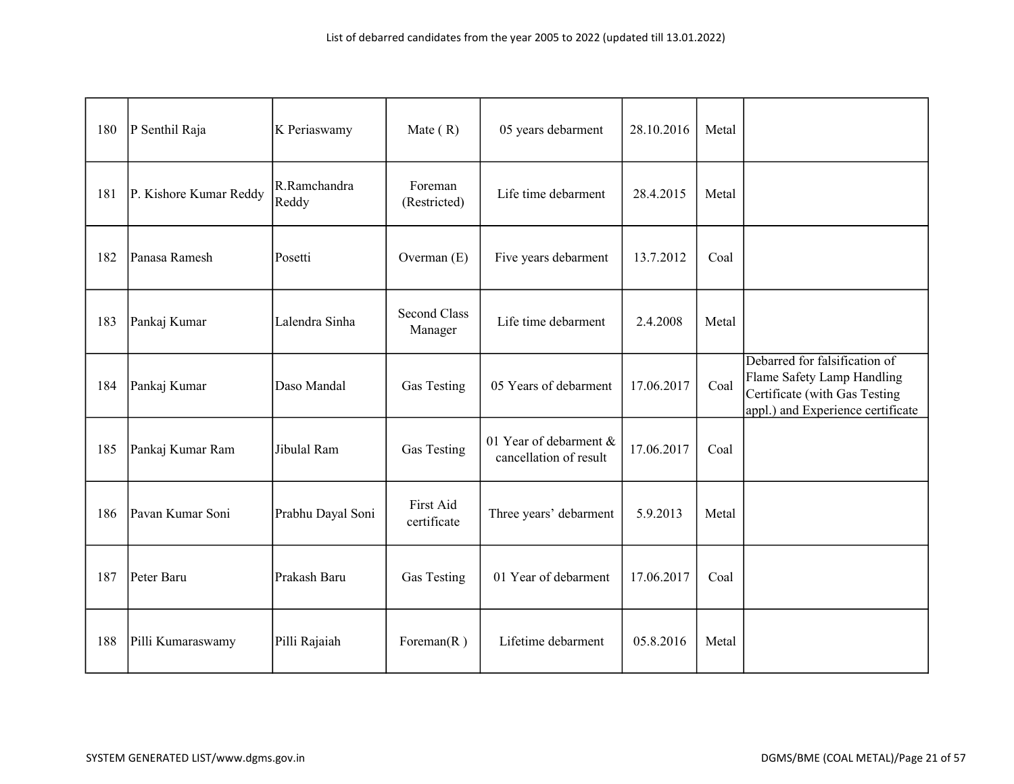| 180 | P Senthil Raja         | K Periaswamy          | Mate $(R)$                     | 05 years debarment                               | 28.10.2016 | Metal |                                                                                                                                   |
|-----|------------------------|-----------------------|--------------------------------|--------------------------------------------------|------------|-------|-----------------------------------------------------------------------------------------------------------------------------------|
| 181 | P. Kishore Kumar Reddy | R.Ramchandra<br>Reddy | Foreman<br>(Restricted)        | Life time debarment                              | 28.4.2015  | Metal |                                                                                                                                   |
| 182 | Panasa Ramesh          | Posetti               | Overman $(E)$                  | Five years debarment                             | 13.7.2012  | Coal  |                                                                                                                                   |
| 183 | Pankaj Kumar           | Lalendra Sinha        | <b>Second Class</b><br>Manager | Life time debarment                              | 2.4.2008   | Metal |                                                                                                                                   |
| 184 | Pankaj Kumar           | Daso Mandal           | Gas Testing                    | 05 Years of debarment                            | 17.06.2017 | Coal  | Debarred for falsification of<br>Flame Safety Lamp Handling<br>Certificate (with Gas Testing<br>appl.) and Experience certificate |
| 185 | Pankaj Kumar Ram       | Jibulal Ram           | Gas Testing                    | 01 Year of debarment &<br>cancellation of result | 17.06.2017 | Coal  |                                                                                                                                   |
| 186 | Pavan Kumar Soni       | Prabhu Dayal Soni     | First Aid<br>certificate       | Three years' debarment                           | 5.9.2013   | Metal |                                                                                                                                   |
| 187 | Peter Baru             | Prakash Baru          | Gas Testing                    | 01 Year of debarment                             | 17.06.2017 | Coal  |                                                                                                                                   |
| 188 | Pilli Kumaraswamy      | Pilli Rajaiah         | Foreman $(R)$                  | Lifetime debarment                               | 05.8.2016  | Metal |                                                                                                                                   |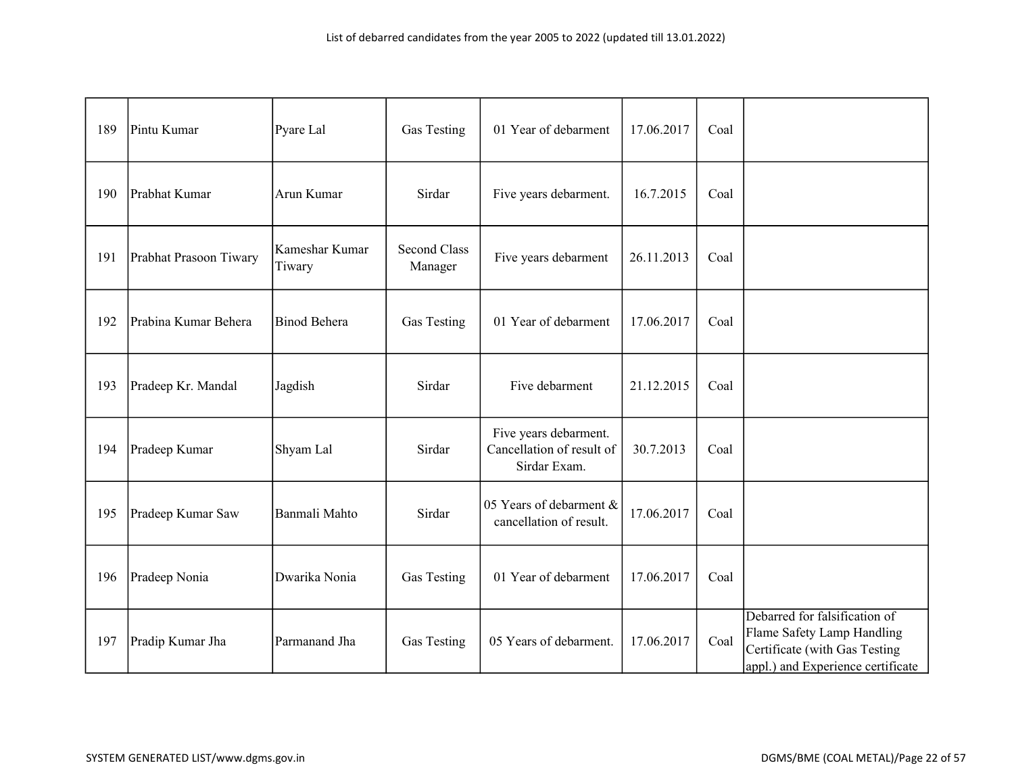| 189 | Pintu Kumar            | Pyare Lal                | Gas Testing                    | 01 Year of debarment                                               | 17.06.2017 | Coal |                                                                                                                                   |
|-----|------------------------|--------------------------|--------------------------------|--------------------------------------------------------------------|------------|------|-----------------------------------------------------------------------------------------------------------------------------------|
| 190 | Prabhat Kumar          | Arun Kumar               | Sirdar                         | Five years debarment.                                              | 16.7.2015  | Coal |                                                                                                                                   |
| 191 | Prabhat Prasoon Tiwary | Kameshar Kumar<br>Tiwary | <b>Second Class</b><br>Manager | Five years debarment                                               | 26.11.2013 | Coal |                                                                                                                                   |
| 192 | Prabina Kumar Behera   | <b>Binod Behera</b>      | Gas Testing                    | 01 Year of debarment                                               | 17.06.2017 | Coal |                                                                                                                                   |
| 193 | Pradeep Kr. Mandal     | Jagdish                  | Sirdar                         | Five debarment                                                     | 21.12.2015 | Coal |                                                                                                                                   |
| 194 | Pradeep Kumar          | Shyam Lal                | Sirdar                         | Five years debarment.<br>Cancellation of result of<br>Sirdar Exam. | 30.7.2013  | Coal |                                                                                                                                   |
| 195 | Pradeep Kumar Saw      | Banmali Mahto            | Sirdar                         | 05 Years of debarment &<br>cancellation of result.                 | 17.06.2017 | Coal |                                                                                                                                   |
| 196 | Pradeep Nonia          | Dwarika Nonia            | Gas Testing                    | 01 Year of debarment                                               | 17.06.2017 | Coal |                                                                                                                                   |
| 197 | Pradip Kumar Jha       | Parmanand Jha            | Gas Testing                    | 05 Years of debarment.                                             | 17.06.2017 | Coal | Debarred for falsification of<br>Flame Safety Lamp Handling<br>Certificate (with Gas Testing<br>appl.) and Experience certificate |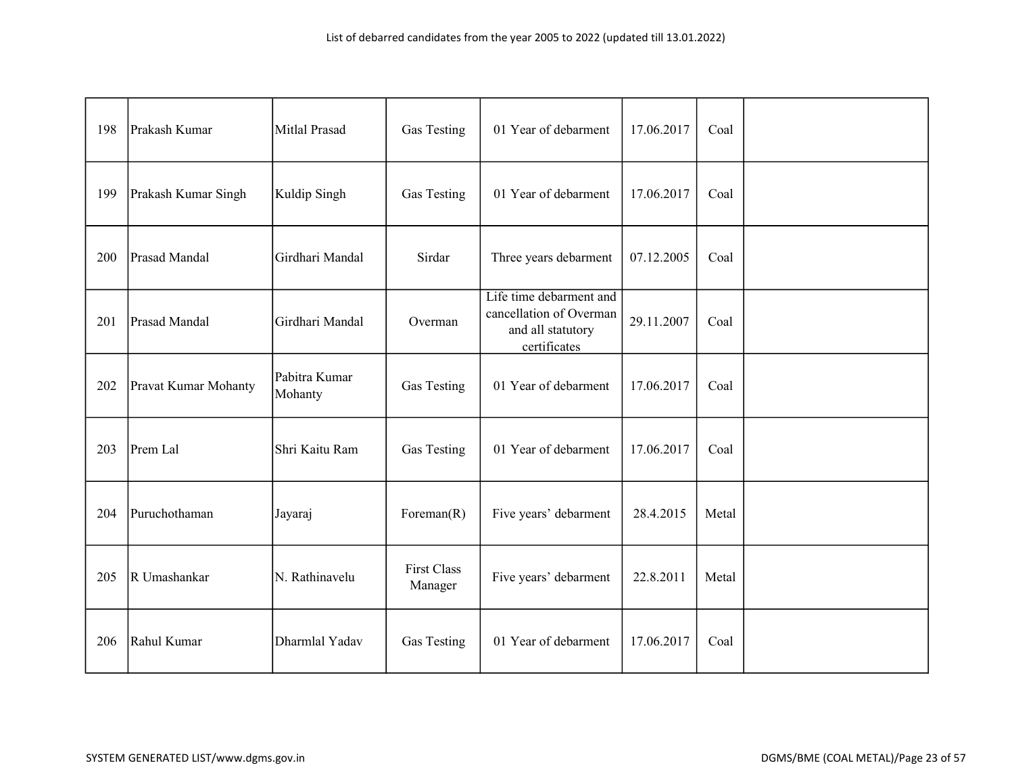| 198 | Prakash Kumar        | Mitlal Prasad            | Gas Testing                   | 01 Year of debarment                                                                    | 17.06.2017 | Coal  |  |
|-----|----------------------|--------------------------|-------------------------------|-----------------------------------------------------------------------------------------|------------|-------|--|
| 199 | Prakash Kumar Singh  | Kuldip Singh             | Gas Testing                   | 01 Year of debarment                                                                    | 17.06.2017 | Coal  |  |
| 200 | Prasad Mandal        | Girdhari Mandal          | Sirdar                        | Three years debarment                                                                   | 07.12.2005 | Coal  |  |
| 201 | Prasad Mandal        | Girdhari Mandal          | Overman                       | Life time debarment and<br>cancellation of Overman<br>and all statutory<br>certificates | 29.11.2007 | Coal  |  |
| 202 | Pravat Kumar Mohanty | Pabitra Kumar<br>Mohanty | Gas Testing                   | 01 Year of debarment                                                                    | 17.06.2017 | Coal  |  |
| 203 | Prem Lal             | Shri Kaitu Ram           | Gas Testing                   | 01 Year of debarment                                                                    | 17.06.2017 | Coal  |  |
| 204 | Puruchothaman        | Jayaraj                  | Foreman $(R)$                 | Five years' debarment                                                                   | 28.4.2015  | Metal |  |
| 205 | R Umashankar         | N. Rathinavelu           | <b>First Class</b><br>Manager | Five years' debarment                                                                   | 22.8.2011  | Metal |  |
| 206 | Rahul Kumar          | Dharmlal Yadav           | Gas Testing                   | 01 Year of debarment                                                                    | 17.06.2017 | Coal  |  |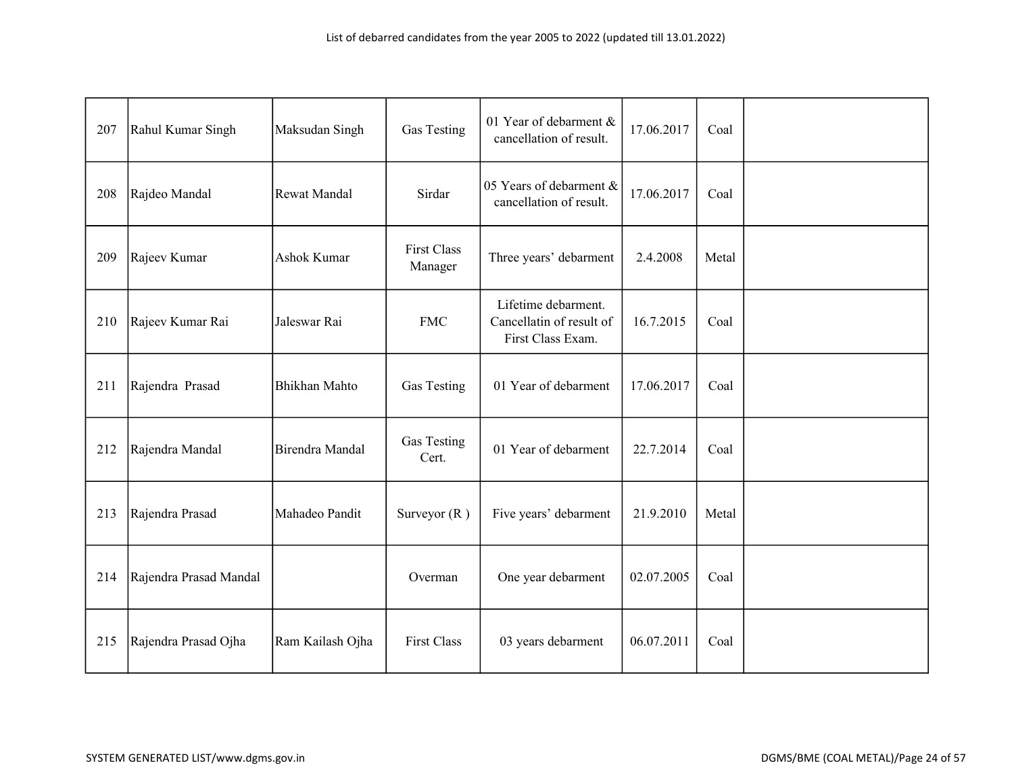| 207 | Rahul Kumar Singh      | Maksudan Singh       | Gas Testing                   | 01 Year of debarment &<br>cancellation of result.                    | 17.06.2017 | Coal  |  |
|-----|------------------------|----------------------|-------------------------------|----------------------------------------------------------------------|------------|-------|--|
| 208 | Rajdeo Mandal          | Rewat Mandal         | Sirdar                        | 05 Years of debarment &<br>cancellation of result.                   | 17.06.2017 | Coal  |  |
| 209 | Rajeev Kumar           | Ashok Kumar          | <b>First Class</b><br>Manager | Three years' debarment                                               | 2.4.2008   | Metal |  |
| 210 | Rajeev Kumar Rai       | Jaleswar Rai         | <b>FMC</b>                    | Lifetime debarment.<br>Cancellatin of result of<br>First Class Exam. | 16.7.2015  | Coal  |  |
| 211 | Rajendra Prasad        | <b>Bhikhan Mahto</b> | <b>Gas Testing</b>            | 01 Year of debarment                                                 | 17.06.2017 | Coal  |  |
| 212 | Rajendra Mandal        | Birendra Mandal      | Gas Testing<br>Cert.          | 01 Year of debarment                                                 | 22.7.2014  | Coal  |  |
| 213 | Rajendra Prasad        | Mahadeo Pandit       | Surveyor $(R)$                | Five years' debarment                                                | 21.9.2010  | Metal |  |
| 214 | Rajendra Prasad Mandal |                      | Overman                       | One year debarment                                                   | 02.07.2005 | Coal  |  |
| 215 | Rajendra Prasad Ojha   | Ram Kailash Ojha     | <b>First Class</b>            | 03 years debarment                                                   | 06.07.2011 | Coal  |  |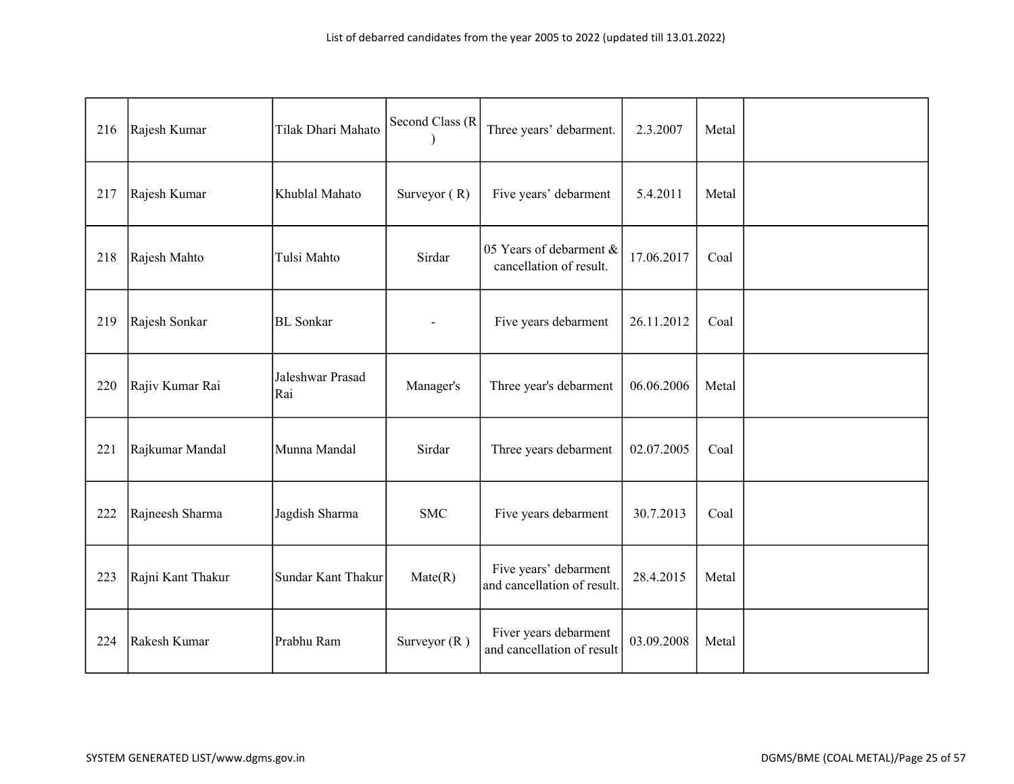| 216 | Rajesh Kumar      | Tilak Dhari Mahato      | Second Class (R | Three years' debarment.                              | 2.3.2007   | Metal |  |
|-----|-------------------|-------------------------|-----------------|------------------------------------------------------|------------|-------|--|
| 217 | Rajesh Kumar      | Khublal Mahato          | Surveyor $(R)$  | Five years' debarment                                | 5.4.2011   | Metal |  |
| 218 | Rajesh Mahto      | Tulsi Mahto             | Sirdar          | 05 Years of debarment &<br>cancellation of result.   | 17.06.2017 | Coal  |  |
| 219 | Rajesh Sonkar     | <b>BL</b> Sonkar        | $\overline{a}$  | Five years debarment                                 | 26.11.2012 | Coal  |  |
| 220 | Rajiv Kumar Rai   | Jaleshwar Prasad<br>Rai | Manager's       | Three year's debarment                               | 06.06.2006 | Metal |  |
| 221 | Rajkumar Mandal   | Munna Mandal            | Sirdar          | Three years debarment                                | 02.07.2005 | Coal  |  |
| 222 | Rajneesh Sharma   | Jagdish Sharma          | <b>SMC</b>      | Five years debarment                                 | 30.7.2013  | Coal  |  |
| 223 | Rajni Kant Thakur | Sundar Kant Thakur      | Mate(R)         | Five years' debarment<br>and cancellation of result. | 28.4.2015  | Metal |  |
| 224 | Rakesh Kumar      | Prabhu Ram              | Surveyor $(R)$  | Fiver years debarment<br>and cancellation of result  | 03.09.2008 | Metal |  |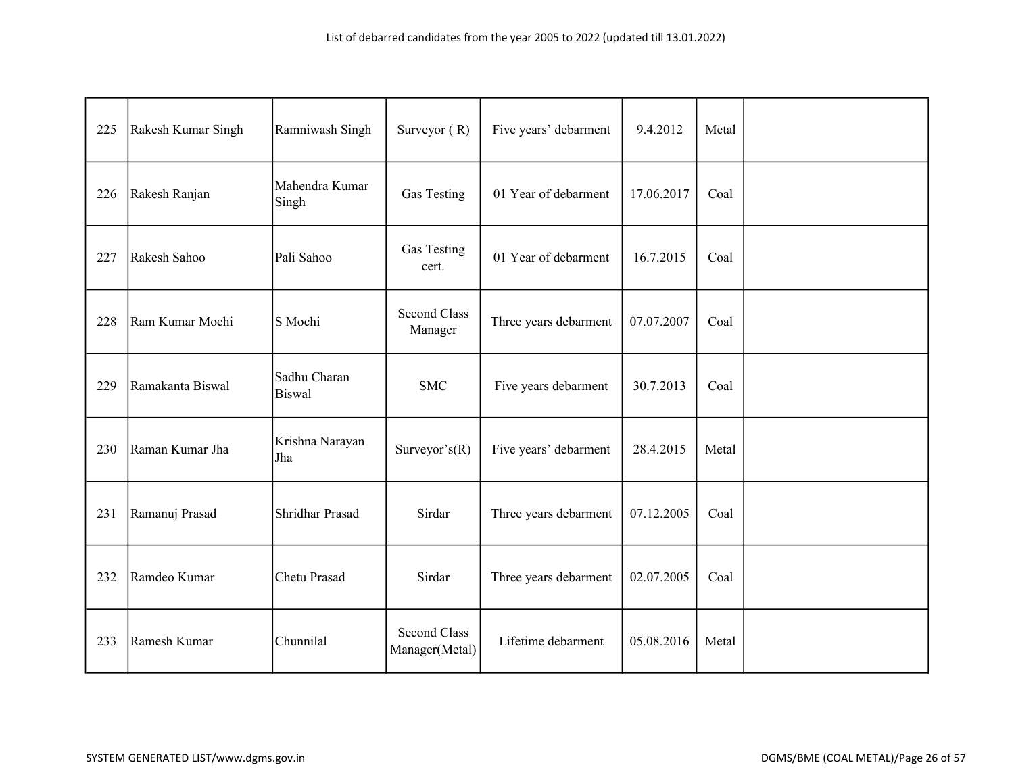| 225 | Rakesh Kumar Singh | Ramniwash Singh               | Surveyor $(R)$                        | Five years' debarment | 9.4.2012   | Metal |  |
|-----|--------------------|-------------------------------|---------------------------------------|-----------------------|------------|-------|--|
| 226 | Rakesh Ranjan      | Mahendra Kumar<br>Singh       | Gas Testing                           | 01 Year of debarment  | 17.06.2017 | Coal  |  |
| 227 | Rakesh Sahoo       | Pali Sahoo                    | Gas Testing<br>cert.                  | 01 Year of debarment  | 16.7.2015  | Coal  |  |
| 228 | Ram Kumar Mochi    | S Mochi                       | <b>Second Class</b><br>Manager        | Three years debarment | 07.07.2007 | Coal  |  |
| 229 | Ramakanta Biswal   | Sadhu Charan<br><b>Biswal</b> | <b>SMC</b>                            | Five years debarment  | 30.7.2013  | Coal  |  |
| 230 | Raman Kumar Jha    | Krishna Narayan<br>Jha        | Surveyor's $(R)$                      | Five years' debarment | 28.4.2015  | Metal |  |
| 231 | Ramanuj Prasad     | Shridhar Prasad               | Sirdar                                | Three years debarment | 07.12.2005 | Coal  |  |
| 232 | Ramdeo Kumar       | Chetu Prasad                  | Sirdar                                | Three years debarment | 02.07.2005 | Coal  |  |
| 233 | Ramesh Kumar       | Chunnilal                     | <b>Second Class</b><br>Manager(Metal) | Lifetime debarment    | 05.08.2016 | Metal |  |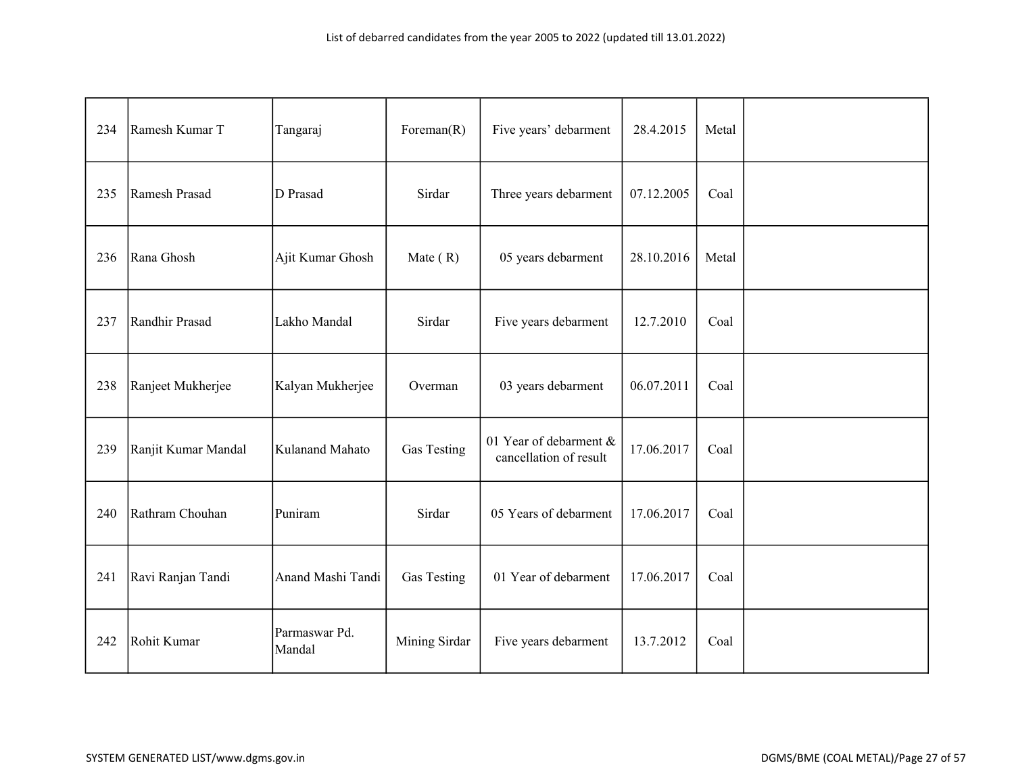| 234 | Ramesh Kumar T      | Tangaraj                | Foreman $(R)$ | Five years' debarment                            | 28.4.2015  | Metal |  |
|-----|---------------------|-------------------------|---------------|--------------------------------------------------|------------|-------|--|
| 235 | Ramesh Prasad       | D Prasad                | Sirdar        | Three years debarment                            | 07.12.2005 | Coal  |  |
| 236 | Rana Ghosh          | Ajit Kumar Ghosh        | Mate $(R)$    | 05 years debarment                               | 28.10.2016 | Metal |  |
| 237 | Randhir Prasad      | Lakho Mandal            | Sirdar        | Five years debarment                             | 12.7.2010  | Coal  |  |
| 238 | Ranjeet Mukherjee   | Kalyan Mukherjee        | Overman       | 03 years debarment                               | 06.07.2011 | Coal  |  |
| 239 | Ranjit Kumar Mandal | Kulanand Mahato         | Gas Testing   | 01 Year of debarment &<br>cancellation of result | 17.06.2017 | Coal  |  |
| 240 | Rathram Chouhan     | Puniram                 | Sirdar        | 05 Years of debarment                            | 17.06.2017 | Coal  |  |
| 241 | Ravi Ranjan Tandi   | Anand Mashi Tandi       | Gas Testing   | 01 Year of debarment                             | 17.06.2017 | Coal  |  |
| 242 | Rohit Kumar         | Parmaswar Pd.<br>Mandal | Mining Sirdar | Five years debarment                             | 13.7.2012  | Coal  |  |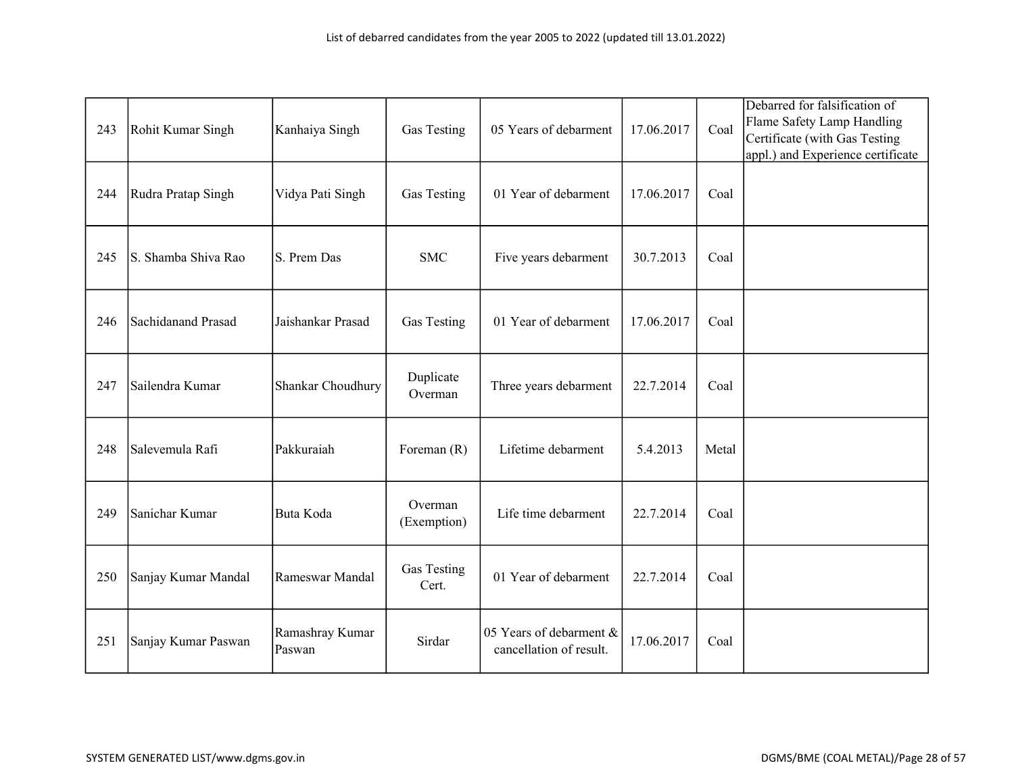| 243 | Rohit Kumar Singh   | Kanhaiya Singh            | Gas Testing            | 05 Years of debarment                              | 17.06.2017 | Coal  | Debarred for falsification of<br>Flame Safety Lamp Handling<br>Certificate (with Gas Testing<br>appl.) and Experience certificate |
|-----|---------------------|---------------------------|------------------------|----------------------------------------------------|------------|-------|-----------------------------------------------------------------------------------------------------------------------------------|
| 244 | Rudra Pratap Singh  | Vidya Pati Singh          | Gas Testing            | 01 Year of debarment                               | 17.06.2017 | Coal  |                                                                                                                                   |
| 245 | S. Shamba Shiva Rao | S. Prem Das               | <b>SMC</b>             | Five years debarment                               | 30.7.2013  | Coal  |                                                                                                                                   |
| 246 | Sachidanand Prasad  | Jaishankar Prasad         | Gas Testing            | 01 Year of debarment                               | 17.06.2017 | Coal  |                                                                                                                                   |
| 247 | Sailendra Kumar     | Shankar Choudhury         | Duplicate<br>Overman   | Three years debarment                              | 22.7.2014  | Coal  |                                                                                                                                   |
| 248 | Salevemula Rafi     | Pakkuraiah                | Foreman $(R)$          | Lifetime debarment                                 | 5.4.2013   | Metal |                                                                                                                                   |
| 249 | Sanichar Kumar      | Buta Koda                 | Overman<br>(Exemption) | Life time debarment                                | 22.7.2014  | Coal  |                                                                                                                                   |
| 250 | Sanjay Kumar Mandal | Rameswar Mandal           | Gas Testing<br>Cert.   | 01 Year of debarment                               | 22.7.2014  | Coal  |                                                                                                                                   |
| 251 | Sanjay Kumar Paswan | Ramashray Kumar<br>Paswan | Sirdar                 | 05 Years of debarment &<br>cancellation of result. | 17.06.2017 | Coal  |                                                                                                                                   |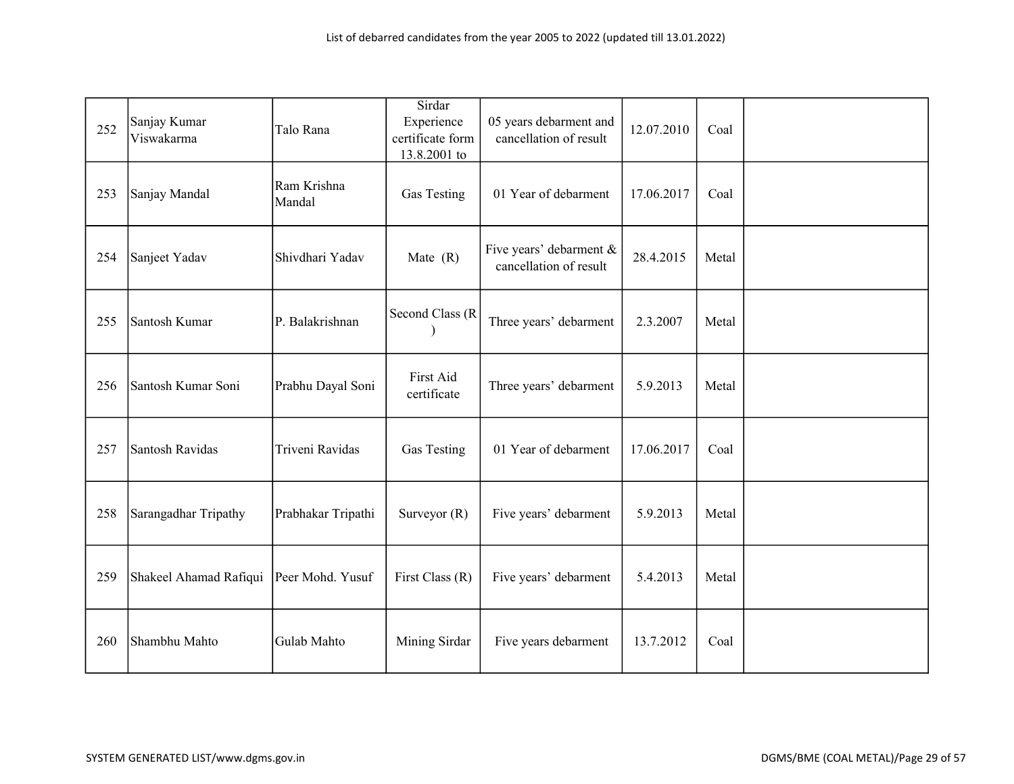| 252 | Sanjay Kumar<br>Viswakarma | Talo Rana             | Sirdar<br>Experience<br>certificate form<br>13.8.2001 to | 05 years debarment and<br>cancellation of result  | 12.07.2010 | Coal  |  |
|-----|----------------------------|-----------------------|----------------------------------------------------------|---------------------------------------------------|------------|-------|--|
| 253 | Sanjay Mandal              | Ram Krishna<br>Mandal | Gas Testing                                              | 01 Year of debarment                              | 17.06.2017 | Coal  |  |
| 254 | Sanjeet Yadav              | Shivdhari Yadav       | Mate $(R)$                                               | Five years' debarment &<br>cancellation of result | 28.4.2015  | Metal |  |
| 255 | Santosh Kumar              | P. Balakrishnan       | Second Class (R                                          | Three years' debarment                            | 2.3.2007   | Metal |  |
| 256 | Santosh Kumar Soni         | Prabhu Dayal Soni     | First Aid<br>certificate                                 | Three years' debarment                            | 5.9.2013   | Metal |  |
| 257 | Santosh Ravidas            | Triveni Ravidas       | Gas Testing                                              | 01 Year of debarment                              | 17.06.2017 | Coal  |  |
| 258 | Sarangadhar Tripathy       | Prabhakar Tripathi    | Surveyor $(R)$                                           | Five years' debarment                             | 5.9.2013   | Metal |  |
| 259 | Shakeel Ahamad Rafiqui     | Peer Mohd. Yusuf      | First Class $(R)$                                        | Five years' debarment                             | 5.4.2013   | Metal |  |
| 260 | Shambhu Mahto              | Gulab Mahto           | Mining Sirdar                                            | Five years debarment                              | 13.7.2012  | Coal  |  |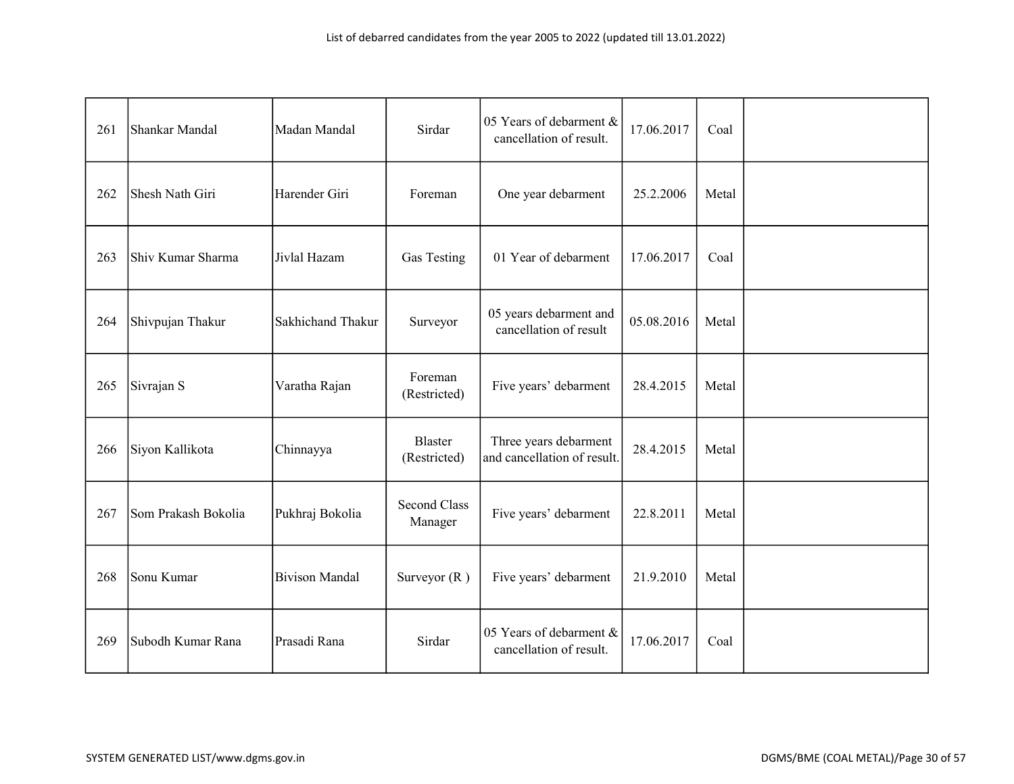| 261 | Shankar Mandal      | Madan Mandal          | Sirdar                         | 05 Years of debarment &<br>cancellation of result.   | 17.06.2017 | Coal  |  |
|-----|---------------------|-----------------------|--------------------------------|------------------------------------------------------|------------|-------|--|
| 262 | Shesh Nath Giri     | Harender Giri         | Foreman                        | One year debarment                                   | 25.2.2006  | Metal |  |
| 263 | Shiv Kumar Sharma   | Jivlal Hazam          | Gas Testing                    | 01 Year of debarment                                 | 17.06.2017 | Coal  |  |
| 264 | Shivpujan Thakur    | Sakhichand Thakur     | Surveyor                       | 05 years debarment and<br>cancellation of result     | 05.08.2016 | Metal |  |
| 265 | Sivrajan S          | Varatha Rajan         | Foreman<br>(Restricted)        | Five years' debarment                                | 28.4.2015  | Metal |  |
| 266 | Siyon Kallikota     | Chinnayya             | <b>Blaster</b><br>(Restricted) | Three years debarment<br>and cancellation of result. | 28.4.2015  | Metal |  |
| 267 | Som Prakash Bokolia | Pukhraj Bokolia       | <b>Second Class</b><br>Manager | Five years' debarment                                | 22.8.2011  | Metal |  |
| 268 | Sonu Kumar          | <b>Bivison Mandal</b> | Surveyor $(R)$                 | Five years' debarment                                | 21.9.2010  | Metal |  |
| 269 | Subodh Kumar Rana   | Prasadi Rana          | Sirdar                         | 05 Years of debarment &<br>cancellation of result.   | 17.06.2017 | Coal  |  |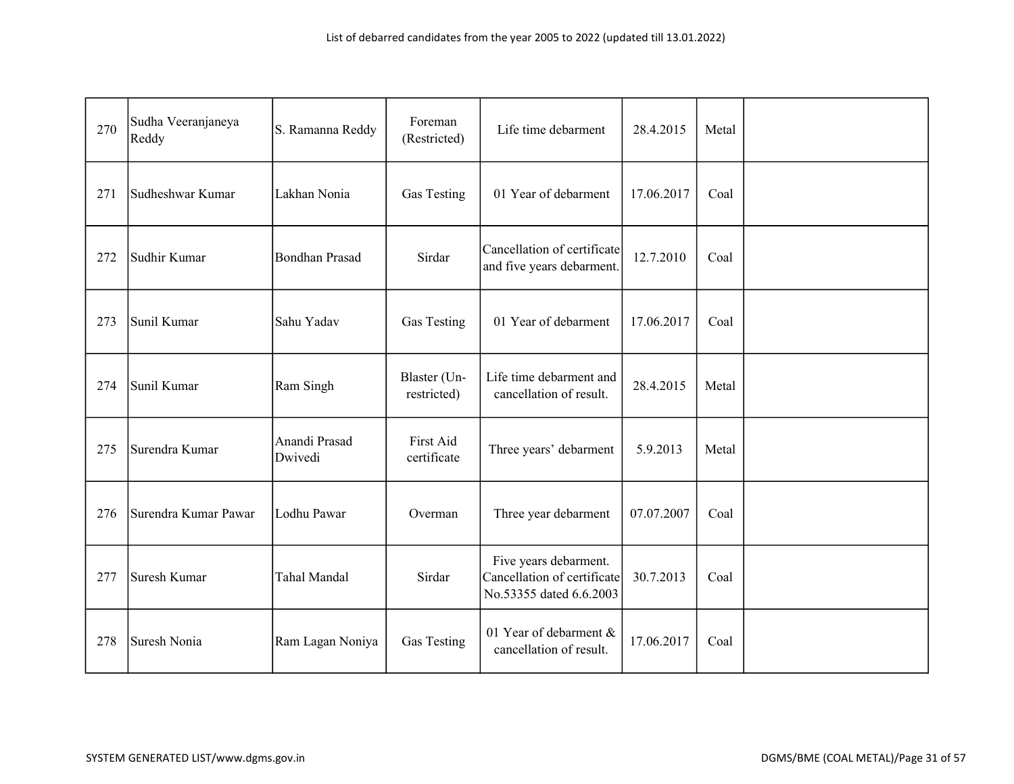| 270 | Sudha Veeranjaneya<br>Reddy | S. Ramanna Reddy         | Foreman<br>(Restricted)     | Life time debarment                                                             | 28.4.2015  | Metal |  |
|-----|-----------------------------|--------------------------|-----------------------------|---------------------------------------------------------------------------------|------------|-------|--|
| 271 | Sudheshwar Kumar            | Lakhan Nonia             | Gas Testing                 | 01 Year of debarment                                                            | 17.06.2017 | Coal  |  |
| 272 | Sudhir Kumar                | <b>Bondhan Prasad</b>    | Sirdar                      | Cancellation of certificate<br>and five years debarment.                        | 12.7.2010  | Coal  |  |
| 273 | Sunil Kumar                 | Sahu Yadav               | Gas Testing                 | 01 Year of debarment                                                            | 17.06.2017 | Coal  |  |
| 274 | Sunil Kumar                 | Ram Singh                | Blaster (Un-<br>restricted) | Life time debarment and<br>cancellation of result.                              | 28.4.2015  | Metal |  |
| 275 | Surendra Kumar              | Anandi Prasad<br>Dwivedi | First Aid<br>certificate    | Three years' debarment                                                          | 5.9.2013   | Metal |  |
| 276 | Surendra Kumar Pawar        | Lodhu Pawar              | Overman                     | Three year debarment                                                            | 07.07.2007 | Coal  |  |
| 277 | Suresh Kumar                | <b>Tahal Mandal</b>      | Sirdar                      | Five years debarment.<br>Cancellation of certificate<br>No.53355 dated 6.6.2003 | 30.7.2013  | Coal  |  |
| 278 | Suresh Nonia                | Ram Lagan Noniya         | Gas Testing                 | 01 Year of debarment &<br>cancellation of result.                               | 17.06.2017 | Coal  |  |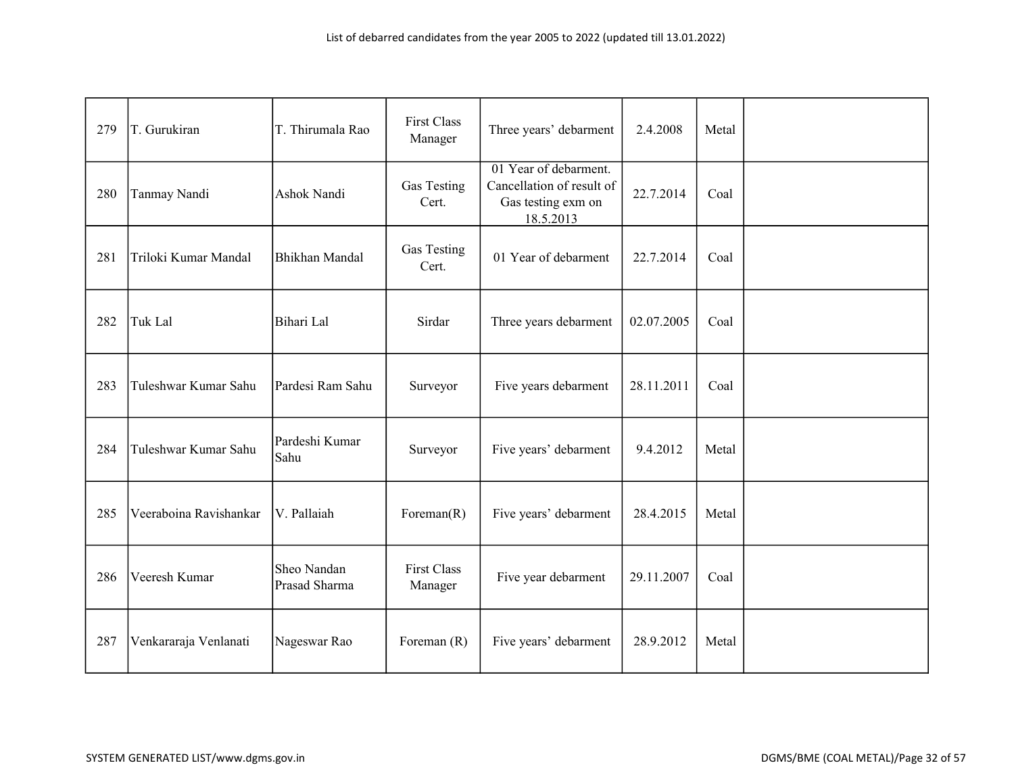| 279 | T. Gurukiran           | T. Thirumala Rao             | <b>First Class</b><br>Manager | Three years' debarment                                                                | 2.4.2008   | Metal |  |
|-----|------------------------|------------------------------|-------------------------------|---------------------------------------------------------------------------------------|------------|-------|--|
| 280 | Tanmay Nandi           | Ashok Nandi                  | Gas Testing<br>Cert.          | 01 Year of debarment.<br>Cancellation of result of<br>Gas testing exm on<br>18.5.2013 | 22.7.2014  | Coal  |  |
| 281 | Triloki Kumar Mandal   | Bhikhan Mandal               | Gas Testing<br>Cert.          | 01 Year of debarment                                                                  | 22.7.2014  | Coal  |  |
| 282 | Tuk Lal                | Bihari Lal                   | Sirdar                        | Three years debarment                                                                 | 02.07.2005 | Coal  |  |
| 283 | Tuleshwar Kumar Sahu   | Pardesi Ram Sahu             | Surveyor                      | Five years debarment                                                                  | 28.11.2011 | Coal  |  |
| 284 | Tuleshwar Kumar Sahu   | Pardeshi Kumar<br>Sahu       | Surveyor                      | Five years' debarment                                                                 | 9.4.2012   | Metal |  |
| 285 | Veeraboina Ravishankar | V. Pallaiah                  | Foreman $(R)$                 | Five years' debarment                                                                 | 28.4.2015  | Metal |  |
| 286 | Veeresh Kumar          | Sheo Nandan<br>Prasad Sharma | <b>First Class</b><br>Manager | Five year debarment                                                                   | 29.11.2007 | Coal  |  |
| 287 | Venkararaja Venlanati  | Nageswar Rao                 | Foreman $(R)$                 | Five years' debarment                                                                 | 28.9.2012  | Metal |  |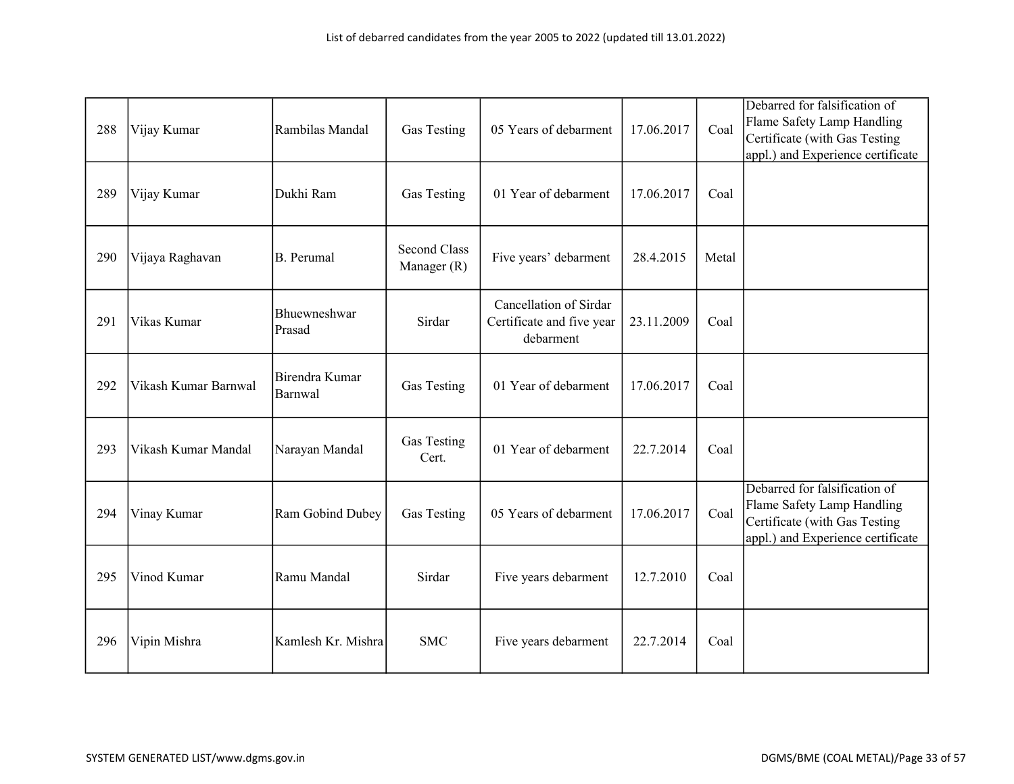| 288 | Vijay Kumar          | Rambilas Mandal           | Gas Testing                 | 05 Years of debarment                                            | 17.06.2017 | Coal  | Debarred for falsification of<br>Flame Safety Lamp Handling<br>Certificate (with Gas Testing<br>appl.) and Experience certificate |
|-----|----------------------|---------------------------|-----------------------------|------------------------------------------------------------------|------------|-------|-----------------------------------------------------------------------------------------------------------------------------------|
| 289 | Vijay Kumar          | Dukhi Ram                 | Gas Testing                 | 01 Year of debarment                                             | 17.06.2017 | Coal  |                                                                                                                                   |
| 290 | Vijaya Raghavan      | <b>B.</b> Perumal         | Second Class<br>Manager (R) | Five years' debarment                                            | 28.4.2015  | Metal |                                                                                                                                   |
| 291 | Vikas Kumar          | Bhuewneshwar<br>Prasad    | Sirdar                      | Cancellation of Sirdar<br>Certificate and five year<br>debarment | 23.11.2009 | Coal  |                                                                                                                                   |
| 292 | Vikash Kumar Barnwal | Birendra Kumar<br>Barnwal | Gas Testing                 | 01 Year of debarment                                             | 17.06.2017 | Coal  |                                                                                                                                   |
| 293 | Vikash Kumar Mandal  | Narayan Mandal            | Gas Testing<br>Cert.        | 01 Year of debarment                                             | 22.7.2014  | Coal  |                                                                                                                                   |
| 294 | Vinay Kumar          | Ram Gobind Dubey          | Gas Testing                 | 05 Years of debarment                                            | 17.06.2017 | Coal  | Debarred for falsification of<br>Flame Safety Lamp Handling<br>Certificate (with Gas Testing<br>appl.) and Experience certificate |
| 295 | Vinod Kumar          | Ramu Mandal               | Sirdar                      | Five years debarment                                             | 12.7.2010  | Coal  |                                                                                                                                   |
| 296 | Vipin Mishra         | Kamlesh Kr. Mishra        | <b>SMC</b>                  | Five years debarment                                             | 22.7.2014  | Coal  |                                                                                                                                   |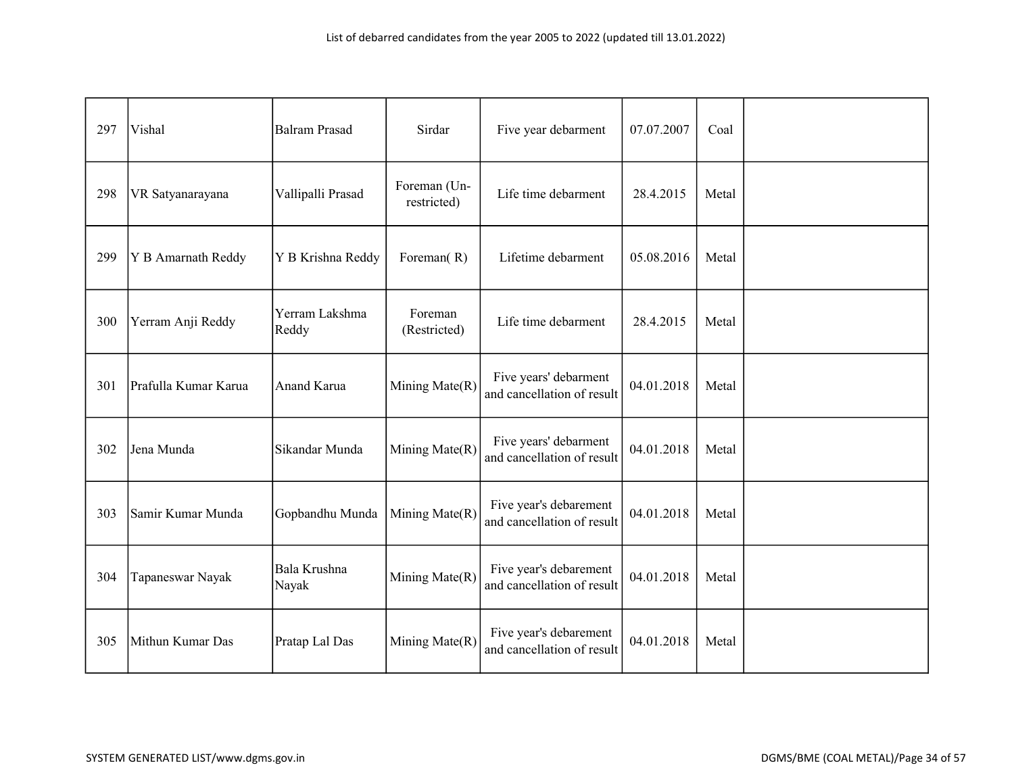| 297 | Vishal               | <b>Balram Prasad</b>    | Sirdar                      | Five year debarment                                  | 07.07.2007 | Coal  |  |
|-----|----------------------|-------------------------|-----------------------------|------------------------------------------------------|------------|-------|--|
| 298 | VR Satyanarayana     | Vallipalli Prasad       | Foreman (Un-<br>restricted) | Life time debarment                                  | 28.4.2015  | Metal |  |
| 299 | Y B Amarnath Reddy   | Y B Krishna Reddy       | Foreman(R)                  | Lifetime debarment                                   | 05.08.2016 | Metal |  |
| 300 | Yerram Anji Reddy    | Yerram Lakshma<br>Reddy | Foreman<br>(Restricted)     | Life time debarment                                  | 28.4.2015  | Metal |  |
| 301 | Prafulla Kumar Karua | Anand Karua             | Mining Mate(R)              | Five years' debarment<br>and cancellation of result  | 04.01.2018 | Metal |  |
| 302 | Jena Munda           | Sikandar Munda          | Mining Mate(R)              | Five years' debarment<br>and cancellation of result  | 04.01.2018 | Metal |  |
| 303 | Samir Kumar Munda    | Gopbandhu Munda         | Mining Mate(R)              | Five year's debarement<br>and cancellation of result | 04.01.2018 | Metal |  |
| 304 | Tapaneswar Nayak     | Bala Krushna<br>Nayak   | Mining Mate(R)              | Five year's debarement<br>and cancellation of result | 04.01.2018 | Metal |  |
| 305 | Mithun Kumar Das     | Pratap Lal Das          | Mining Mate(R)              | Five year's debarement<br>and cancellation of result | 04.01.2018 | Metal |  |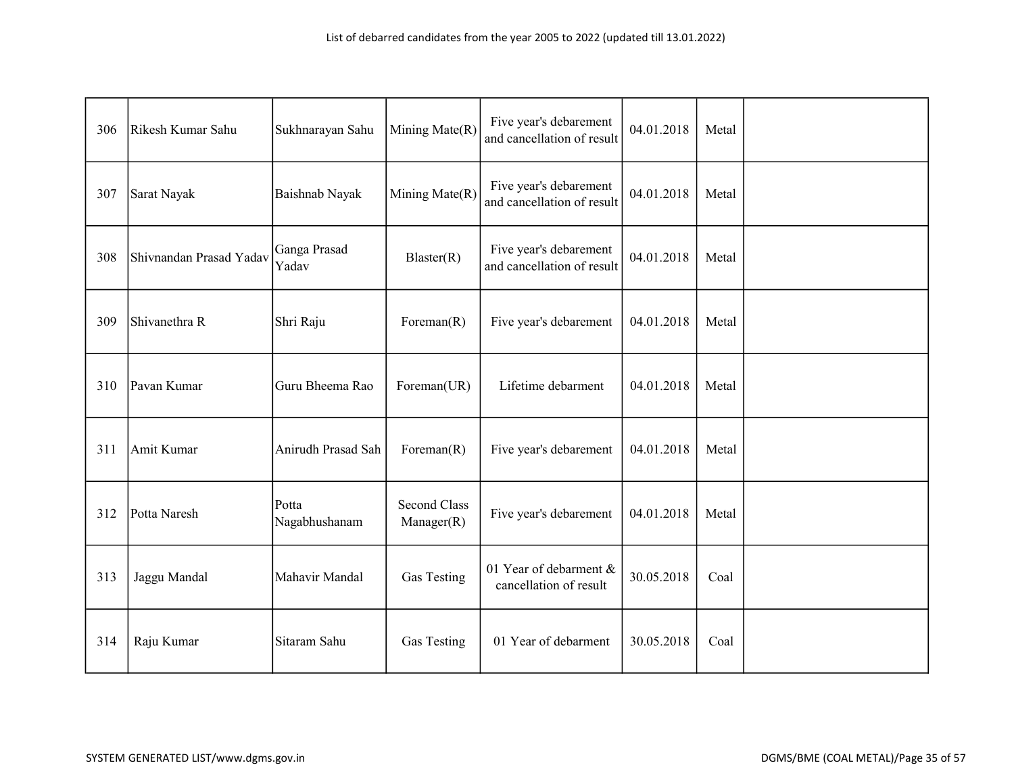| 306 | Rikesh Kumar Sahu       | Sukhnarayan Sahu       | Mining Mate(R)                    | Five year's debarement<br>and cancellation of result | 04.01.2018 | Metal |  |
|-----|-------------------------|------------------------|-----------------------------------|------------------------------------------------------|------------|-------|--|
| 307 | Sarat Nayak             | Baishnab Nayak         | Mining Mate(R)                    | Five year's debarement<br>and cancellation of result | 04.01.2018 | Metal |  |
| 308 | Shivnandan Prasad Yadav | Ganga Prasad<br>Yadav  | Blaster(R)                        | Five year's debarement<br>and cancellation of result | 04.01.2018 | Metal |  |
| 309 | Shivanethra R           | Shri Raju              | Foreman $(R)$                     | Five year's debarement                               | 04.01.2018 | Metal |  |
| 310 | Pavan Kumar             | Guru Bheema Rao        | Foreman(UR)                       | Lifetime debarment                                   | 04.01.2018 | Metal |  |
| 311 | Amit Kumar              | Anirudh Prasad Sah     | Foreman $(R)$                     | Five year's debarement                               | 04.01.2018 | Metal |  |
| 312 | Potta Naresh            | Potta<br>Nagabhushanam | <b>Second Class</b><br>Manager(R) | Five year's debarement                               | 04.01.2018 | Metal |  |
| 313 | Jaggu Mandal            | Mahavir Mandal         | Gas Testing                       | 01 Year of debarment &<br>cancellation of result     | 30.05.2018 | Coal  |  |
| 314 | Raju Kumar              | Sitaram Sahu           | Gas Testing                       | 01 Year of debarment                                 | 30.05.2018 | Coal  |  |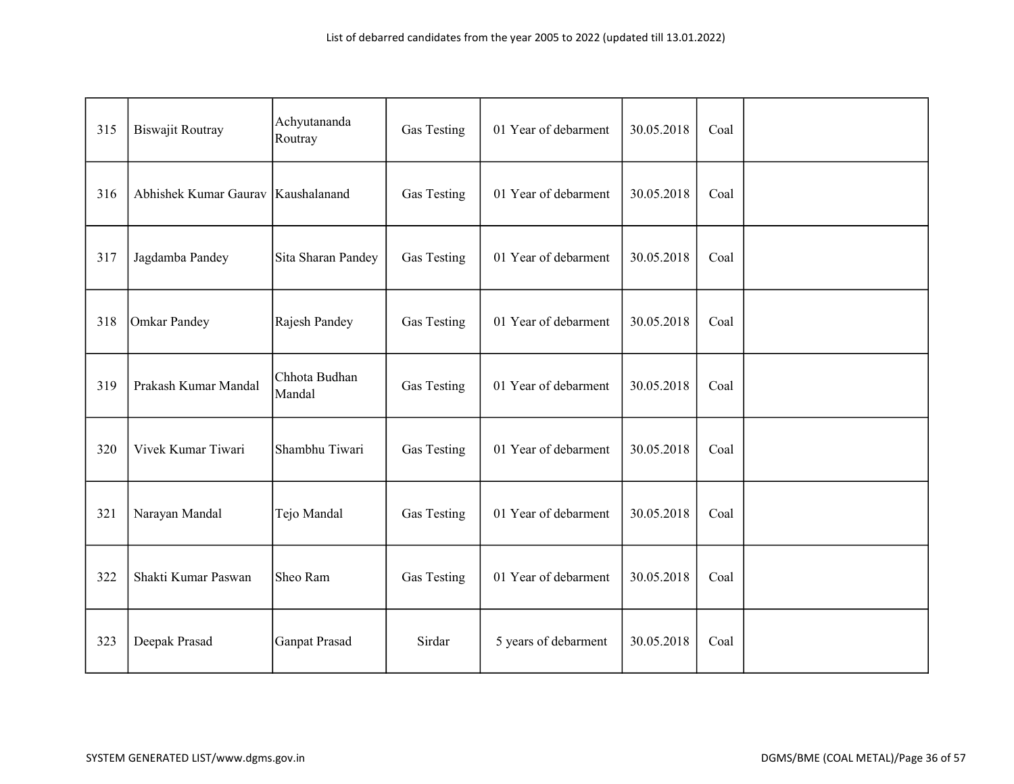| 315 | <b>Biswajit Routray</b> | Achyutananda<br>Routray | Gas Testing        | 01 Year of debarment | 30.05.2018 | Coal |  |
|-----|-------------------------|-------------------------|--------------------|----------------------|------------|------|--|
| 316 | Abhishek Kumar Gaurav   | Kaushalanand            | Gas Testing        | 01 Year of debarment | 30.05.2018 | Coal |  |
| 317 | Jagdamba Pandey         | Sita Sharan Pandey      | Gas Testing        | 01 Year of debarment | 30.05.2018 | Coal |  |
| 318 | Omkar Pandey            | Rajesh Pandey           | <b>Gas Testing</b> | 01 Year of debarment | 30.05.2018 | Coal |  |
| 319 | Prakash Kumar Mandal    | Chhota Budhan<br>Mandal | Gas Testing        | 01 Year of debarment | 30.05.2018 | Coal |  |
| 320 | Vivek Kumar Tiwari      | Shambhu Tiwari          | Gas Testing        | 01 Year of debarment | 30.05.2018 | Coal |  |
| 321 | Narayan Mandal          | Tejo Mandal             | Gas Testing        | 01 Year of debarment | 30.05.2018 | Coal |  |
| 322 | Shakti Kumar Paswan     | Sheo Ram                | Gas Testing        | 01 Year of debarment | 30.05.2018 | Coal |  |
| 323 | Deepak Prasad           | <b>Ganpat Prasad</b>    | Sirdar             | 5 years of debarment | 30.05.2018 | Coal |  |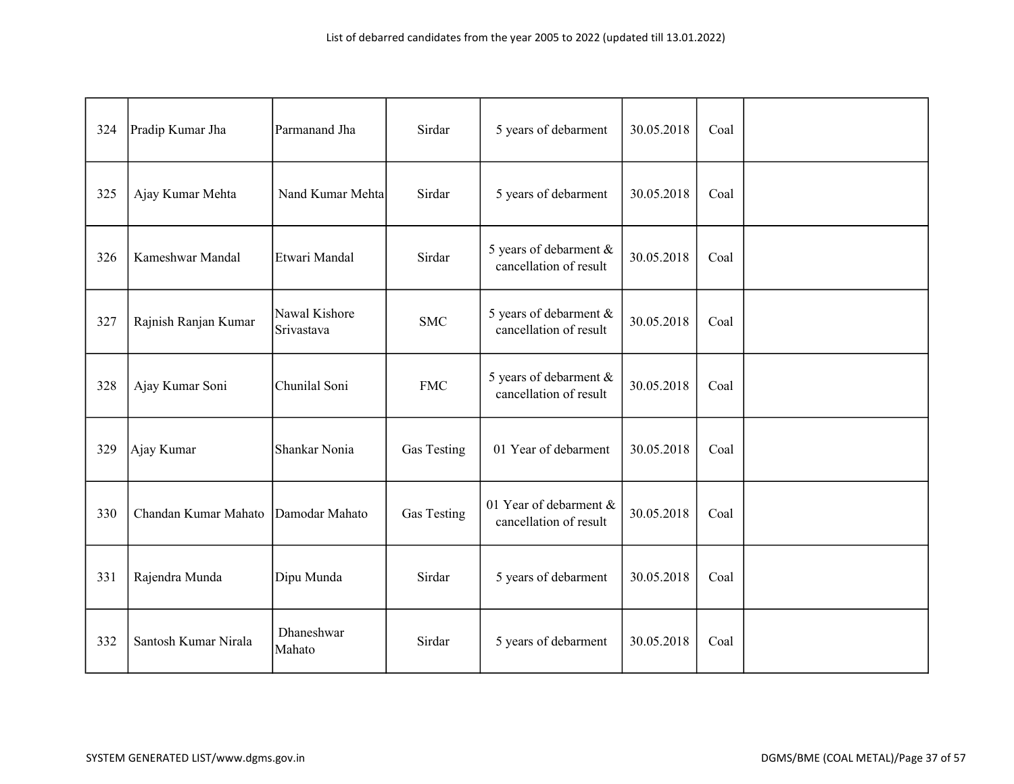| 324 | Pradip Kumar Jha     | Parmanand Jha               | Sirdar      | 5 years of debarment                             | 30.05.2018 | Coal |  |
|-----|----------------------|-----------------------------|-------------|--------------------------------------------------|------------|------|--|
| 325 | Ajay Kumar Mehta     | Nand Kumar Mehta            | Sirdar      | 5 years of debarment                             | 30.05.2018 | Coal |  |
| 326 | Kameshwar Mandal     | Etwari Mandal               | Sirdar      | 5 years of debarment &<br>cancellation of result | 30.05.2018 | Coal |  |
| 327 | Rajnish Ranjan Kumar | Nawal Kishore<br>Srivastava | <b>SMC</b>  | 5 years of debarment &<br>cancellation of result | 30.05.2018 | Coal |  |
| 328 | Ajay Kumar Soni      | Chunilal Soni               | <b>FMC</b>  | 5 years of debarment &<br>cancellation of result | 30.05.2018 | Coal |  |
| 329 | Ajay Kumar           | Shankar Nonia               | Gas Testing | 01 Year of debarment                             | 30.05.2018 | Coal |  |
| 330 | Chandan Kumar Mahato | Damodar Mahato              | Gas Testing | 01 Year of debarment &<br>cancellation of result | 30.05.2018 | Coal |  |
| 331 | Rajendra Munda       | Dipu Munda                  | Sirdar      | 5 years of debarment                             | 30.05.2018 | Coal |  |
| 332 | Santosh Kumar Nirala | Dhaneshwar<br>Mahato        | Sirdar      | 5 years of debarment                             | 30.05.2018 | Coal |  |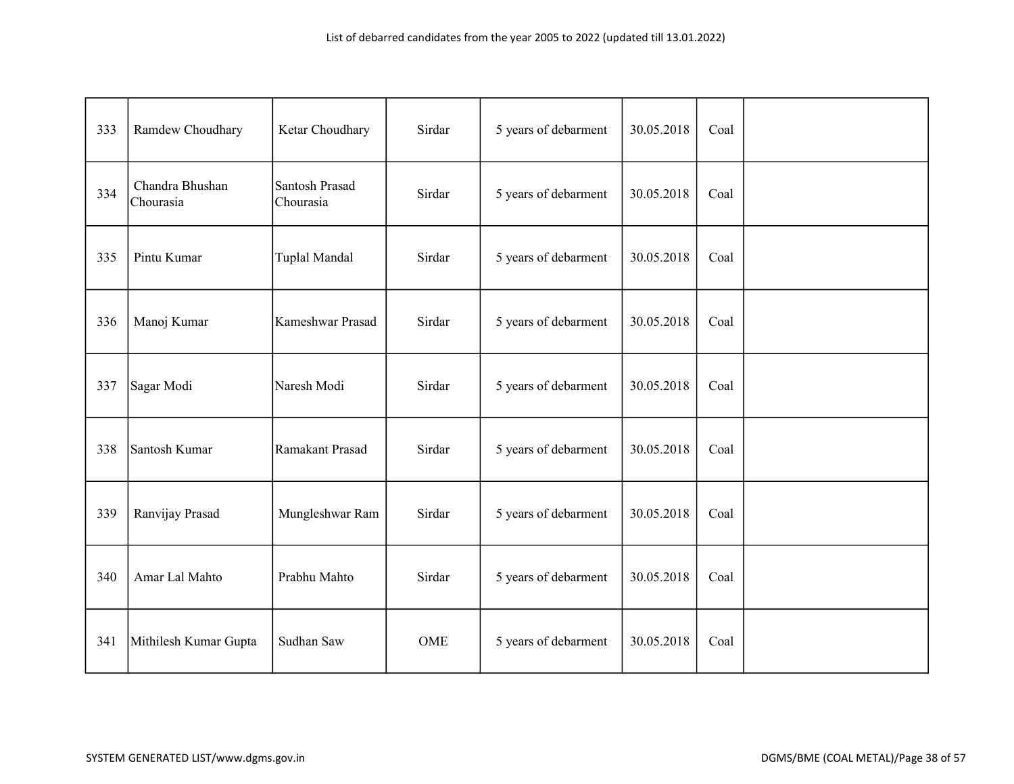| 333 | Ramdew Choudhary             | Ketar Choudhary             | Sirdar | 5 years of debarment | 30.05.2018 | Coal |  |
|-----|------------------------------|-----------------------------|--------|----------------------|------------|------|--|
| 334 | Chandra Bhushan<br>Chourasia | Santosh Prasad<br>Chourasia | Sirdar | 5 years of debarment | 30.05.2018 | Coal |  |
| 335 | Pintu Kumar                  | Tuplal Mandal               | Sirdar | 5 years of debarment | 30.05.2018 | Coal |  |
| 336 | Manoj Kumar                  | Kameshwar Prasad            | Sirdar | 5 years of debarment | 30.05.2018 | Coal |  |
| 337 | Sagar Modi                   | Naresh Modi                 | Sirdar | 5 years of debarment | 30.05.2018 | Coal |  |
| 338 | Santosh Kumar                | Ramakant Prasad             | Sirdar | 5 years of debarment | 30.05.2018 | Coal |  |
| 339 | Ranvijay Prasad              | Mungleshwar Ram             | Sirdar | 5 years of debarment | 30.05.2018 | Coal |  |
| 340 | Amar Lal Mahto               | Prabhu Mahto                | Sirdar | 5 years of debarment | 30.05.2018 | Coal |  |
| 341 | Mithilesh Kumar Gupta        | Sudhan Saw                  | OME    | 5 years of debarment | 30.05.2018 | Coal |  |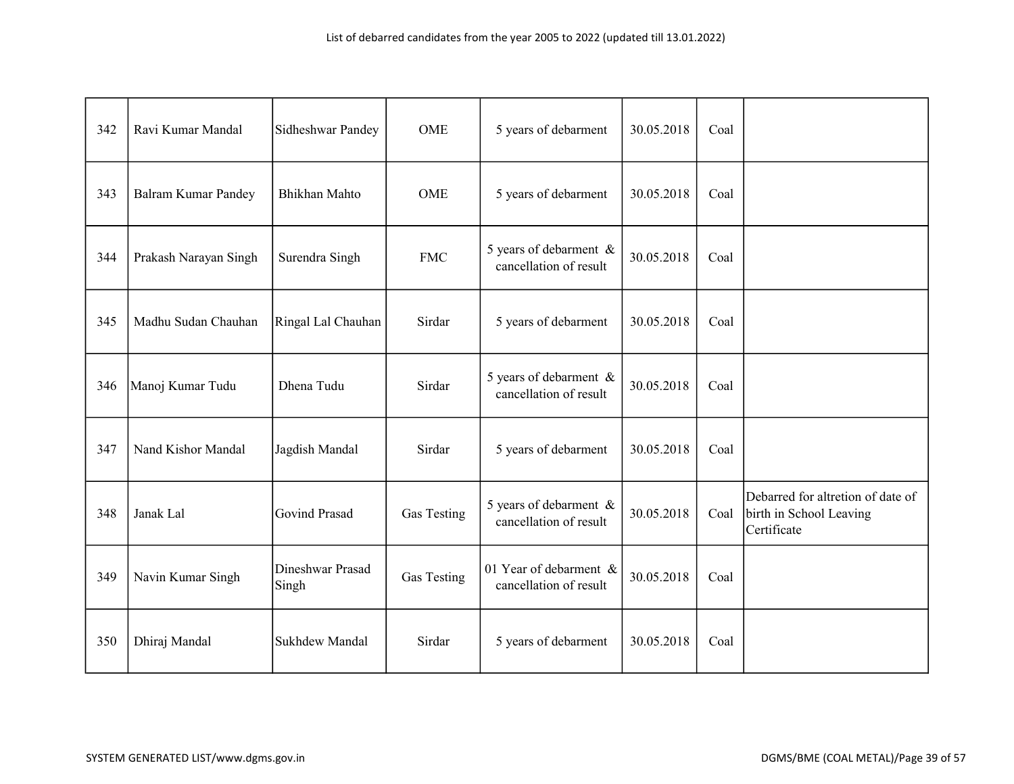| 342 | Ravi Kumar Mandal          | Sidheshwar Pandey         | <b>OME</b>  | 5 years of debarment                             | 30.05.2018 | Coal |                                                                             |
|-----|----------------------------|---------------------------|-------------|--------------------------------------------------|------------|------|-----------------------------------------------------------------------------|
| 343 | <b>Balram Kumar Pandey</b> | <b>Bhikhan Mahto</b>      | <b>OME</b>  | 5 years of debarment                             | 30.05.2018 | Coal |                                                                             |
| 344 | Prakash Narayan Singh      | Surendra Singh            | <b>FMC</b>  | 5 years of debarment &<br>cancellation of result | 30.05.2018 | Coal |                                                                             |
| 345 | Madhu Sudan Chauhan        | Ringal Lal Chauhan        | Sirdar      | 5 years of debarment                             | 30.05.2018 | Coal |                                                                             |
| 346 | Manoj Kumar Tudu           | Dhena Tudu                | Sirdar      | 5 years of debarment &<br>cancellation of result | 30.05.2018 | Coal |                                                                             |
| 347 | Nand Kishor Mandal         | Jagdish Mandal            | Sirdar      | 5 years of debarment                             | 30.05.2018 | Coal |                                                                             |
| 348 | Janak Lal                  | Govind Prasad             | Gas Testing | 5 years of debarment &<br>cancellation of result | 30.05.2018 | Coal | Debarred for altretion of date of<br>birth in School Leaving<br>Certificate |
| 349 | Navin Kumar Singh          | Dineshwar Prasad<br>Singh | Gas Testing | 01 Year of debarment &<br>cancellation of result | 30.05.2018 | Coal |                                                                             |
| 350 | Dhiraj Mandal              | Sukhdew Mandal            | Sirdar      | 5 years of debarment                             | 30.05.2018 | Coal |                                                                             |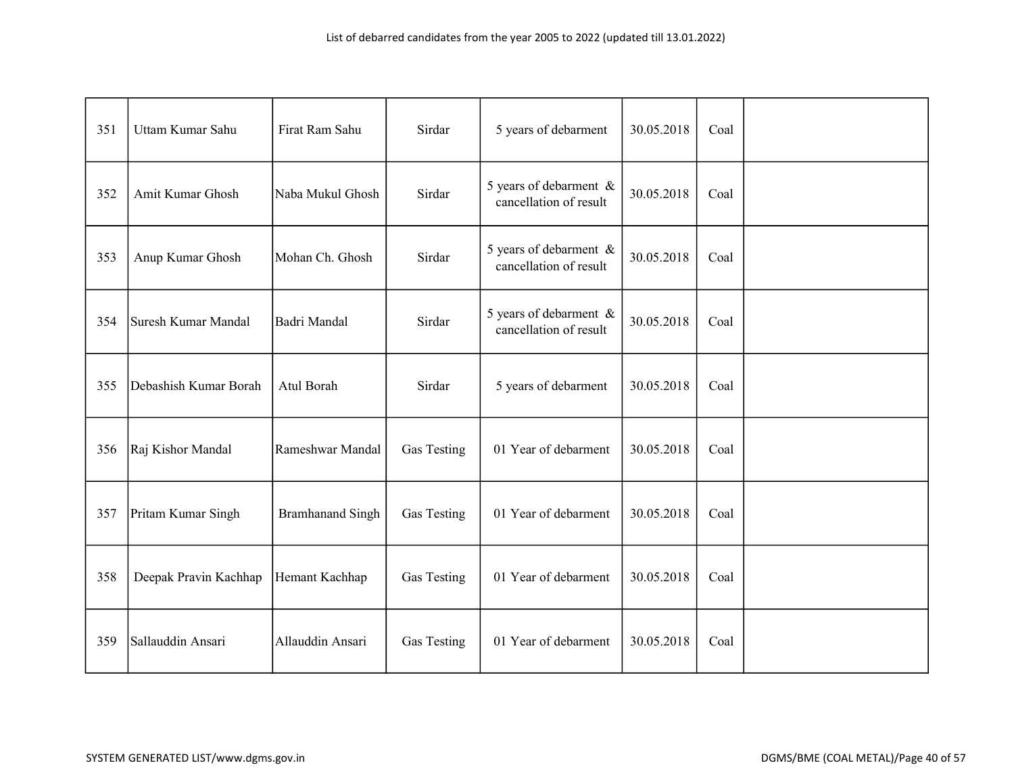| 351 | Uttam Kumar Sahu      | Firat Ram Sahu          | Sirdar      | 5 years of debarment                             | 30.05.2018 | Coal |  |
|-----|-----------------------|-------------------------|-------------|--------------------------------------------------|------------|------|--|
| 352 | Amit Kumar Ghosh      | Naba Mukul Ghosh        | Sirdar      | 5 years of debarment &<br>cancellation of result | 30.05.2018 | Coal |  |
| 353 | Anup Kumar Ghosh      | Mohan Ch. Ghosh         | Sirdar      | 5 years of debarment &<br>cancellation of result | 30.05.2018 | Coal |  |
| 354 | Suresh Kumar Mandal   | Badri Mandal            | Sirdar      | 5 years of debarment &<br>cancellation of result | 30.05.2018 | Coal |  |
| 355 | Debashish Kumar Borah | Atul Borah              | Sirdar      | 5 years of debarment                             | 30.05.2018 | Coal |  |
| 356 | Raj Kishor Mandal     | Rameshwar Mandal        | Gas Testing | 01 Year of debarment                             | 30.05.2018 | Coal |  |
| 357 | Pritam Kumar Singh    | <b>Bramhanand Singh</b> | Gas Testing | 01 Year of debarment                             | 30.05.2018 | Coal |  |
| 358 | Deepak Pravin Kachhap | Hemant Kachhap          | Gas Testing | 01 Year of debarment                             | 30.05.2018 | Coal |  |
| 359 | Sallauddin Ansari     | Allauddin Ansari        | Gas Testing | 01 Year of debarment                             | 30.05.2018 | Coal |  |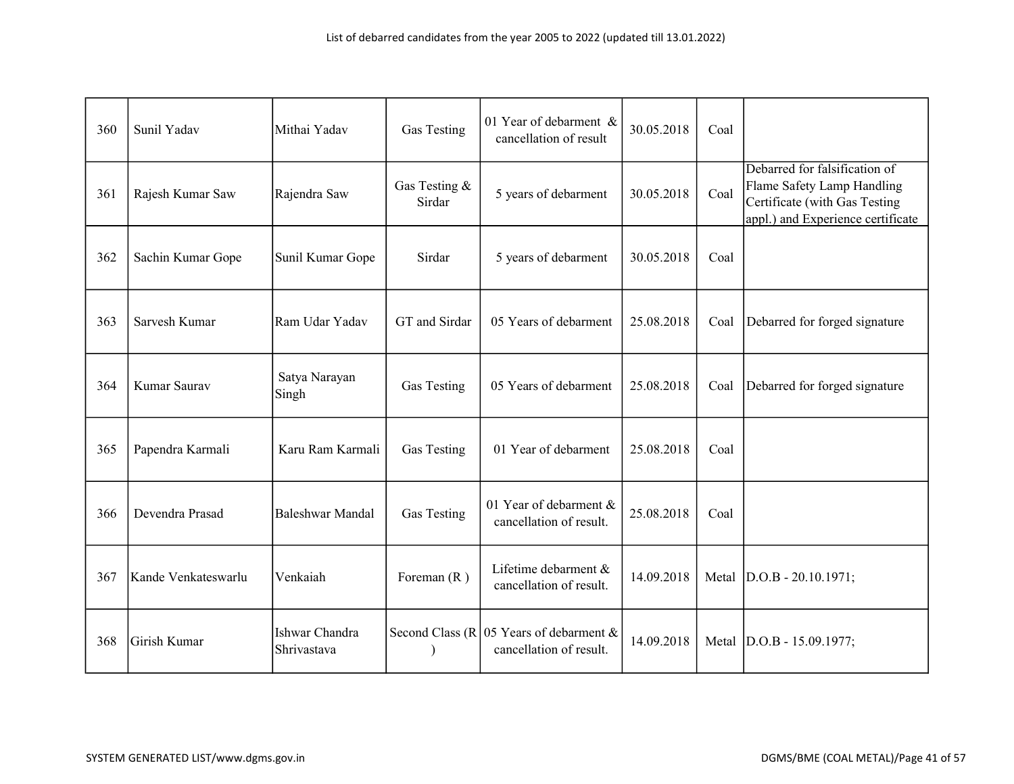| 360 | Sunil Yadav         | Mithai Yadav                  | Gas Testing             | 01 Year of debarment &<br>cancellation of result                     | 30.05.2018 | Coal  |                                                                                                                                   |
|-----|---------------------|-------------------------------|-------------------------|----------------------------------------------------------------------|------------|-------|-----------------------------------------------------------------------------------------------------------------------------------|
| 361 | Rajesh Kumar Saw    | Rajendra Saw                  | Gas Testing &<br>Sirdar | 5 years of debarment                                                 | 30.05.2018 | Coal  | Debarred for falsification of<br>Flame Safety Lamp Handling<br>Certificate (with Gas Testing<br>appl.) and Experience certificate |
| 362 | Sachin Kumar Gope   | Sunil Kumar Gope              | Sirdar                  | 5 years of debarment                                                 | 30.05.2018 | Coal  |                                                                                                                                   |
| 363 | Sarvesh Kumar       | Ram Udar Yadav                | GT and Sirdar           | 05 Years of debarment                                                | 25.08.2018 | Coal  | Debarred for forged signature                                                                                                     |
| 364 | Kumar Saurav        | Satya Narayan<br>Singh        | Gas Testing             | 05 Years of debarment                                                | 25.08.2018 | Coal  | Debarred for forged signature                                                                                                     |
| 365 | Papendra Karmali    | Karu Ram Karmali              | Gas Testing             | 01 Year of debarment                                                 | 25.08.2018 | Coal  |                                                                                                                                   |
| 366 | Devendra Prasad     | <b>Baleshwar Mandal</b>       | Gas Testing             | 01 Year of debarment &<br>cancellation of result.                    | 25.08.2018 | Coal  |                                                                                                                                   |
| 367 | Kande Venkateswarlu | Venkaiah                      | Foreman $(R)$           | Lifetime debarment &<br>cancellation of result.                      | 14.09.2018 | Metal | $D.O.B - 20.10.1971;$                                                                                                             |
| 368 | Girish Kumar        | Ishwar Chandra<br>Shrivastava |                         | Second Class (R   05 Years of debarment &<br>cancellation of result. | 14.09.2018 | Metal | $ D.O.B - 15.09.1977;$                                                                                                            |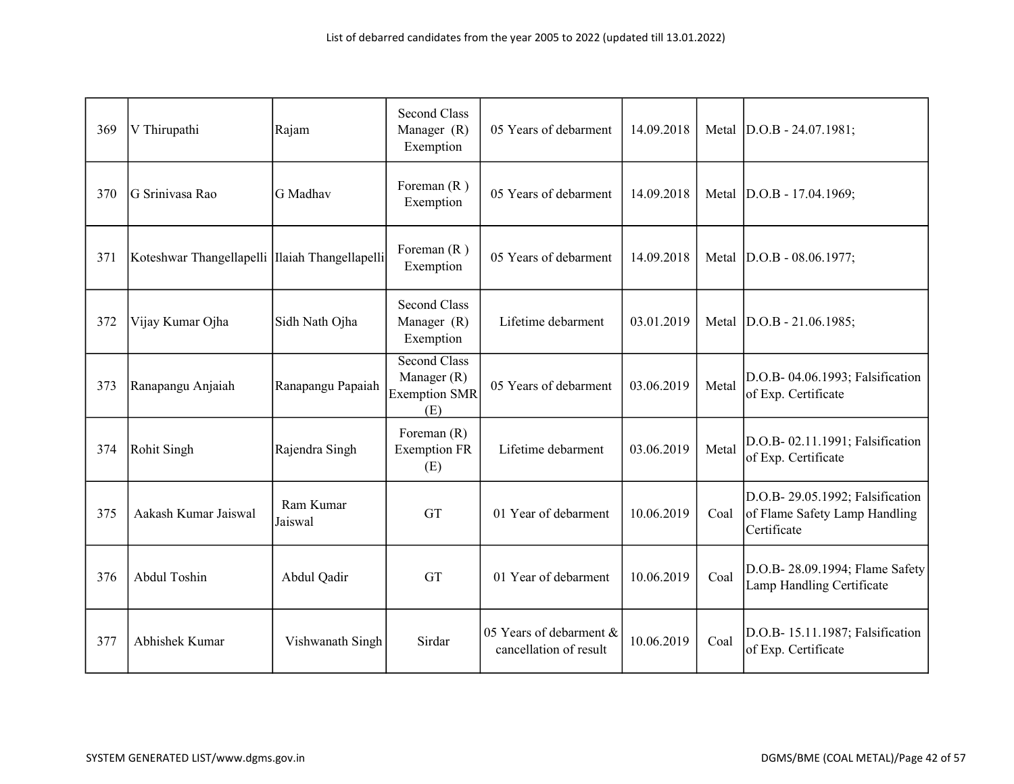| 369 | V Thirupathi                                   | Rajam                | <b>Second Class</b><br>Manager (R)<br>Exemption                   | 05 Years of debarment                             | 14.09.2018 |       | Metal  D.O.B - 24.07.1981;                                                       |
|-----|------------------------------------------------|----------------------|-------------------------------------------------------------------|---------------------------------------------------|------------|-------|----------------------------------------------------------------------------------|
| 370 | G Srinivasa Rao                                | G Madhav             | Foreman $(R)$<br>Exemption                                        | 05 Years of debarment                             | 14.09.2018 | Metal | $D.O.B - 17.04.1969;$                                                            |
| 371 | Koteshwar Thangellapelli Ilaiah Thangellapelli |                      | Foreman $(R)$<br>Exemption                                        | 05 Years of debarment                             | 14.09.2018 |       | Metal  D.O.B - 08.06.1977;                                                       |
| 372 | Vijay Kumar Ojha                               | Sidh Nath Ojha       | <b>Second Class</b><br>Manager (R)<br>Exemption                   | Lifetime debarment                                | 03.01.2019 |       | Metal  D.O.B - 21.06.1985;                                                       |
| 373 | Ranapangu Anjaiah                              | Ranapangu Papaiah    | <b>Second Class</b><br>Manager (R)<br><b>Exemption SMR</b><br>(E) | 05 Years of debarment                             | 03.06.2019 | Metal | D.O.B- 04.06.1993; Falsification<br>of Exp. Certificate                          |
| 374 | Rohit Singh                                    | Rajendra Singh       | Foreman $(R)$<br><b>Exemption FR</b><br>(E)                       | Lifetime debarment                                | 03.06.2019 | Metal | D.O.B- 02.11.1991; Falsification<br>of Exp. Certificate                          |
| 375 | Aakash Kumar Jaiswal                           | Ram Kumar<br>Jaiswal | <b>GT</b>                                                         | 01 Year of debarment                              | 10.06.2019 | Coal  | D.O.B- 29.05.1992; Falsification<br>of Flame Safety Lamp Handling<br>Certificate |
| 376 | Abdul Toshin                                   | Abdul Qadir          | <b>GT</b>                                                         | 01 Year of debarment                              | 10.06.2019 | Coal  | D.O.B- 28.09.1994; Flame Safety<br>Lamp Handling Certificate                     |
| 377 | Abhishek Kumar                                 | Vishwanath Singh     | Sirdar                                                            | 05 Years of debarment &<br>cancellation of result | 10.06.2019 | Coal  | D.O.B- 15.11.1987; Falsification<br>of Exp. Certificate                          |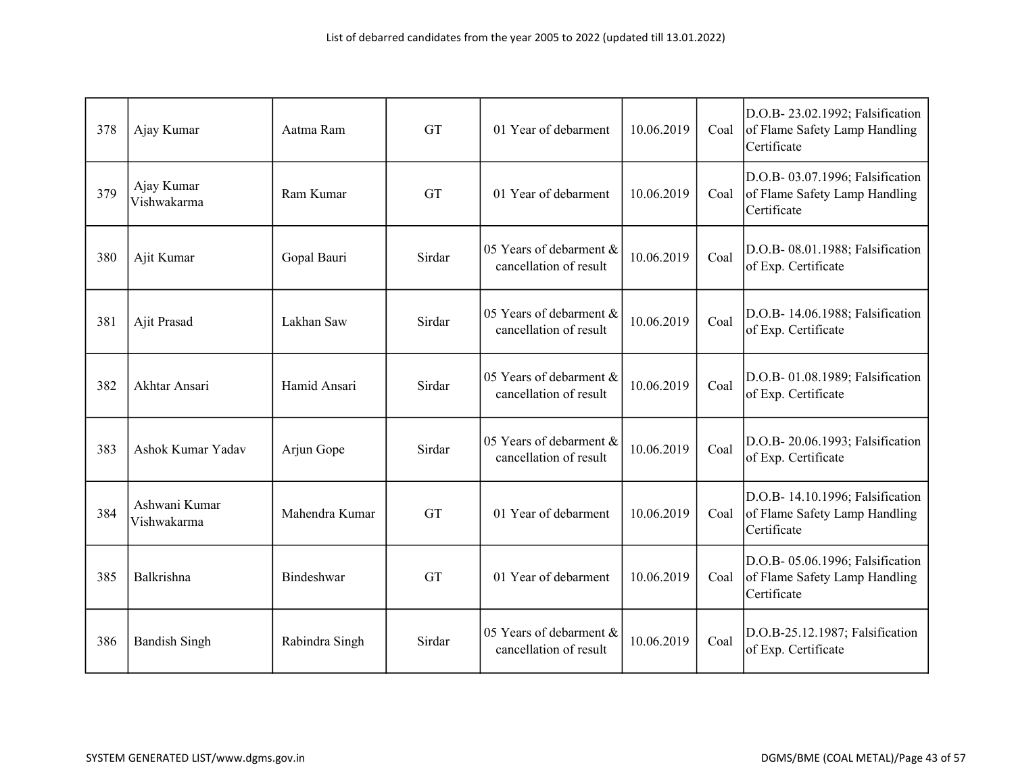| 378 | Ajay Kumar                   | Aatma Ram      | <b>GT</b> | 01 Year of debarment                              | 10.06.2019 | Coal | D.O.B- 23.02.1992; Falsification<br>of Flame Safety Lamp Handling<br>Certificate |
|-----|------------------------------|----------------|-----------|---------------------------------------------------|------------|------|----------------------------------------------------------------------------------|
| 379 | Ajay Kumar<br>Vishwakarma    | Ram Kumar      | <b>GT</b> | 01 Year of debarment                              | 10.06.2019 | Coal | D.O.B- 03.07.1996; Falsification<br>of Flame Safety Lamp Handling<br>Certificate |
| 380 | Ajit Kumar                   | Gopal Bauri    | Sirdar    | 05 Years of debarment &<br>cancellation of result | 10.06.2019 | Coal | D.O.B- 08.01.1988; Falsification<br>of Exp. Certificate                          |
| 381 | Ajit Prasad                  | Lakhan Saw     | Sirdar    | 05 Years of debarment &<br>cancellation of result | 10.06.2019 | Coal | D.O.B- 14.06.1988; Falsification<br>of Exp. Certificate                          |
| 382 | Akhtar Ansari                | Hamid Ansari   | Sirdar    | 05 Years of debarment &<br>cancellation of result | 10.06.2019 | Coal | D.O.B- 01.08.1989; Falsification<br>of Exp. Certificate                          |
| 383 | Ashok Kumar Yadav            | Arjun Gope     | Sirdar    | 05 Years of debarment &<br>cancellation of result | 10.06.2019 | Coal | D.O.B- 20.06.1993; Falsification<br>of Exp. Certificate                          |
| 384 | Ashwani Kumar<br>Vishwakarma | Mahendra Kumar | <b>GT</b> | 01 Year of debarment                              | 10.06.2019 | Coal | D.O.B- 14.10.1996; Falsification<br>of Flame Safety Lamp Handling<br>Certificate |
| 385 | Balkrishna                   | Bindeshwar     | GT        | 01 Year of debarment                              | 10.06.2019 | Coal | D.O.B- 05.06.1996; Falsification<br>of Flame Safety Lamp Handling<br>Certificate |
| 386 | <b>Bandish Singh</b>         | Rabindra Singh | Sirdar    | 05 Years of debarment &<br>cancellation of result | 10.06.2019 | Coal | D.O.B-25.12.1987; Falsification<br>of Exp. Certificate                           |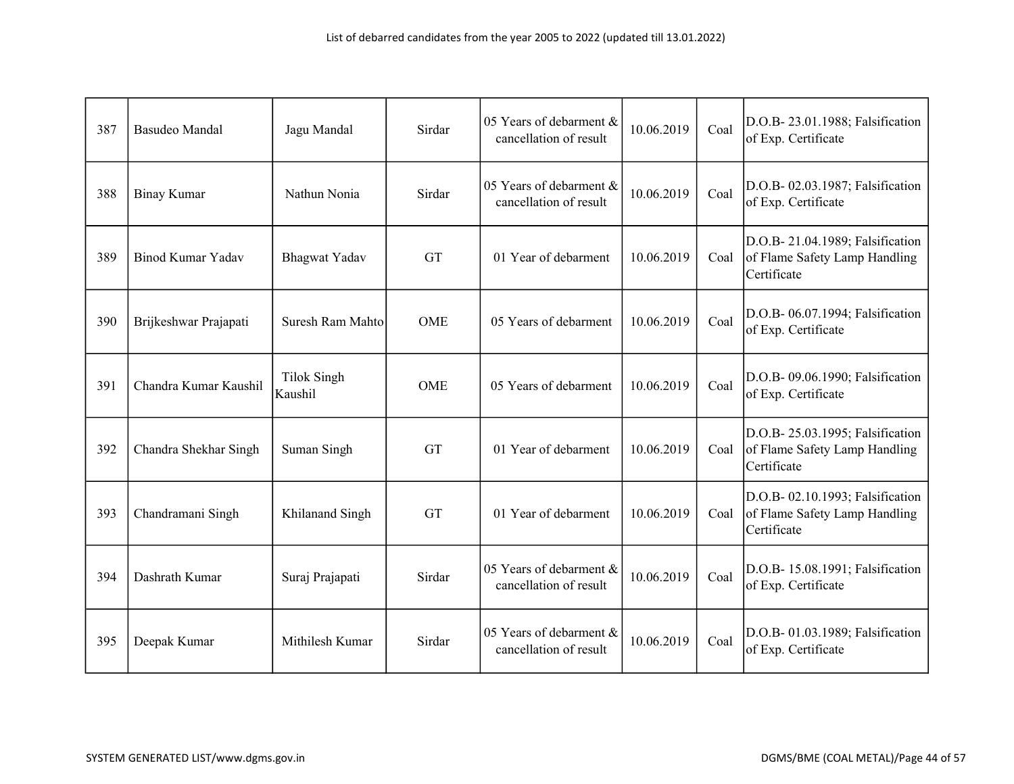| 387 | <b>Basudeo Mandal</b>    | Jagu Mandal                   | Sirdar     | 05 Years of debarment &<br>cancellation of result | 10.06.2019 | Coal | D.O.B-23.01.1988; Falsification<br>of Exp. Certificate                           |
|-----|--------------------------|-------------------------------|------------|---------------------------------------------------|------------|------|----------------------------------------------------------------------------------|
| 388 | <b>Binay Kumar</b>       | Nathun Nonia                  | Sirdar     | 05 Years of debarment &<br>cancellation of result | 10.06.2019 | Coal | D.O.B- 02.03.1987; Falsification<br>of Exp. Certificate                          |
| 389 | <b>Binod Kumar Yadav</b> | <b>Bhagwat Yadav</b>          | <b>GT</b>  | 01 Year of debarment                              | 10.06.2019 | Coal | D.O.B- 21.04.1989; Falsification<br>of Flame Safety Lamp Handling<br>Certificate |
| 390 | Brijkeshwar Prajapati    | Suresh Ram Mahto              | <b>OME</b> | 05 Years of debarment                             | 10.06.2019 | Coal | D.O.B- 06.07.1994; Falsification<br>of Exp. Certificate                          |
| 391 | Chandra Kumar Kaushil    | <b>Tilok Singh</b><br>Kaushil | <b>OME</b> | 05 Years of debarment                             | 10.06.2019 | Coal | D.O.B- 09.06.1990; Falsification<br>of Exp. Certificate                          |
| 392 | Chandra Shekhar Singh    | Suman Singh                   | <b>GT</b>  | 01 Year of debarment                              | 10.06.2019 | Coal | D.O.B- 25.03.1995; Falsification<br>of Flame Safety Lamp Handling<br>Certificate |
| 393 | Chandramani Singh        | Khilanand Singh               | <b>GT</b>  | 01 Year of debarment                              | 10.06.2019 | Coal | D.O.B- 02.10.1993; Falsification<br>of Flame Safety Lamp Handling<br>Certificate |
| 394 | Dashrath Kumar           | Suraj Prajapati               | Sirdar     | 05 Years of debarment &<br>cancellation of result | 10.06.2019 | Coal | D.O.B- 15.08.1991; Falsification<br>of Exp. Certificate                          |
| 395 | Deepak Kumar             | Mithilesh Kumar               | Sirdar     | 05 Years of debarment &<br>cancellation of result | 10.06.2019 | Coal | D.O.B- 01.03.1989; Falsification<br>of Exp. Certificate                          |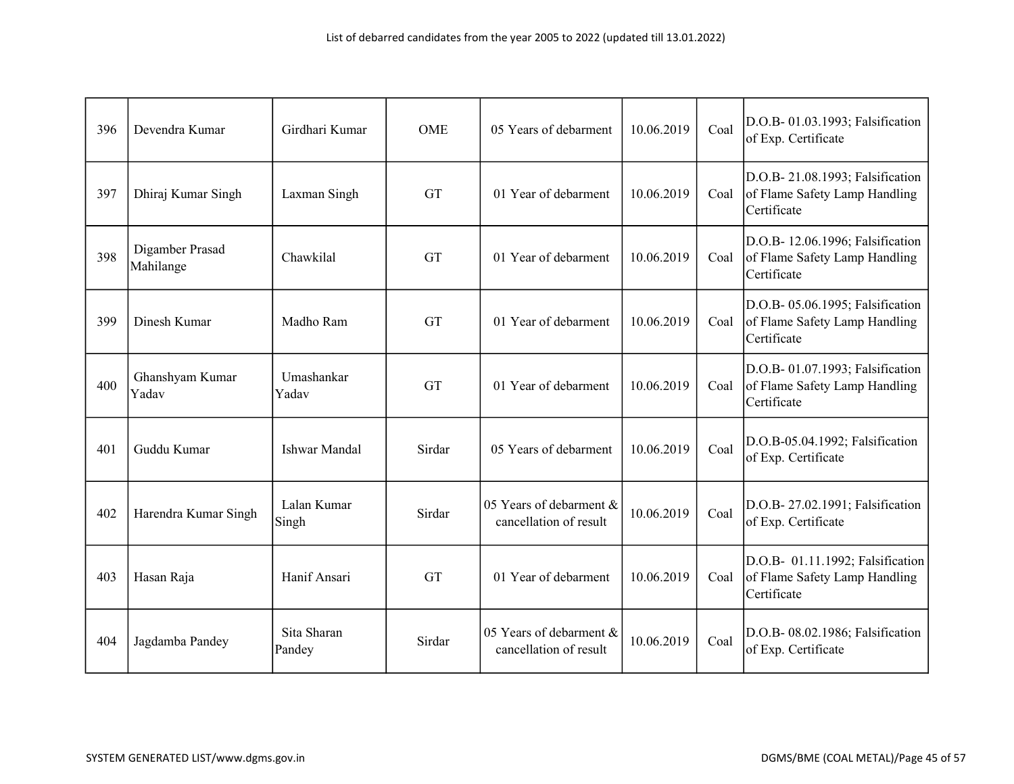| 396 | Devendra Kumar               | Girdhari Kumar        | <b>OME</b> | 05 Years of debarment                             | 10.06.2019 | Coal | D.O.B- 01.03.1993; Falsification<br>of Exp. Certificate                          |
|-----|------------------------------|-----------------------|------------|---------------------------------------------------|------------|------|----------------------------------------------------------------------------------|
| 397 | Dhiraj Kumar Singh           | Laxman Singh          | <b>GT</b>  | 01 Year of debarment                              | 10.06.2019 | Coal | D.O.B- 21.08.1993; Falsification<br>of Flame Safety Lamp Handling<br>Certificate |
| 398 | Digamber Prasad<br>Mahilange | Chawkilal             | <b>GT</b>  | 01 Year of debarment                              | 10.06.2019 | Coal | D.O.B- 12.06.1996; Falsification<br>of Flame Safety Lamp Handling<br>Certificate |
| 399 | Dinesh Kumar                 | Madho Ram             | GT         | 01 Year of debarment                              | 10.06.2019 | Coal | D.O.B- 05.06.1995; Falsification<br>of Flame Safety Lamp Handling<br>Certificate |
| 400 | Ghanshyam Kumar<br>Yadav     | Umashankar<br>Yadav   | <b>GT</b>  | 01 Year of debarment                              | 10.06.2019 | Coal | D.O.B- 01.07.1993; Falsification<br>of Flame Safety Lamp Handling<br>Certificate |
| 401 | Guddu Kumar                  | <b>Ishwar Mandal</b>  | Sirdar     | 05 Years of debarment                             | 10.06.2019 | Coal | D.O.B-05.04.1992; Falsification<br>of Exp. Certificate                           |
| 402 | Harendra Kumar Singh         | Lalan Kumar<br>Singh  | Sirdar     | 05 Years of debarment &<br>cancellation of result | 10.06.2019 | Coal | D.O.B- 27.02.1991; Falsification<br>of Exp. Certificate                          |
| 403 | Hasan Raja                   | Hanif Ansari          | <b>GT</b>  | 01 Year of debarment                              | 10.06.2019 | Coal | D.O.B- 01.11.1992; Falsification<br>of Flame Safety Lamp Handling<br>Certificate |
| 404 | Jagdamba Pandey              | Sita Sharan<br>Pandey | Sirdar     | 05 Years of debarment &<br>cancellation of result | 10.06.2019 | Coal | D.O.B- 08.02.1986; Falsification<br>of Exp. Certificate                          |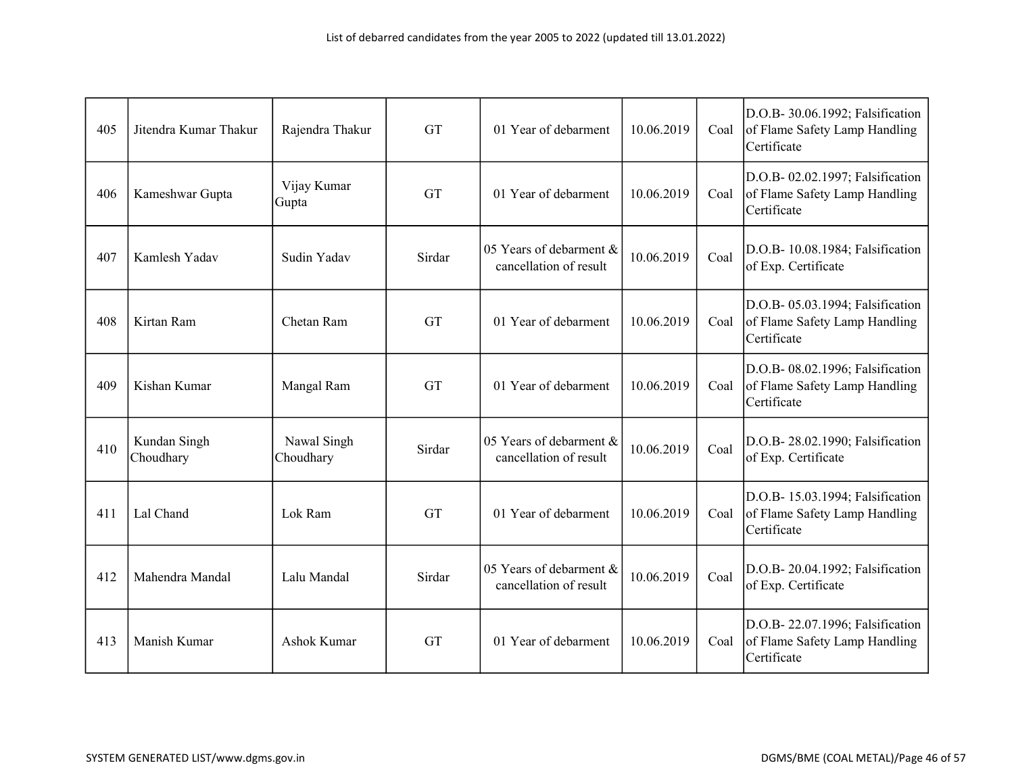| 405 | Jitendra Kumar Thakur     | Rajendra Thakur          | <b>GT</b> | 01 Year of debarment                              | 10.06.2019 | Coal | D.O.B- 30.06.1992; Falsification<br>of Flame Safety Lamp Handling<br>Certificate |
|-----|---------------------------|--------------------------|-----------|---------------------------------------------------|------------|------|----------------------------------------------------------------------------------|
| 406 | Kameshwar Gupta           | Vijay Kumar<br>Gupta     | <b>GT</b> | 01 Year of debarment                              | 10.06.2019 | Coal | D.O.B- 02.02.1997; Falsification<br>of Flame Safety Lamp Handling<br>Certificate |
| 407 | Kamlesh Yadav             | Sudin Yadav              | Sirdar    | 05 Years of debarment &<br>cancellation of result | 10.06.2019 | Coal | D.O.B- 10.08.1984; Falsification<br>of Exp. Certificate                          |
| 408 | Kirtan Ram                | Chetan Ram               | <b>GT</b> | 01 Year of debarment                              | 10.06.2019 | Coal | D.O.B- 05.03.1994; Falsification<br>of Flame Safety Lamp Handling<br>Certificate |
| 409 | Kishan Kumar              | Mangal Ram               | <b>GT</b> | 01 Year of debarment                              | 10.06.2019 | Coal | D.O.B- 08.02.1996; Falsification<br>of Flame Safety Lamp Handling<br>Certificate |
| 410 | Kundan Singh<br>Choudhary | Nawal Singh<br>Choudhary | Sirdar    | 05 Years of debarment &<br>cancellation of result | 10.06.2019 | Coal | D.O.B- 28.02.1990; Falsification<br>of Exp. Certificate                          |
| 411 | Lal Chand                 | Lok Ram                  | GT        | 01 Year of debarment                              | 10.06.2019 | Coal | D.O.B- 15.03.1994; Falsification<br>of Flame Safety Lamp Handling<br>Certificate |
| 412 | Mahendra Mandal           | Lalu Mandal              | Sirdar    | 05 Years of debarment &<br>cancellation of result | 10.06.2019 | Coal | D.O.B- 20.04.1992; Falsification<br>of Exp. Certificate                          |
| 413 | Manish Kumar              | Ashok Kumar              | <b>GT</b> | 01 Year of debarment                              | 10.06.2019 | Coal | D.O.B- 22.07.1996; Falsification<br>of Flame Safety Lamp Handling<br>Certificate |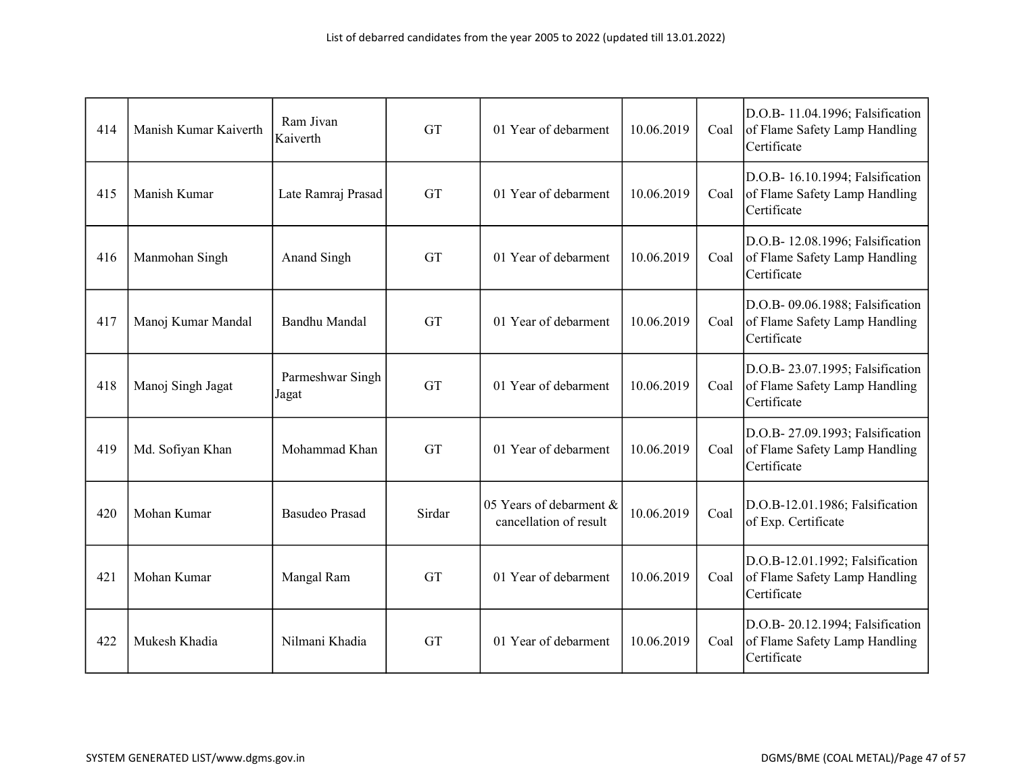| 414 | Manish Kumar Kaiverth | Ram Jivan<br>Kaiverth     | <b>GT</b> | 01 Year of debarment                              | 10.06.2019 | Coal | D.O.B- 11.04.1996; Falsification<br>of Flame Safety Lamp Handling<br>Certificate |
|-----|-----------------------|---------------------------|-----------|---------------------------------------------------|------------|------|----------------------------------------------------------------------------------|
| 415 | Manish Kumar          | Late Ramraj Prasad        | <b>GT</b> | 01 Year of debarment                              | 10.06.2019 | Coal | D.O.B- 16.10.1994; Falsification<br>of Flame Safety Lamp Handling<br>Certificate |
| 416 | Manmohan Singh        | Anand Singh               | <b>GT</b> | 01 Year of debarment                              | 10.06.2019 | Coal | D.O.B- 12.08.1996; Falsification<br>of Flame Safety Lamp Handling<br>Certificate |
| 417 | Manoj Kumar Mandal    | Bandhu Mandal             | <b>GT</b> | 01 Year of debarment                              | 10.06.2019 | Coal | D.O.B- 09.06.1988; Falsification<br>of Flame Safety Lamp Handling<br>Certificate |
| 418 | Manoj Singh Jagat     | Parmeshwar Singh<br>Jagat | <b>GT</b> | 01 Year of debarment                              | 10.06.2019 | Coal | D.O.B-23.07.1995; Falsification<br>of Flame Safety Lamp Handling<br>Certificate  |
| 419 | Md. Sofiyan Khan      | Mohammad Khan             | <b>GT</b> | 01 Year of debarment                              | 10.06.2019 | Coal | D.O.B- 27.09.1993; Falsification<br>of Flame Safety Lamp Handling<br>Certificate |
| 420 | Mohan Kumar           | <b>Basudeo Prasad</b>     | Sirdar    | 05 Years of debarment &<br>cancellation of result | 10.06.2019 | Coal | D.O.B-12.01.1986; Falsification<br>of Exp. Certificate                           |
| 421 | Mohan Kumar           | Mangal Ram                | <b>GT</b> | 01 Year of debarment                              | 10.06.2019 | Coal | D.O.B-12.01.1992; Falsification<br>of Flame Safety Lamp Handling<br>Certificate  |
| 422 | Mukesh Khadia         | Nilmani Khadia            | <b>GT</b> | 01 Year of debarment                              | 10.06.2019 | Coal | D.O.B- 20.12.1994; Falsification<br>of Flame Safety Lamp Handling<br>Certificate |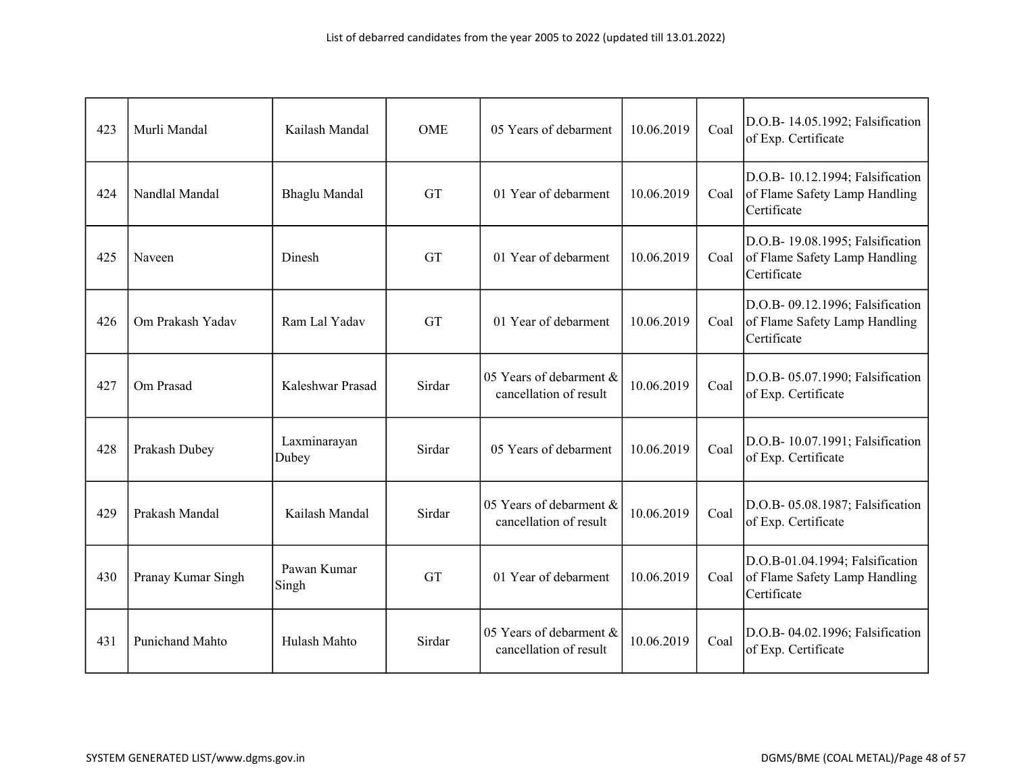| 423 | Murli Mandal           | Kailash Mandal        | <b>OME</b> | 05 Years of debarment                             | 10.06.2019 | Coal | D.O.B- 14.05.1992; Falsification<br>of Exp. Certificate                          |
|-----|------------------------|-----------------------|------------|---------------------------------------------------|------------|------|----------------------------------------------------------------------------------|
| 424 | Nandlal Mandal         | Bhaglu Mandal         | <b>GT</b>  | 01 Year of debarment                              | 10.06.2019 | Coal | D.O.B- 10.12.1994; Falsification<br>of Flame Safety Lamp Handling<br>Certificate |
| 425 | Naveen                 | Dinesh                | <b>GT</b>  | 01 Year of debarment                              | 10.06.2019 | Coal | D.O.B- 19.08.1995; Falsification<br>of Flame Safety Lamp Handling<br>Certificate |
| 426 | Om Prakash Yadav       | Ram Lal Yadav         | <b>GT</b>  | 01 Year of debarment                              | 10.06.2019 | Coal | D.O.B- 09.12.1996; Falsification<br>of Flame Safety Lamp Handling<br>Certificate |
| 427 | Om Prasad              | Kaleshwar Prasad      | Sirdar     | 05 Years of debarment &<br>cancellation of result | 10.06.2019 | Coal | D.O.B- 05.07.1990; Falsification<br>of Exp. Certificate                          |
| 428 | Prakash Dubey          | Laxminarayan<br>Dubey | Sirdar     | 05 Years of debarment                             | 10.06.2019 | Coal | D.O.B- 10.07.1991; Falsification<br>of Exp. Certificate                          |
| 429 | Prakash Mandal         | Kailash Mandal        | Sirdar     | 05 Years of debarment &<br>cancellation of result | 10.06.2019 | Coal | D.O.B- 05.08.1987; Falsification<br>of Exp. Certificate                          |
| 430 | Pranay Kumar Singh     | Pawan Kumar<br>Singh  | <b>GT</b>  | 01 Year of debarment                              | 10.06.2019 | Coal | D.O.B-01.04.1994; Falsification<br>of Flame Safety Lamp Handling<br>Certificate  |
| 431 | <b>Punichand Mahto</b> | Hulash Mahto          | Sirdar     | 05 Years of debarment &<br>cancellation of result | 10.06.2019 | Coal | D.O.B- 04.02.1996; Falsification<br>of Exp. Certificate                          |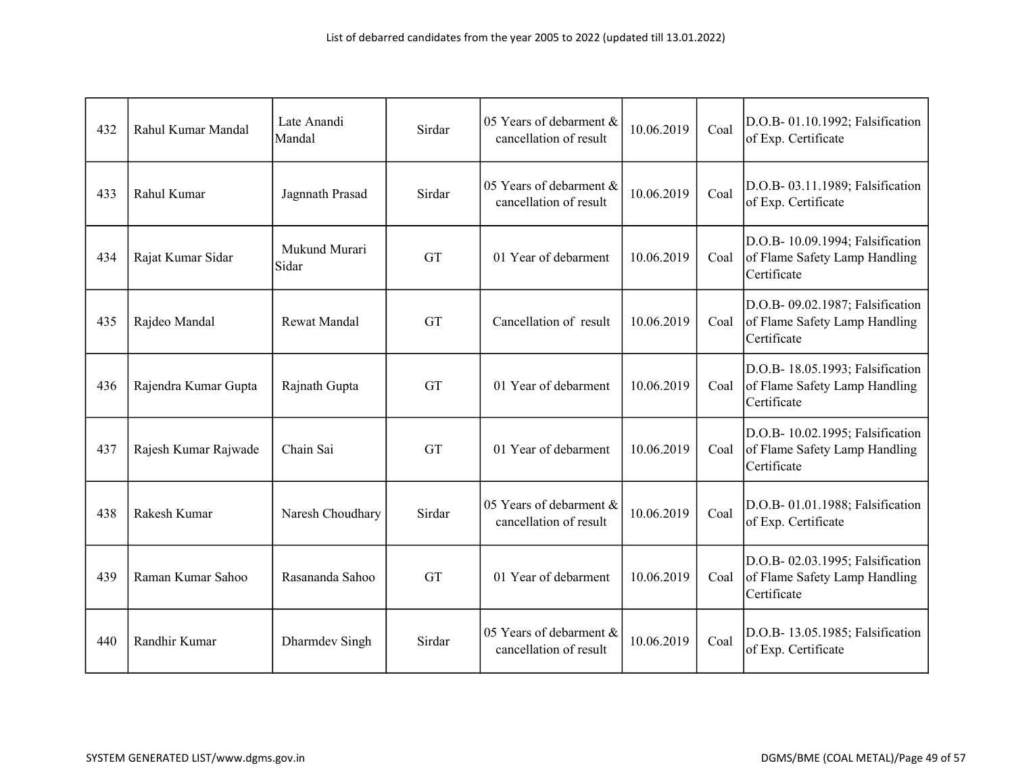| 432 | Rahul Kumar Mandal   | Late Anandi<br>Mandal  | Sirdar    | 05 Years of debarment &<br>cancellation of result | 10.06.2019 | Coal | D.O.B- 01.10.1992; Falsification<br>of Exp. Certificate                          |
|-----|----------------------|------------------------|-----------|---------------------------------------------------|------------|------|----------------------------------------------------------------------------------|
| 433 | Rahul Kumar          | Jagnnath Prasad        | Sirdar    | 05 Years of debarment &<br>cancellation of result | 10.06.2019 | Coal | D.O.B- 03.11.1989; Falsification<br>of Exp. Certificate                          |
| 434 | Rajat Kumar Sidar    | Mukund Murari<br>Sidar | <b>GT</b> | 01 Year of debarment                              | 10.06.2019 | Coal | D.O.B- 10.09.1994; Falsification<br>of Flame Safety Lamp Handling<br>Certificate |
| 435 | Rajdeo Mandal        | <b>Rewat Mandal</b>    | <b>GT</b> | Cancellation of result                            | 10.06.2019 | Coal | D.O.B- 09.02.1987; Falsification<br>of Flame Safety Lamp Handling<br>Certificate |
| 436 | Rajendra Kumar Gupta | Rajnath Gupta          | GT        | 01 Year of debarment                              | 10.06.2019 | Coal | D.O.B- 18.05.1993; Falsification<br>of Flame Safety Lamp Handling<br>Certificate |
| 437 | Rajesh Kumar Rajwade | Chain Sai              | GT        | 01 Year of debarment                              | 10.06.2019 | Coal | D.O.B- 10.02.1995; Falsification<br>of Flame Safety Lamp Handling<br>Certificate |
| 438 | Rakesh Kumar         | Naresh Choudhary       | Sirdar    | 05 Years of debarment &<br>cancellation of result | 10.06.2019 | Coal | D.O.B- 01.01.1988; Falsification<br>of Exp. Certificate                          |
| 439 | Raman Kumar Sahoo    | Rasananda Sahoo        | <b>GT</b> | 01 Year of debarment                              | 10.06.2019 | Coal | D.O.B- 02.03.1995; Falsification<br>of Flame Safety Lamp Handling<br>Certificate |
| 440 | Randhir Kumar        | Dharmdev Singh         | Sirdar    | 05 Years of debarment &<br>cancellation of result | 10.06.2019 | Coal | D.O.B- 13.05.1985; Falsification<br>of Exp. Certificate                          |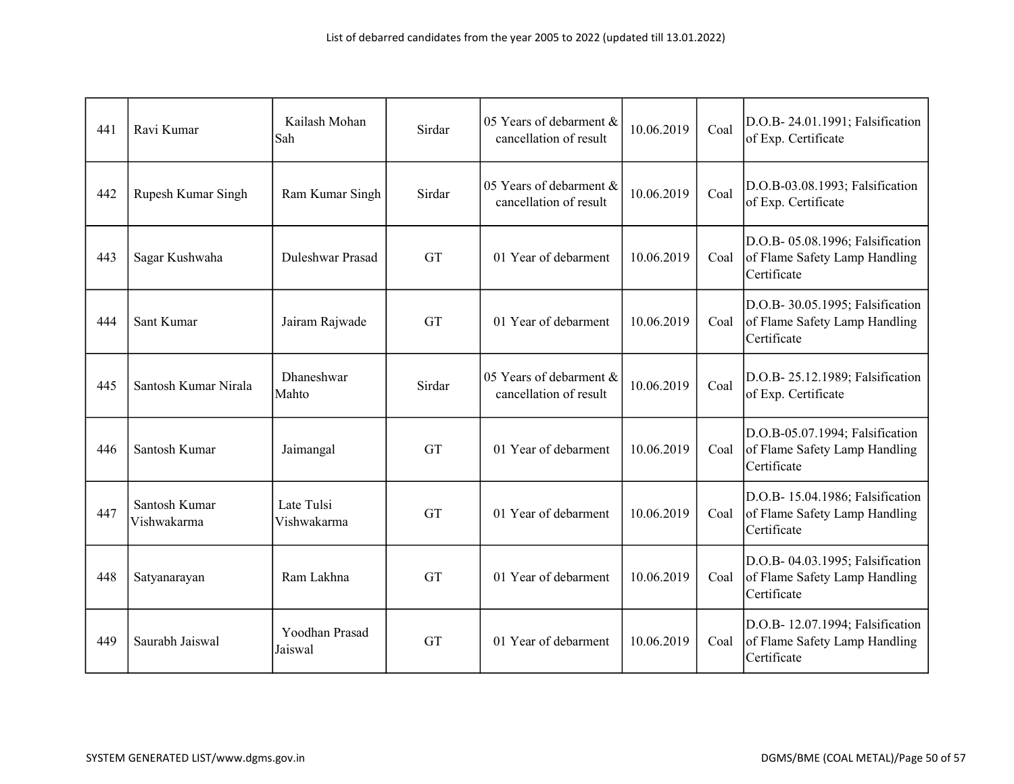| 441 | Ravi Kumar                   | Kailash Mohan<br>Sah      | Sirdar    | 05 Years of debarment &<br>cancellation of result | 10.06.2019 | Coal | D.O.B- 24.01.1991; Falsification<br>of Exp. Certificate                          |
|-----|------------------------------|---------------------------|-----------|---------------------------------------------------|------------|------|----------------------------------------------------------------------------------|
| 442 | Rupesh Kumar Singh           | Ram Kumar Singh           | Sirdar    | 05 Years of debarment &<br>cancellation of result | 10.06.2019 | Coal | D.O.B-03.08.1993; Falsification<br>of Exp. Certificate                           |
| 443 | Sagar Kushwaha               | Duleshwar Prasad          | <b>GT</b> | 01 Year of debarment                              | 10.06.2019 | Coal | D.O.B- 05.08.1996; Falsification<br>of Flame Safety Lamp Handling<br>Certificate |
| 444 | Sant Kumar                   | Jairam Rajwade            | GT        | 01 Year of debarment                              | 10.06.2019 | Coal | D.O.B- 30.05.1995; Falsification<br>of Flame Safety Lamp Handling<br>Certificate |
| 445 | Santosh Kumar Nirala         | Dhaneshwar<br>Mahto       | Sirdar    | 05 Years of debarment &<br>cancellation of result | 10.06.2019 | Coal | D.O.B- 25.12.1989; Falsification<br>of Exp. Certificate                          |
| 446 | Santosh Kumar                | Jaimangal                 | <b>GT</b> | 01 Year of debarment                              | 10.06.2019 | Coal | D.O.B-05.07.1994; Falsification<br>of Flame Safety Lamp Handling<br>Certificate  |
| 447 | Santosh Kumar<br>Vishwakarma | Late Tulsi<br>Vishwakarma | <b>GT</b> | 01 Year of debarment                              | 10.06.2019 | Coal | D.O.B- 15.04.1986; Falsification<br>of Flame Safety Lamp Handling<br>Certificate |
| 448 | Satyanarayan                 | Ram Lakhna                | <b>GT</b> | 01 Year of debarment                              | 10.06.2019 | Coal | D.O.B- 04.03.1995; Falsification<br>of Flame Safety Lamp Handling<br>Certificate |
| 449 | Saurabh Jaiswal              | Yoodhan Prasad<br>Jaiswal | <b>GT</b> | 01 Year of debarment                              | 10.06.2019 | Coal | D.O.B- 12.07.1994; Falsification<br>of Flame Safety Lamp Handling<br>Certificate |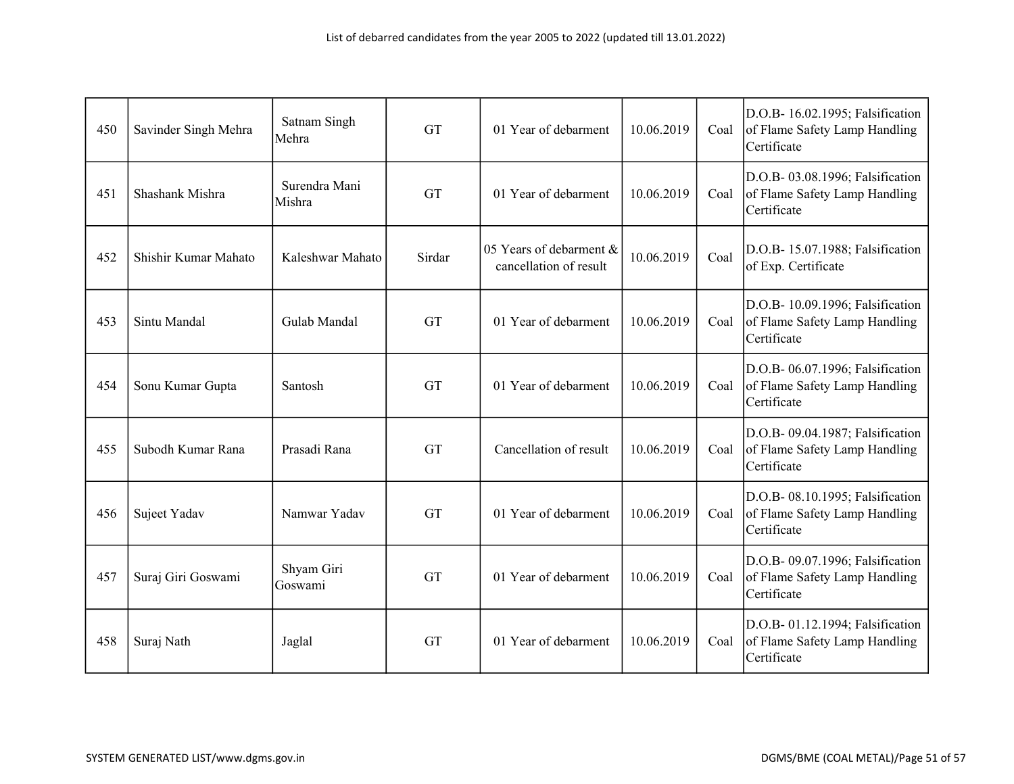| 450 | Savinder Singh Mehra | Satnam Singh<br>Mehra   | <b>GT</b> | 01 Year of debarment                              | 10.06.2019 | Coal | D.O.B- 16.02.1995; Falsification<br>of Flame Safety Lamp Handling<br>Certificate |
|-----|----------------------|-------------------------|-----------|---------------------------------------------------|------------|------|----------------------------------------------------------------------------------|
| 451 | Shashank Mishra      | Surendra Mani<br>Mishra | <b>GT</b> | 01 Year of debarment                              | 10.06.2019 | Coal | D.O.B- 03.08.1996; Falsification<br>of Flame Safety Lamp Handling<br>Certificate |
| 452 | Shishir Kumar Mahato | Kaleshwar Mahato        | Sirdar    | 05 Years of debarment &<br>cancellation of result | 10.06.2019 | Coal | D.O.B- 15.07.1988; Falsification<br>of Exp. Certificate                          |
| 453 | Sintu Mandal         | Gulab Mandal            | GT        | 01 Year of debarment                              | 10.06.2019 | Coal | D.O.B- 10.09.1996; Falsification<br>of Flame Safety Lamp Handling<br>Certificate |
| 454 | Sonu Kumar Gupta     | Santosh                 | <b>GT</b> | 01 Year of debarment                              | 10.06.2019 | Coal | D.O.B- 06.07.1996; Falsification<br>of Flame Safety Lamp Handling<br>Certificate |
| 455 | Subodh Kumar Rana    | Prasadi Rana            | <b>GT</b> | Cancellation of result                            | 10.06.2019 | Coal | D.O.B- 09.04.1987; Falsification<br>of Flame Safety Lamp Handling<br>Certificate |
| 456 | Sujeet Yadav         | Namwar Yadav            | GT        | 01 Year of debarment                              | 10.06.2019 | Coal | D.O.B- 08.10.1995; Falsification<br>of Flame Safety Lamp Handling<br>Certificate |
| 457 | Suraj Giri Goswami   | Shyam Giri<br>Goswami   | <b>GT</b> | 01 Year of debarment                              | 10.06.2019 | Coal | D.O.B- 09.07.1996; Falsification<br>of Flame Safety Lamp Handling<br>Certificate |
| 458 | Suraj Nath           | Jaglal                  | <b>GT</b> | 01 Year of debarment                              | 10.06.2019 | Coal | D.O.B- 01.12.1994; Falsification<br>of Flame Safety Lamp Handling<br>Certificate |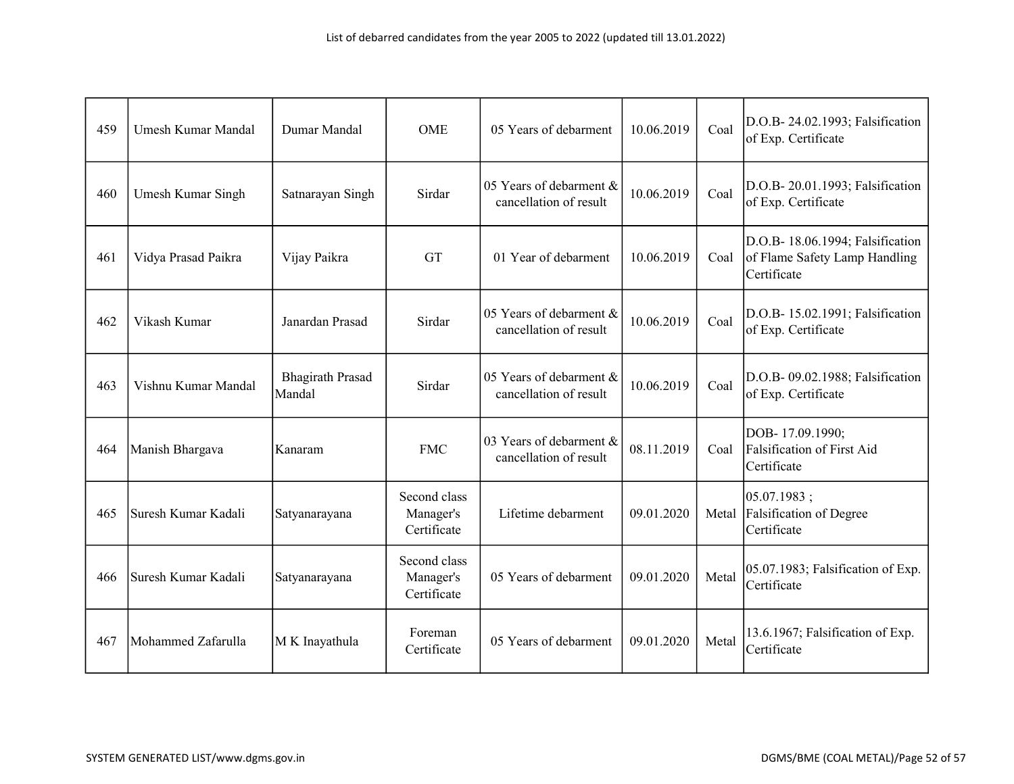| 459 | <b>Umesh Kumar Mandal</b> | Dumar Mandal                      | <b>OME</b>                               | 05 Years of debarment                             | 10.06.2019 | Coal  | D.O.B- 24.02.1993; Falsification<br>of Exp. Certificate                          |
|-----|---------------------------|-----------------------------------|------------------------------------------|---------------------------------------------------|------------|-------|----------------------------------------------------------------------------------|
| 460 | Umesh Kumar Singh         | Satnarayan Singh                  | Sirdar                                   | 05 Years of debarment &<br>cancellation of result | 10.06.2019 | Coal  | D.O.B-20.01.1993; Falsification<br>of Exp. Certificate                           |
| 461 | Vidya Prasad Paikra       | Vijay Paikra                      | <b>GT</b>                                | 01 Year of debarment                              | 10.06.2019 | Coal  | D.O.B- 18.06.1994; Falsification<br>of Flame Safety Lamp Handling<br>Certificate |
| 462 | Vikash Kumar              | Janardan Prasad                   | Sirdar                                   | 05 Years of debarment &<br>cancellation of result | 10.06.2019 | Coal  | D.O.B- 15.02.1991; Falsification<br>of Exp. Certificate                          |
| 463 | Vishnu Kumar Mandal       | <b>Bhagirath Prasad</b><br>Mandal | Sirdar                                   | 05 Years of debarment &<br>cancellation of result | 10.06.2019 | Coal  | D.O.B- 09.02.1988; Falsification<br>of Exp. Certificate                          |
| 464 | Manish Bhargava           | Kanaram                           | <b>FMC</b>                               | 03 Years of debarment &<br>cancellation of result | 08.11.2019 | Coal  | DOB-17.09.1990;<br>Falsification of First Aid<br>Certificate                     |
| 465 | Suresh Kumar Kadali       | Satyanarayana                     | Second class<br>Manager's<br>Certificate | Lifetime debarment                                | 09.01.2020 | Metal | 05.07.1983;<br><b>Falsification of Degree</b><br>Certificate                     |
| 466 | Suresh Kumar Kadali       | Satyanarayana                     | Second class<br>Manager's<br>Certificate | 05 Years of debarment                             | 09.01.2020 | Metal | 05.07.1983; Falsification of Exp.<br>Certificate                                 |
| 467 | Mohammed Zafarulla        | M K Inayathula                    | Foreman<br>Certificate                   | 05 Years of debarment                             | 09.01.2020 | Metal | 13.6.1967; Falsification of Exp.<br>Certificate                                  |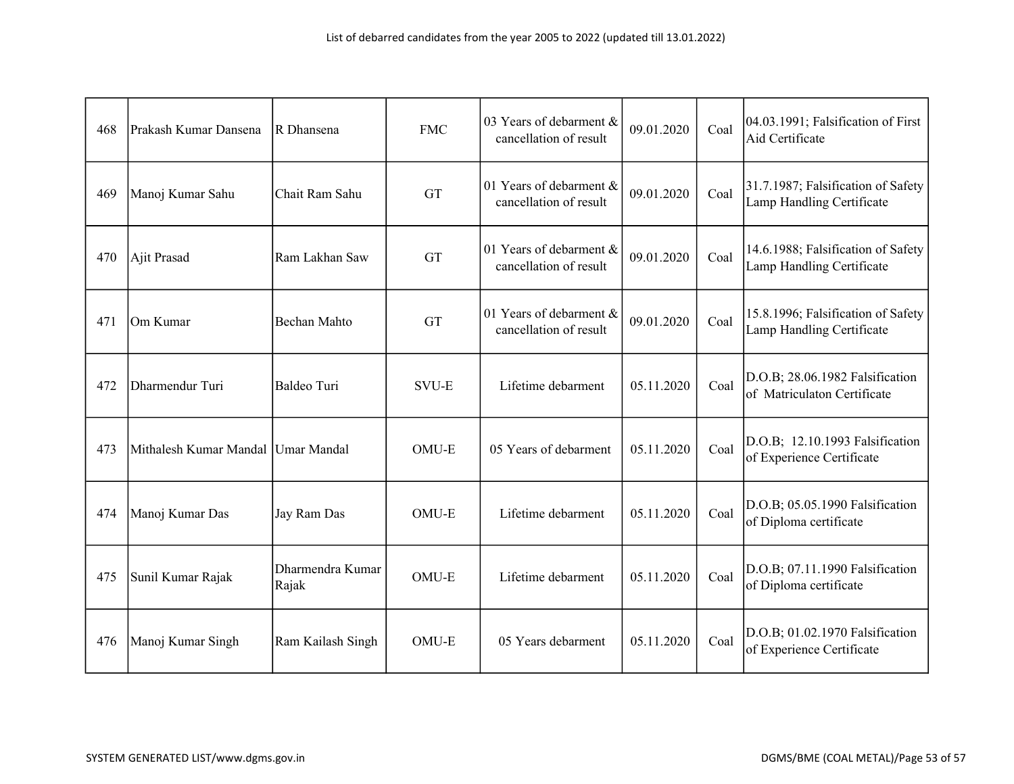| 468 | Prakash Kumar Dansena              | R Dhansena                | <b>FMC</b>   | 03 Years of debarment &<br>cancellation of result | 09.01.2020 | Coal | 04.03.1991; Falsification of First<br>Aid Certificate           |
|-----|------------------------------------|---------------------------|--------------|---------------------------------------------------|------------|------|-----------------------------------------------------------------|
| 469 | Manoj Kumar Sahu                   | Chait Ram Sahu            | <b>GT</b>    | 01 Years of debarment &<br>cancellation of result | 09.01.2020 | Coal | 31.7.1987; Falsification of Safety<br>Lamp Handling Certificate |
| 470 | Ajit Prasad                        | Ram Lakhan Saw            | <b>GT</b>    | 01 Years of debarment &<br>cancellation of result | 09.01.2020 | Coal | 14.6.1988; Falsification of Safety<br>Lamp Handling Certificate |
| 471 | Om Kumar                           | Bechan Mahto              | <b>GT</b>    | 01 Years of debarment &<br>cancellation of result | 09.01.2020 | Coal | 15.8.1996; Falsification of Safety<br>Lamp Handling Certificate |
| 472 | Dharmendur Turi                    | Baldeo Turi               | <b>SVU-E</b> | Lifetime debarment                                | 05.11.2020 | Coal | D.O.B; 28.06.1982 Falsification<br>of Matriculaton Certificate  |
| 473 | Mithalesh Kumar Mandal Umar Mandal |                           | OMU-E        | 05 Years of debarment                             | 05.11.2020 | Coal | D.O.B; 12.10.1993 Falsification<br>of Experience Certificate    |
| 474 | Manoj Kumar Das                    | Jay Ram Das               | OMU-E        | Lifetime debarment                                | 05.11.2020 | Coal | D.O.B; 05.05.1990 Falsification<br>of Diploma certificate       |
| 475 | Sunil Kumar Rajak                  | Dharmendra Kumar<br>Rajak | OMU-E        | Lifetime debarment                                | 05.11.2020 | Coal | D.O.B; 07.11.1990 Falsification<br>of Diploma certificate       |
| 476 | Manoj Kumar Singh                  | Ram Kailash Singh         | OMU-E        | 05 Years debarment                                | 05.11.2020 | Coal | D.O.B; 01.02.1970 Falsification<br>of Experience Certificate    |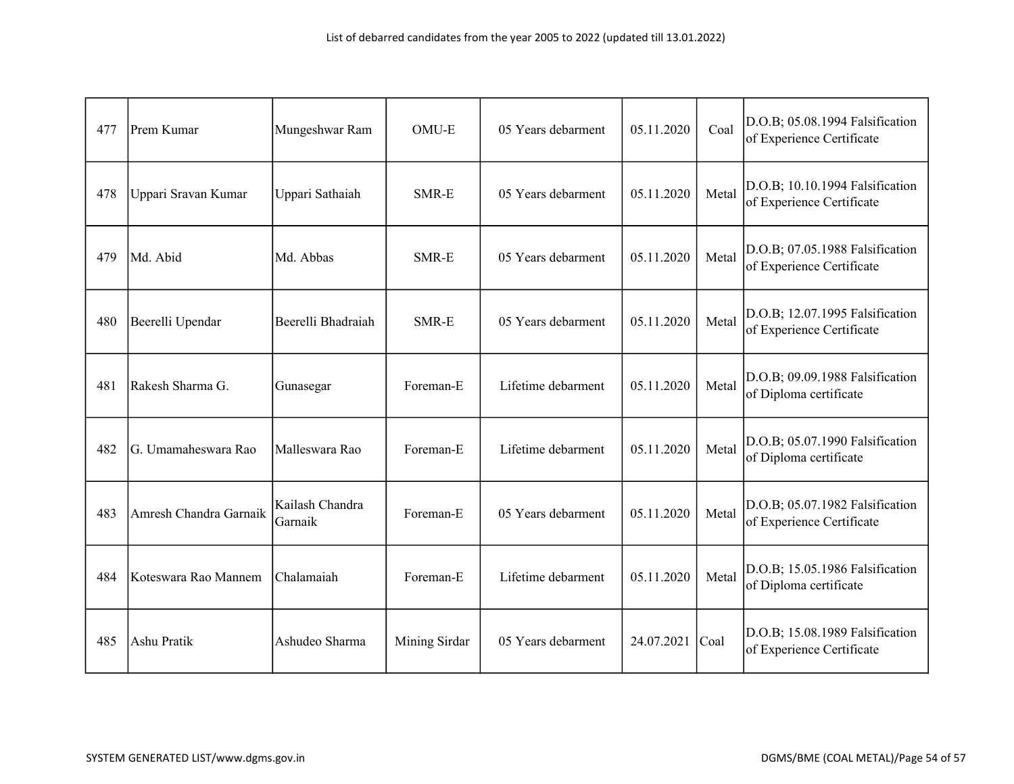| 477 | Prem Kumar             | Mungeshwar Ram             | OMU-E         | 05 Years debarment | 05.11.2020 | Coal  | D.O.B; 05.08.1994 Falsification<br>of Experience Certificate |
|-----|------------------------|----------------------------|---------------|--------------------|------------|-------|--------------------------------------------------------------|
| 478 | Uppari Sravan Kumar    | Uppari Sathaiah            | SMR-E         | 05 Years debarment | 05.11.2020 | Metal | D.O.B; 10.10.1994 Falsification<br>of Experience Certificate |
| 479 | Md. Abid               | Md. Abbas                  | SMR-E         | 05 Years debarment | 05.11.2020 | Metal | D.O.B; 07.05.1988 Falsification<br>of Experience Certificate |
| 480 | Beerelli Upendar       | Beerelli Bhadraiah         | SMR-E         | 05 Years debarment | 05.11.2020 | Metal | D.O.B; 12.07.1995 Falsification<br>of Experience Certificate |
| 481 | Rakesh Sharma G.       | Gunasegar                  | Foreman-E     | Lifetime debarment | 05.11.2020 | Metal | D.O.B; 09.09.1988 Falsification<br>of Diploma certificate    |
| 482 | G. Umamaheswara Rao    | Malleswara Rao             | Foreman-E     | Lifetime debarment | 05.11.2020 | Metal | D.O.B; 05.07.1990 Falsification<br>of Diploma certificate    |
| 483 | Amresh Chandra Garnaik | Kailash Chandra<br>Garnaik | Foreman-E     | 05 Years debarment | 05.11.2020 | Metal | D.O.B; 05.07.1982 Falsification<br>of Experience Certificate |
| 484 | Koteswara Rao Mannem   | Chalamaiah                 | Foreman-E     | Lifetime debarment | 05.11.2020 | Metal | D.O.B; 15.05.1986 Falsification<br>of Diploma certificate    |
| 485 | Ashu Pratik            | Ashudeo Sharma             | Mining Sirdar | 05 Years debarment | 24.07.2021 | Coal  | D.O.B; 15.08.1989 Falsification<br>of Experience Certificate |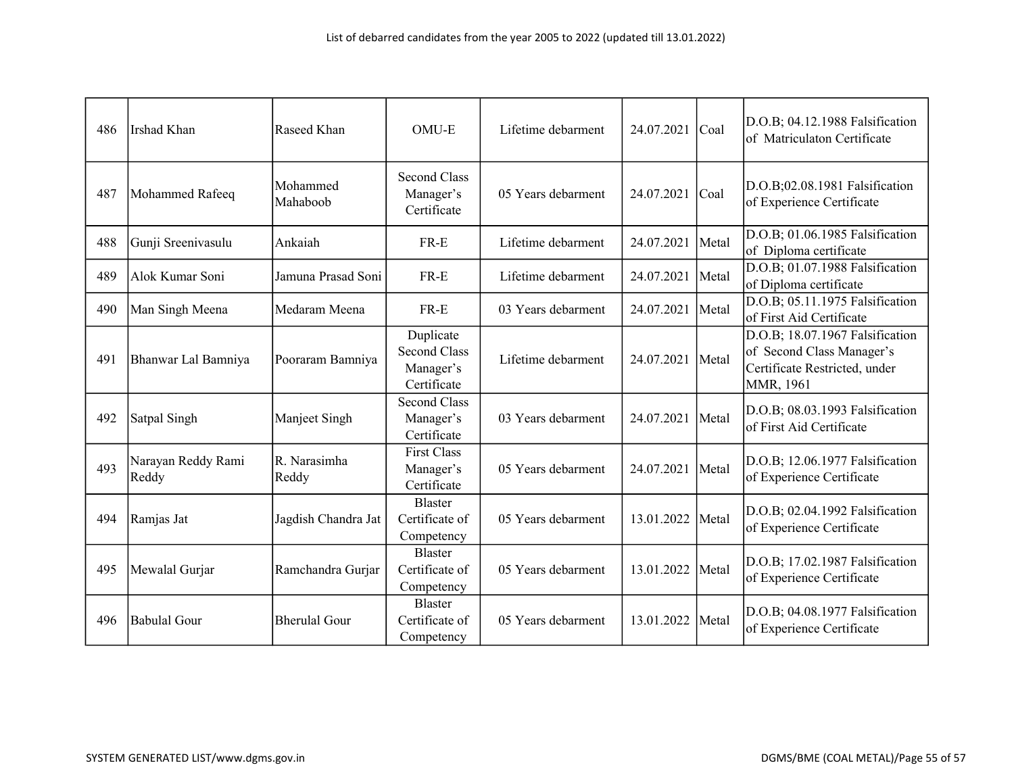| 486 | Irshad Khan                 | Raseed Khan           | OMU-E                                                        | Lifetime debarment | 24.07.2021 | Coal  | D.O.B; 04.12.1988 Falsification<br>of Matriculaton Certificate                                             |
|-----|-----------------------------|-----------------------|--------------------------------------------------------------|--------------------|------------|-------|------------------------------------------------------------------------------------------------------------|
| 487 | Mohammed Rafeeq             | Mohammed<br>Mahaboob  | <b>Second Class</b><br>Manager's<br>Certificate              | 05 Years debarment | 24.07.2021 | Coal  | D.O.B;02.08.1981 Falsification<br>of Experience Certificate                                                |
| 488 | Gunji Sreenivasulu          | Ankaiah               | $FR-E$                                                       | Lifetime debarment | 24.07.2021 | Metal | D.O.B; 01.06.1985 Falsification<br>of Diploma certificate                                                  |
| 489 | Alok Kumar Soni             | Jamuna Prasad Soni    | $FR-E$                                                       | Lifetime debarment | 24.07.2021 | Metal | D.O.B; 01.07.1988 Falsification<br>of Diploma certificate                                                  |
| 490 | Man Singh Meena             | Medaram Meena         | $FR-E$                                                       | 03 Years debarment | 24.07.2021 | Metal | D.O.B; 05.11.1975 Falsification<br>of First Aid Certificate                                                |
| 491 | Bhanwar Lal Bamniya         | Pooraram Bamniya      | Duplicate<br><b>Second Class</b><br>Manager's<br>Certificate | Lifetime debarment | 24.07.2021 | Metal | D.O.B; 18.07.1967 Falsification<br>of Second Class Manager's<br>Certificate Restricted, under<br>MMR, 1961 |
| 492 | Satpal Singh                | Manjeet Singh         | <b>Second Class</b><br>Manager's<br>Certificate              | 03 Years debarment | 24.07.2021 | Metal | D.O.B; 08.03.1993 Falsification<br>of First Aid Certificate                                                |
| 493 | Narayan Reddy Rami<br>Reddy | R. Narasimha<br>Reddy | <b>First Class</b><br>Manager's<br>Certificate               | 05 Years debarment | 24.07.2021 | Metal | D.O.B; 12.06.1977 Falsification<br>of Experience Certificate                                               |
| 494 | Ramjas Jat                  | Jagdish Chandra Jat   | <b>Blaster</b><br>Certificate of<br>Competency               | 05 Years debarment | 13.01.2022 | Metal | D.O.B; 02.04.1992 Falsification<br>of Experience Certificate                                               |
| 495 | Mewalal Gurjar              | Ramchandra Gurjar     | Blaster<br>Certificate of<br>Competency                      | 05 Years debarment | 13.01.2022 | Metal | D.O.B; 17.02.1987 Falsification<br>of Experience Certificate                                               |
| 496 | Babulal Gour                | <b>Bherulal Gour</b>  | <b>Blaster</b><br>Certificate of<br>Competency               | 05 Years debarment | 13.01.2022 | Metal | D.O.B; 04.08.1977 Falsification<br>of Experience Certificate                                               |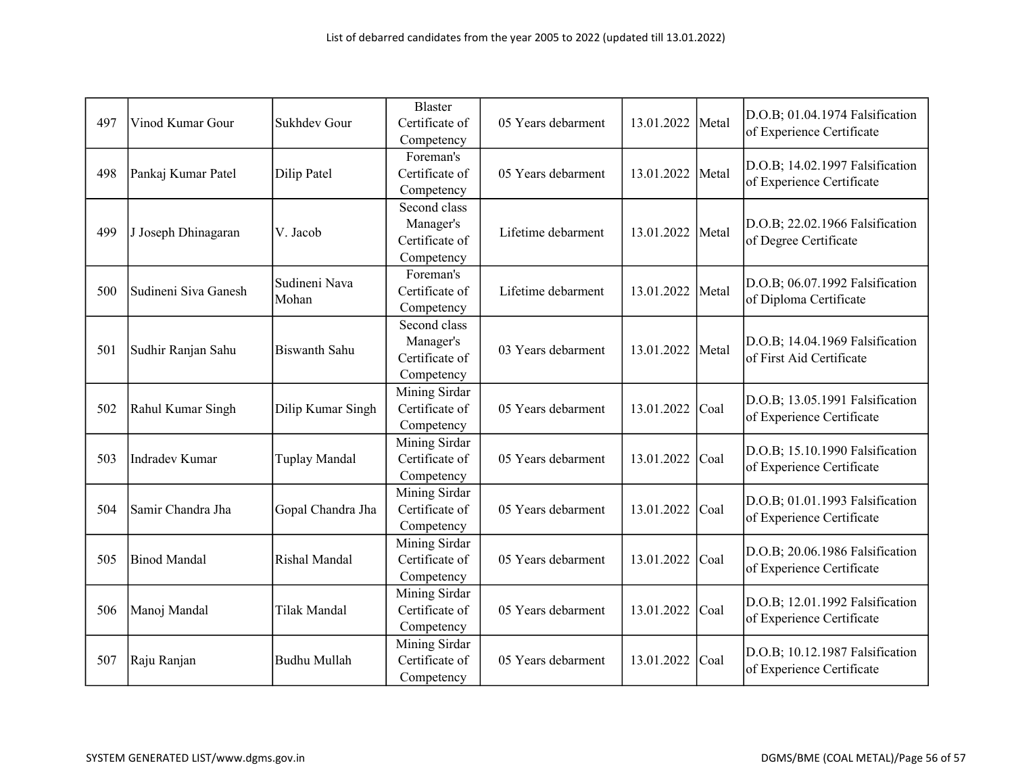| 497 | Vinod Kumar Gour      | Sukhdev Gour           | <b>Blaster</b><br>Certificate of<br>Competency            | 05 Years debarment | 13.01.2022 | Metal | D.O.B; 01.04.1974 Falsification<br>of Experience Certificate |
|-----|-----------------------|------------------------|-----------------------------------------------------------|--------------------|------------|-------|--------------------------------------------------------------|
| 498 | Pankaj Kumar Patel    | Dilip Patel            | Foreman's<br>Certificate of<br>Competency                 | 05 Years debarment | 13.01.2022 | Metal | D.O.B; 14.02.1997 Falsification<br>of Experience Certificate |
| 499 | J Joseph Dhinagaran   | V. Jacob               | Second class<br>Manager's<br>Certificate of<br>Competency | Lifetime debarment | 13.01.2022 | Metal | D.O.B; 22.02.1966 Falsification<br>of Degree Certificate     |
| 500 | Sudineni Siva Ganesh  | Sudineni Nava<br>Mohan | Foreman's<br>Certificate of<br>Competency                 | Lifetime debarment | 13.01.2022 | Metal | D.O.B; 06.07.1992 Falsification<br>of Diploma Certificate    |
| 501 | Sudhir Ranjan Sahu    | <b>Biswanth Sahu</b>   | Second class<br>Manager's<br>Certificate of<br>Competency | 03 Years debarment | 13.01.2022 | Metal | D.O.B; 14.04.1969 Falsification<br>of First Aid Certificate  |
| 502 | Rahul Kumar Singh     | Dilip Kumar Singh      | Mining Sirdar<br>Certificate of<br>Competency             | 05 Years debarment | 13.01.2022 | Coal  | D.O.B; 13.05.1991 Falsification<br>of Experience Certificate |
| 503 | <b>Indradev Kumar</b> | Tuplay Mandal          | Mining Sirdar<br>Certificate of<br>Competency             | 05 Years debarment | 13.01.2022 | Coal  | D.O.B; 15.10.1990 Falsification<br>of Experience Certificate |
| 504 | Samir Chandra Jha     | Gopal Chandra Jha      | Mining Sirdar<br>Certificate of<br>Competency             | 05 Years debarment | 13.01.2022 | Coal  | D.O.B; 01.01.1993 Falsification<br>of Experience Certificate |
| 505 | <b>Binod Mandal</b>   | Rishal Mandal          | Mining Sirdar<br>Certificate of<br>Competency             | 05 Years debarment | 13.01.2022 | Coal  | D.O.B; 20.06.1986 Falsification<br>of Experience Certificate |
| 506 | Manoj Mandal          | Tilak Mandal           | Mining Sirdar<br>Certificate of<br>Competency             | 05 Years debarment | 13.01.2022 | Coal  | D.O.B; 12.01.1992 Falsification<br>of Experience Certificate |
| 507 | Raju Ranjan           | Budhu Mullah           | Mining Sirdar<br>Certificate of<br>Competency             | 05 Years debarment | 13.01.2022 | Coal  | D.O.B; 10.12.1987 Falsification<br>of Experience Certificate |